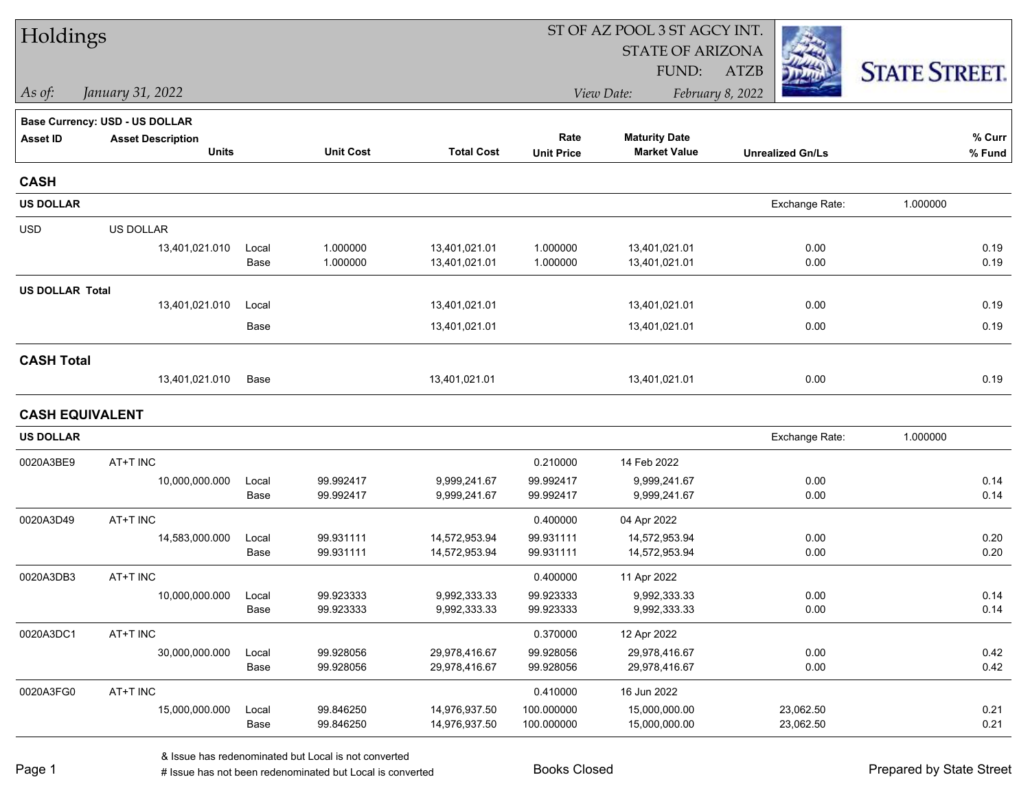| Holdings               |                                |               |                        | ST OF AZ POOL 3 ST AGCY INT.   |                          |                                |                         |                      |  |  |  |  |
|------------------------|--------------------------------|---------------|------------------------|--------------------------------|--------------------------|--------------------------------|-------------------------|----------------------|--|--|--|--|
|                        |                                |               |                        |                                |                          | <b>STATE OF ARIZONA</b>        |                         |                      |  |  |  |  |
|                        |                                |               |                        |                                |                          | FUND:                          | <b>ATZB</b>             | <b>STATE STREET.</b> |  |  |  |  |
| $\vert$ As of:         | January 31, 2022               |               |                        |                                |                          | View Date:                     | February 8, 2022        |                      |  |  |  |  |
|                        | Base Currency: USD - US DOLLAR |               |                        |                                |                          |                                |                         |                      |  |  |  |  |
| <b>Asset ID</b>        | <b>Asset Description</b>       |               |                        |                                | Rate                     | <b>Maturity Date</b>           |                         | % Curr               |  |  |  |  |
|                        | <b>Units</b>                   |               | <b>Unit Cost</b>       | <b>Total Cost</b>              | <b>Unit Price</b>        | <b>Market Value</b>            | <b>Unrealized Gn/Ls</b> | % Fund               |  |  |  |  |
| <b>CASH</b>            |                                |               |                        |                                |                          |                                |                         |                      |  |  |  |  |
| <b>US DOLLAR</b>       |                                |               |                        |                                |                          |                                | Exchange Rate:          | 1.000000             |  |  |  |  |
| <b>USD</b>             | US DOLLAR                      |               |                        |                                |                          |                                |                         |                      |  |  |  |  |
|                        | 13,401,021.010                 | Local         | 1.000000               | 13,401,021.01                  | 1.000000                 | 13,401,021.01                  | 0.00                    | 0.19                 |  |  |  |  |
|                        |                                | Base          | 1.000000               | 13,401,021.01                  | 1.000000                 | 13,401,021.01                  | 0.00                    | 0.19                 |  |  |  |  |
| <b>US DOLLAR Total</b> |                                |               |                        |                                |                          |                                |                         |                      |  |  |  |  |
|                        | 13,401,021.010                 | Local         |                        | 13,401,021.01                  |                          | 13,401,021.01                  | 0.00                    | 0.19                 |  |  |  |  |
|                        |                                | Base          |                        | 13,401,021.01                  |                          | 13,401,021.01                  | 0.00                    | 0.19                 |  |  |  |  |
| <b>CASH Total</b>      |                                |               |                        |                                |                          |                                |                         |                      |  |  |  |  |
|                        | 13,401,021.010                 | Base          |                        | 13,401,021.01                  |                          | 13,401,021.01                  | 0.00                    | 0.19                 |  |  |  |  |
| <b>CASH EQUIVALENT</b> |                                |               |                        |                                |                          |                                |                         |                      |  |  |  |  |
| <b>US DOLLAR</b>       |                                |               |                        |                                |                          |                                | Exchange Rate:          | 1.000000             |  |  |  |  |
| 0020A3BE9              | AT+T INC                       |               |                        |                                | 0.210000                 | 14 Feb 2022                    |                         |                      |  |  |  |  |
|                        | 10,000,000.000                 | Local         | 99.992417              | 9,999,241.67                   | 99.992417                | 9,999,241.67                   | 0.00                    | 0.14                 |  |  |  |  |
|                        |                                | Base          | 99.992417              | 9,999,241.67                   | 99.992417                | 9,999,241.67                   | 0.00                    | 0.14                 |  |  |  |  |
| 0020A3D49              | AT+T INC                       |               |                        |                                | 0.400000                 | 04 Apr 2022                    |                         |                      |  |  |  |  |
|                        | 14,583,000.000                 | Local         | 99.931111              | 14,572,953.94                  | 99.931111                | 14,572,953.94                  | 0.00                    | 0.20                 |  |  |  |  |
|                        |                                | Base          | 99.931111              | 14,572,953.94                  | 99.931111                | 14,572,953.94                  | 0.00                    | 0.20                 |  |  |  |  |
| 0020A3DB3              | AT+T INC                       |               |                        |                                | 0.400000                 | 11 Apr 2022                    |                         |                      |  |  |  |  |
|                        | 10,000,000.000                 | Local<br>Base | 99.923333              | 9,992,333.33                   | 99.923333<br>99.923333   | 9,992,333.33                   | 0.00<br>0.00            | 0.14<br>0.14         |  |  |  |  |
|                        |                                |               | 99.923333              | 9,992,333.33                   |                          | 9,992,333.33                   |                         |                      |  |  |  |  |
| 0020A3DC1              | AT+T INC                       |               |                        |                                | 0.370000                 | 12 Apr 2022                    |                         |                      |  |  |  |  |
|                        | 30,000,000.000                 | Local         | 99.928056<br>99.928056 | 29,978,416.67<br>29,978,416.67 | 99.928056<br>99.928056   | 29,978,416.67                  | 0.00<br>0.00            | 0.42<br>0.42         |  |  |  |  |
|                        |                                | Base          |                        |                                |                          | 29,978,416.67                  |                         |                      |  |  |  |  |
| 0020A3FG0              | AT+T INC                       |               |                        |                                | 0.410000                 | 16 Jun 2022                    |                         |                      |  |  |  |  |
|                        | 15,000,000.000                 | Local<br>Base | 99.846250<br>99.846250 | 14,976,937.50<br>14,976,937.50 | 100.000000<br>100.000000 | 15,000,000.00<br>15,000,000.00 | 23,062.50<br>23,062.50  | 0.21<br>0.21         |  |  |  |  |
|                        |                                |               |                        |                                |                          |                                |                         |                      |  |  |  |  |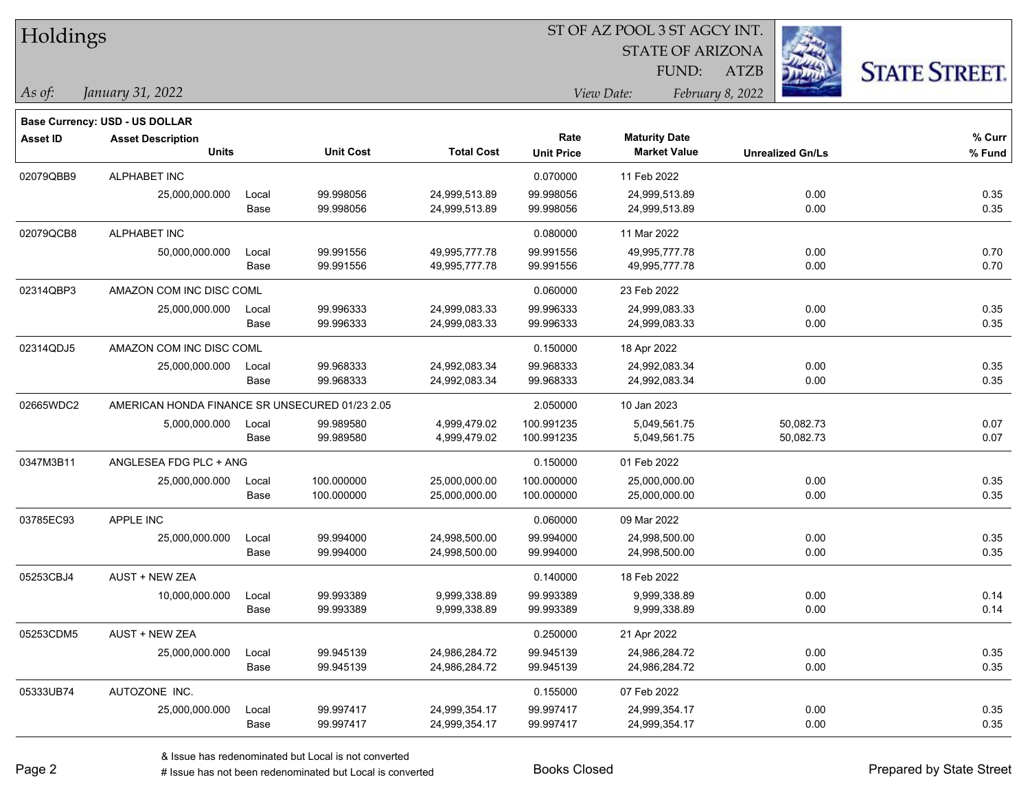| Holdings        |                                                |       |                  |                   |                   |                         |                         |                      |
|-----------------|------------------------------------------------|-------|------------------|-------------------|-------------------|-------------------------|-------------------------|----------------------|
|                 |                                                |       |                  |                   |                   | <b>STATE OF ARIZONA</b> |                         |                      |
|                 |                                                |       |                  |                   |                   | FUND:                   | <b>ATZB</b>             | <b>STATE STREET.</b> |
| As of:          | January 31, 2022                               |       |                  |                   |                   | View Date:              | February 8, 2022        |                      |
|                 | <b>Base Currency: USD - US DOLLAR</b>          |       |                  |                   |                   |                         |                         |                      |
| <b>Asset ID</b> | <b>Asset Description</b>                       |       |                  |                   | Rate              | <b>Maturity Date</b>    |                         | % Curr               |
|                 | <b>Units</b>                                   |       | <b>Unit Cost</b> | <b>Total Cost</b> | <b>Unit Price</b> | <b>Market Value</b>     | <b>Unrealized Gn/Ls</b> | % Fund               |
| 02079QBB9       | ALPHABET INC                                   |       |                  |                   | 0.070000          | 11 Feb 2022             |                         |                      |
|                 | 25,000,000.000                                 | Local | 99.998056        | 24,999,513.89     | 99.998056         | 24,999,513.89           | 0.00                    | 0.35                 |
|                 |                                                | Base  | 99.998056        | 24,999,513.89     | 99.998056         | 24,999,513.89           | 0.00                    | 0.35                 |
| 02079QCB8       | ALPHABET INC                                   |       |                  |                   | 0.080000          | 11 Mar 2022             |                         |                      |
|                 | 50,000,000.000                                 | Local | 99.991556        | 49,995,777.78     | 99.991556         | 49,995,777.78           | 0.00                    | 0.70                 |
|                 |                                                | Base  | 99.991556        | 49,995,777.78     | 99.991556         | 49,995,777.78           | 0.00                    | 0.70                 |
| 02314QBP3       | AMAZON COM INC DISC COML                       |       |                  |                   | 0.060000          | 23 Feb 2022             |                         |                      |
|                 | 25,000,000.000                                 | Local | 99.996333        | 24,999,083.33     | 99.996333         | 24,999,083.33           | 0.00                    | 0.35                 |
|                 |                                                | Base  | 99.996333        | 24,999,083.33     | 99.996333         | 24,999,083.33           | 0.00                    | 0.35                 |
| 02314QDJ5       | AMAZON COM INC DISC COML                       |       |                  |                   | 0.150000          | 18 Apr 2022             |                         |                      |
|                 | 25,000,000.000                                 | Local | 99.968333        | 24,992,083.34     | 99.968333         | 24,992,083.34           | 0.00                    | 0.35                 |
|                 |                                                | Base  | 99.968333        | 24,992,083.34     | 99.968333         | 24,992,083.34           | 0.00                    | 0.35                 |
| 02665WDC2       | AMERICAN HONDA FINANCE SR UNSECURED 01/23 2.05 |       |                  |                   | 2.050000          | 10 Jan 2023             |                         |                      |
|                 | 5,000,000.000                                  | Local | 99.989580        | 4,999,479.02      | 100.991235        | 5,049,561.75            | 50,082.73               | 0.07                 |
|                 |                                                | Base  | 99.989580        | 4,999,479.02      | 100.991235        | 5,049,561.75            | 50,082.73               | 0.07                 |
| 0347M3B11       | ANGLESEA FDG PLC + ANG                         |       |                  |                   | 0.150000          | 01 Feb 2022             |                         |                      |
|                 | 25,000,000.000                                 | Local | 100.000000       | 25,000,000.00     | 100.000000        | 25,000,000.00           | 0.00                    | 0.35                 |
|                 |                                                | Base  | 100.000000       | 25,000,000.00     | 100.000000        | 25,000,000.00           | 0.00                    | 0.35                 |
| 03785EC93       | <b>APPLE INC</b>                               |       |                  |                   | 0.060000          | 09 Mar 2022             |                         |                      |
|                 | 25,000,000.000                                 | Local | 99.994000        | 24,998,500.00     | 99.994000         | 24,998,500.00           | 0.00                    | 0.35                 |
|                 |                                                | Base  | 99.994000        | 24,998,500.00     | 99.994000         | 24,998,500.00           | 0.00                    | 0.35                 |
| 05253CBJ4       | <b>AUST + NEW ZEA</b>                          |       |                  |                   | 0.140000          | 18 Feb 2022             |                         |                      |
|                 | 10,000,000.000                                 | Local | 99.993389        | 9,999,338.89      | 99.993389         | 9,999,338.89            | 0.00                    | 0.14                 |
|                 |                                                | Base  | 99.993389        | 9,999,338.89      | 99.993389         | 9,999,338.89            | 0.00                    | 0.14                 |
| 05253CDM5       | AUST + NEW ZEA                                 |       |                  |                   | 0.250000          | 21 Apr 2022             |                         |                      |
|                 | 25,000,000.000                                 | Local | 99.945139        | 24,986,284.72     | 99.945139         | 24,986,284.72           | 0.00                    | 0.35                 |
|                 |                                                | Base  | 99.945139        | 24,986,284.72     | 99.945139         | 24,986,284.72           | 0.00                    | 0.35                 |
| 05333UB74       | AUTOZONE INC.                                  |       |                  |                   | 0.155000          | 07 Feb 2022             |                         |                      |
|                 | 25,000,000.000                                 | Local | 99.997417        | 24,999,354.17     | 99.997417         | 24,999,354.17           | 0.00                    | 0.35                 |
|                 |                                                | Base  | 99.997417        | 24,999,354.17     | 99.997417         | 24,999,354.17           | 0.00                    | 0.35                 |

 $\overline{\phantom{0}}$ 

 $\overline{\phantom{0}}$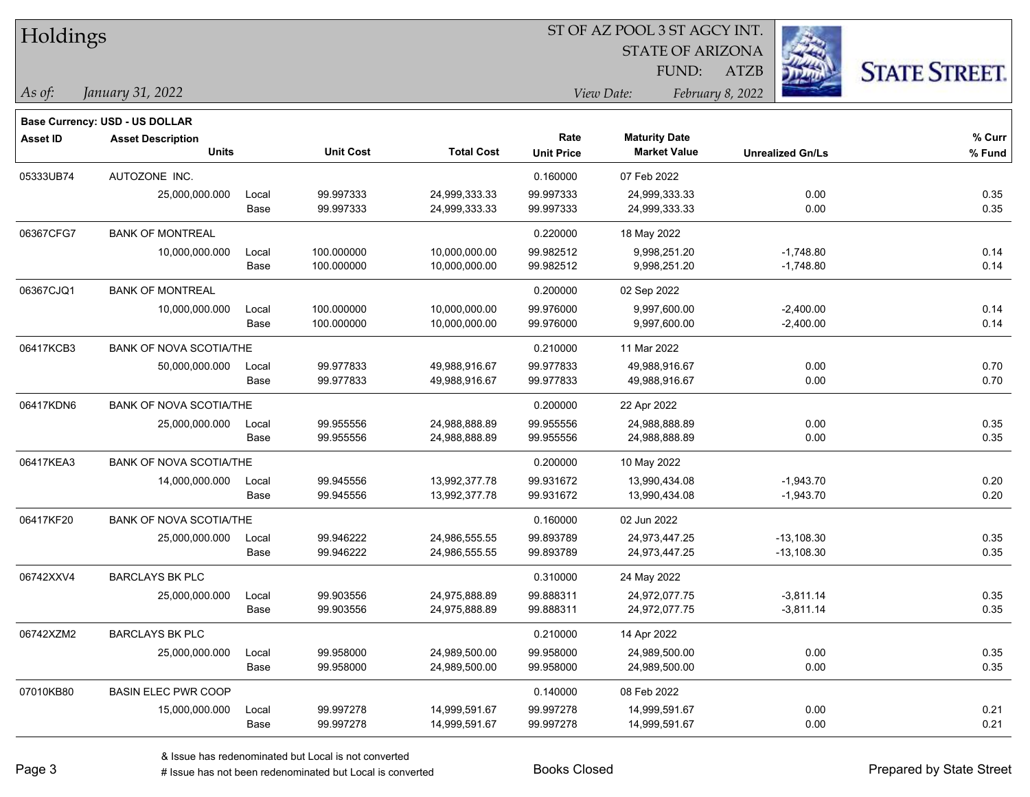| Holdings        |                                       |       |                  | ST OF AZ POOL 3 ST AGCY INT. |                   |                                |                         |                      |  |  |  |
|-----------------|---------------------------------------|-------|------------------|------------------------------|-------------------|--------------------------------|-------------------------|----------------------|--|--|--|
|                 |                                       |       |                  |                              |                   | <b>STATE OF ARIZONA</b>        |                         |                      |  |  |  |
|                 |                                       |       |                  |                              |                   | FUND:                          | <b>ATZB</b>             | <b>STATE STREET.</b> |  |  |  |
| As of:          | January 31, 2022                      |       |                  |                              |                   | View Date:<br>February 8, 2022 |                         |                      |  |  |  |
|                 | <b>Base Currency: USD - US DOLLAR</b> |       |                  |                              |                   |                                |                         |                      |  |  |  |
| <b>Asset ID</b> | <b>Asset Description</b>              |       |                  |                              | Rate              | <b>Maturity Date</b>           |                         | % Curr               |  |  |  |
|                 | <b>Units</b>                          |       | <b>Unit Cost</b> | <b>Total Cost</b>            | <b>Unit Price</b> | <b>Market Value</b>            | <b>Unrealized Gn/Ls</b> | % Fund               |  |  |  |
| 05333UB74       | AUTOZONE INC.                         |       |                  |                              | 0.160000          | 07 Feb 2022                    |                         |                      |  |  |  |
|                 | 25,000,000.000                        | Local | 99.997333        | 24,999,333.33                | 99.997333         | 24,999,333.33                  | 0.00                    | 0.35                 |  |  |  |
|                 |                                       | Base  | 99.997333        | 24,999,333.33                | 99.997333         | 24,999,333.33                  | 0.00                    | 0.35                 |  |  |  |
| 06367CFG7       | <b>BANK OF MONTREAL</b>               |       |                  |                              | 0.220000          | 18 May 2022                    |                         |                      |  |  |  |
|                 | 10,000,000.000                        | Local | 100.000000       | 10,000,000.00                | 99.982512         | 9,998,251.20                   | $-1,748.80$             | 0.14                 |  |  |  |
|                 |                                       | Base  | 100.000000       | 10,000,000.00                | 99.982512         | 9,998,251.20                   | $-1,748.80$             | 0.14                 |  |  |  |
| 06367CJQ1       | <b>BANK OF MONTREAL</b>               |       |                  |                              | 0.200000          | 02 Sep 2022                    |                         |                      |  |  |  |
|                 | 10,000,000.000                        | Local | 100.000000       | 10,000,000.00                | 99.976000         | 9,997,600.00                   | $-2,400.00$             | 0.14                 |  |  |  |
|                 |                                       | Base  | 100.000000       | 10,000,000.00                | 99.976000         | 9,997,600.00                   | $-2,400.00$             | 0.14                 |  |  |  |
| 06417KCB3       | <b>BANK OF NOVA SCOTIA/THE</b>        |       |                  |                              | 0.210000          | 11 Mar 2022                    |                         |                      |  |  |  |
|                 | 50,000,000.000                        | Local | 99.977833        | 49,988,916.67                | 99.977833         | 49,988,916.67                  | 0.00                    | 0.70                 |  |  |  |
|                 |                                       | Base  | 99.977833        | 49,988,916.67                | 99.977833         | 49,988,916.67                  | 0.00                    | 0.70                 |  |  |  |
| 06417KDN6       | <b>BANK OF NOVA SCOTIA/THE</b>        |       |                  |                              | 0.200000          | 22 Apr 2022                    |                         |                      |  |  |  |
|                 | 25,000,000.000                        | Local | 99.955556        | 24,988,888.89                | 99.955556         | 24,988,888.89                  | 0.00                    | 0.35                 |  |  |  |
|                 |                                       | Base  | 99.955556        | 24,988,888.89                | 99.955556         | 24,988,888.89                  | 0.00                    | 0.35                 |  |  |  |
| 06417KEA3       | BANK OF NOVA SCOTIA/THE               |       |                  |                              | 0.200000          | 10 May 2022                    |                         |                      |  |  |  |
|                 | 14,000,000.000                        | Local | 99.945556        | 13,992,377.78                | 99.931672         | 13,990,434.08                  | $-1,943.70$             | 0.20                 |  |  |  |
|                 |                                       | Base  | 99.945556        | 13,992,377.78                | 99.931672         | 13,990,434.08                  | $-1,943.70$             | 0.20                 |  |  |  |
| 06417KF20       | <b>BANK OF NOVA SCOTIA/THE</b>        |       |                  |                              | 0.160000          | 02 Jun 2022                    |                         |                      |  |  |  |
|                 | 25,000,000.000                        | Local | 99.946222        | 24,986,555.55                | 99.893789         | 24,973,447.25                  | $-13,108.30$            | 0.35                 |  |  |  |
|                 |                                       | Base  | 99.946222        | 24,986,555.55                | 99.893789         | 24,973,447.25                  | $-13,108.30$            | 0.35                 |  |  |  |
| 06742XXV4       | <b>BARCLAYS BK PLC</b>                |       |                  |                              | 0.310000          | 24 May 2022                    |                         |                      |  |  |  |
|                 | 25,000,000.000                        | Local | 99.903556        | 24,975,888.89                | 99.888311         | 24,972,077.75                  | $-3,811.14$             | 0.35                 |  |  |  |
|                 |                                       | Base  | 99.903556        | 24,975,888.89                | 99.888311         | 24,972,077.75                  | $-3,811.14$             | 0.35                 |  |  |  |
| 06742XZM2       | <b>BARCLAYS BK PLC</b>                |       |                  |                              | 0.210000          | 14 Apr 2022                    |                         |                      |  |  |  |
|                 | 25,000,000.000                        | Local | 99.958000        | 24,989,500.00                | 99.958000         | 24,989,500.00                  | 0.00                    | 0.35                 |  |  |  |
|                 |                                       | Base  | 99.958000        | 24,989,500.00                | 99.958000         | 24,989,500.00                  | 0.00                    | 0.35                 |  |  |  |
| 07010KB80       | <b>BASIN ELEC PWR COOP</b>            |       |                  |                              | 0.140000          | 08 Feb 2022                    |                         |                      |  |  |  |
|                 | 15,000,000.000                        | Local | 99.997278        | 14,999,591.67                | 99.997278         | 14,999,591.67                  | 0.00                    | 0.21                 |  |  |  |
|                 |                                       | Base  | 99.997278        | 14,999,591.67                | 99.997278         | 14,999,591.67                  | 0.00                    | 0.21                 |  |  |  |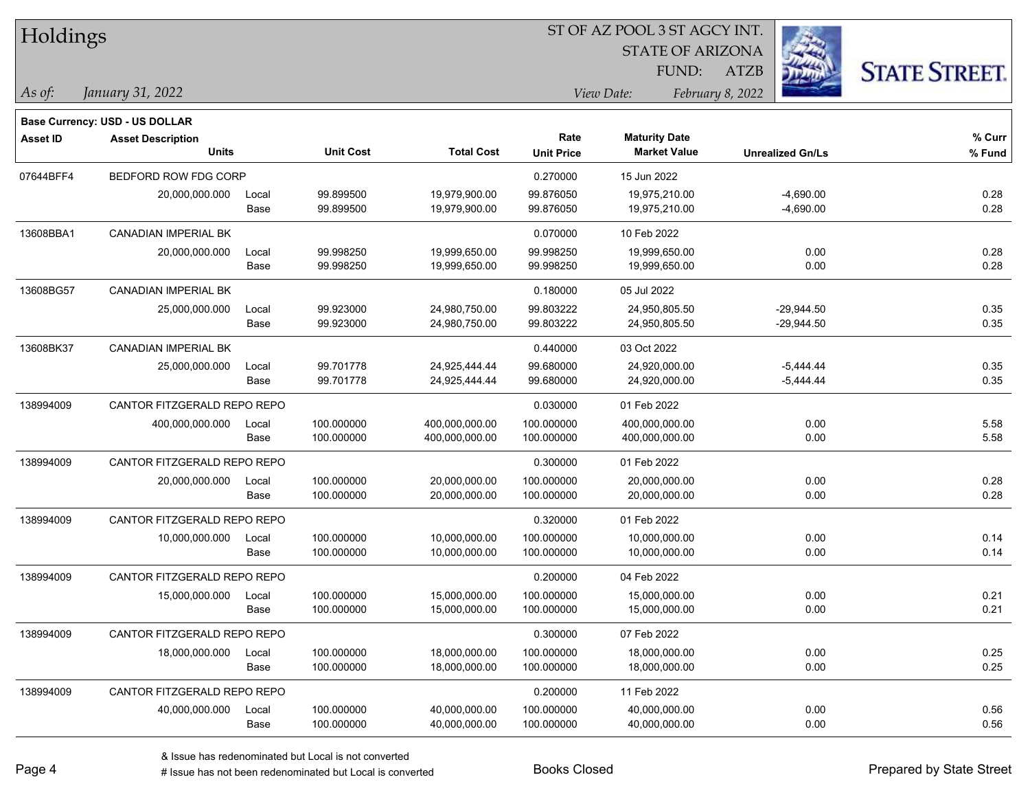| Holdings        |                                                            |       |                  |                   | ST OF AZ POOL 3 ST AGCY INT.<br><b>STATE OF ARIZONA</b> |                      |                         |                      |  |  |
|-----------------|------------------------------------------------------------|-------|------------------|-------------------|---------------------------------------------------------|----------------------|-------------------------|----------------------|--|--|
|                 |                                                            |       |                  |                   |                                                         | FUND:                | <b>ATZB</b>             |                      |  |  |
| As of:          | January 31, 2022                                           |       |                  |                   |                                                         | View Date:           | February 8, 2022        | <b>STATE STREET.</b> |  |  |
|                 |                                                            |       |                  |                   |                                                         |                      |                         |                      |  |  |
| <b>Asset ID</b> | Base Currency: USD - US DOLLAR<br><b>Asset Description</b> |       |                  |                   | Rate                                                    | <b>Maturity Date</b> |                         | % Curr               |  |  |
|                 | <b>Units</b>                                               |       | <b>Unit Cost</b> | <b>Total Cost</b> | <b>Unit Price</b>                                       | <b>Market Value</b>  | <b>Unrealized Gn/Ls</b> | % Fund               |  |  |
| 07644BFF4       | BEDFORD ROW FDG CORP                                       |       |                  |                   | 0.270000                                                | 15 Jun 2022          |                         |                      |  |  |
|                 | 20,000,000.000                                             | Local | 99.899500        | 19,979,900.00     | 99.876050                                               | 19,975,210.00        | $-4,690.00$             | 0.28                 |  |  |
|                 |                                                            | Base  | 99.899500        | 19,979,900.00     | 99.876050                                               | 19,975,210.00        | $-4,690.00$             | 0.28                 |  |  |
| 13608BBA1       | <b>CANADIAN IMPERIAL BK</b>                                |       |                  |                   | 0.070000                                                | 10 Feb 2022          |                         |                      |  |  |
|                 | 20,000,000.000                                             | Local | 99.998250        | 19,999,650.00     | 99.998250                                               | 19,999,650.00        | 0.00                    | 0.28                 |  |  |
|                 |                                                            | Base  | 99.998250        | 19,999,650.00     | 99.998250                                               | 19,999,650.00        | 0.00                    | 0.28                 |  |  |
| 13608BG57       | <b>CANADIAN IMPERIAL BK</b>                                |       |                  |                   | 0.180000                                                | 05 Jul 2022          |                         |                      |  |  |
|                 | 25,000,000.000                                             | Local | 99.923000        | 24,980,750.00     | 99.803222                                               | 24,950,805.50        | -29,944.50              | 0.35                 |  |  |
|                 |                                                            | Base  | 99.923000        | 24,980,750.00     | 99.803222                                               | 24,950,805.50        | $-29,944.50$            | 0.35                 |  |  |
| 13608BK37       | CANADIAN IMPERIAL BK                                       |       |                  |                   | 0.440000                                                | 03 Oct 2022          |                         |                      |  |  |
|                 | 25,000,000.000                                             | Local | 99.701778        | 24,925,444.44     | 99.680000                                               | 24,920,000.00        | $-5,444.44$             | 0.35                 |  |  |
|                 |                                                            | Base  | 99.701778        | 24,925,444.44     | 99.680000                                               | 24,920,000.00        | $-5,444.44$             | 0.35                 |  |  |
| 138994009       | CANTOR FITZGERALD REPO REPO                                |       |                  |                   | 0.030000                                                | 01 Feb 2022          |                         |                      |  |  |
|                 | 400,000,000.000                                            | Local | 100.000000       | 400,000,000.00    | 100.000000                                              | 400,000,000.00       | 0.00                    | 5.58                 |  |  |
|                 |                                                            | Base  | 100.000000       | 400,000,000.00    | 100.000000                                              | 400,000,000.00       | 0.00                    | 5.58                 |  |  |
| 138994009       | CANTOR FITZGERALD REPO REPO                                |       |                  |                   | 0.300000                                                | 01 Feb 2022          |                         |                      |  |  |
|                 | 20,000,000.000                                             | Local | 100.000000       | 20,000,000.00     | 100.000000                                              | 20,000,000.00        | 0.00                    | 0.28                 |  |  |
|                 |                                                            | Base  | 100.000000       | 20,000,000.00     | 100.000000                                              | 20,000,000.00        | 0.00                    | 0.28                 |  |  |
| 138994009       | CANTOR FITZGERALD REPO REPO                                |       |                  |                   | 0.320000                                                | 01 Feb 2022          |                         |                      |  |  |
|                 | 10,000,000.000                                             | Local | 100.000000       | 10,000,000.00     | 100.000000                                              | 10,000,000.00        | 0.00                    | 0.14                 |  |  |
|                 |                                                            | Base  | 100.000000       | 10,000,000.00     | 100.000000                                              | 10,000,000.00        | 0.00                    | 0.14                 |  |  |
| 138994009       | CANTOR FITZGERALD REPO REPO                                |       |                  |                   | 0.200000                                                | 04 Feb 2022          |                         |                      |  |  |
|                 | 15,000,000.000                                             | Local | 100.000000       | 15,000,000.00     | 100.000000                                              | 15,000,000.00        | 0.00                    | 0.21                 |  |  |
|                 |                                                            | Base  | 100.000000       | 15,000,000.00     | 100.000000                                              | 15,000,000.00        | 0.00                    | 0.21                 |  |  |
| 138994009       | CANTOR FITZGERALD REPO REPO                                |       |                  |                   | 0.300000                                                | 07 Feb 2022          |                         |                      |  |  |
|                 | 18,000,000.000                                             | Local | 100.000000       | 18,000,000.00     | 100.000000                                              | 18,000,000.00        | 0.00                    | 0.25                 |  |  |
|                 |                                                            | Base  | 100.000000       | 18,000,000.00     | 100.000000                                              | 18,000,000.00        | 0.00                    | 0.25                 |  |  |
| 138994009       | CANTOR FITZGERALD REPO REPO                                |       |                  |                   | 0.200000                                                | 11 Feb 2022          |                         |                      |  |  |
|                 | 40,000,000.000                                             | Local | 100.000000       | 40,000,000.00     | 100.000000                                              | 40,000,000.00        | 0.00                    | 0.56                 |  |  |
|                 |                                                            | Base  | 100.000000       | 40,000,000.00     | 100.000000                                              | 40,000,000.00        | 0.00                    | 0.56                 |  |  |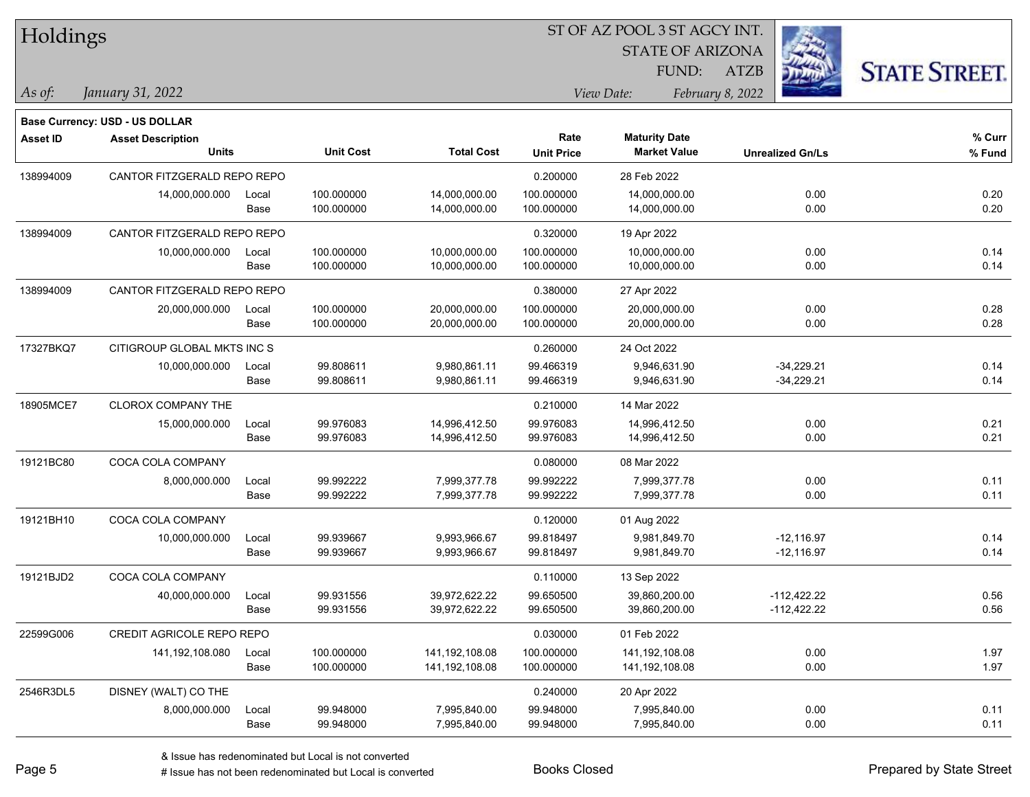| Holdings        |                                                                   |       |                  |                   | ST OF AZ POOL 3 ST AGCY INT. |                         |                  |                         |                      |  |
|-----------------|-------------------------------------------------------------------|-------|------------------|-------------------|------------------------------|-------------------------|------------------|-------------------------|----------------------|--|
|                 |                                                                   |       |                  |                   |                              | <b>STATE OF ARIZONA</b> |                  |                         |                      |  |
|                 |                                                                   |       |                  |                   |                              | FUND:                   | <b>ATZB</b>      |                         | <b>STATE STREET.</b> |  |
| $\vert$ As of:  | January 31, 2022                                                  |       |                  |                   |                              | View Date:              | February 8, 2022 |                         |                      |  |
|                 |                                                                   |       |                  |                   |                              |                         |                  |                         |                      |  |
| <b>Asset ID</b> | <b>Base Currency: USD - US DOLLAR</b><br><b>Asset Description</b> |       |                  |                   | Rate                         | <b>Maturity Date</b>    |                  |                         | % Curr               |  |
|                 | <b>Units</b>                                                      |       | <b>Unit Cost</b> | <b>Total Cost</b> | <b>Unit Price</b>            | <b>Market Value</b>     |                  | <b>Unrealized Gn/Ls</b> | % Fund               |  |
| 138994009       | CANTOR FITZGERALD REPO REPO                                       |       |                  |                   | 0.200000                     | 28 Feb 2022             |                  |                         |                      |  |
|                 | 14,000,000.000                                                    | Local | 100.000000       | 14,000,000.00     | 100.000000                   | 14,000,000.00           |                  | 0.00                    | 0.20                 |  |
|                 |                                                                   | Base  | 100.000000       | 14,000,000.00     | 100.000000                   | 14,000,000.00           |                  | 0.00                    | 0.20                 |  |
| 138994009       | CANTOR FITZGERALD REPO REPO                                       |       |                  |                   | 0.320000                     | 19 Apr 2022             |                  |                         |                      |  |
|                 | 10,000,000.000                                                    | Local | 100.000000       | 10,000,000.00     | 100.000000                   | 10,000,000.00           |                  | 0.00                    | 0.14                 |  |
|                 |                                                                   | Base  | 100.000000       | 10,000,000.00     | 100.000000                   | 10,000,000.00           |                  | 0.00                    | 0.14                 |  |
| 138994009       | CANTOR FITZGERALD REPO REPO                                       |       |                  |                   | 0.380000                     | 27 Apr 2022             |                  |                         |                      |  |
|                 | 20,000,000.000                                                    | Local | 100.000000       | 20,000,000.00     | 100.000000                   | 20,000,000.00           |                  | 0.00                    | 0.28                 |  |
|                 |                                                                   | Base  | 100.000000       | 20,000,000.00     | 100.000000                   | 20,000,000.00           |                  | 0.00                    | 0.28                 |  |
| 17327BKQ7       | CITIGROUP GLOBAL MKTS INC S                                       |       |                  |                   | 0.260000                     | 24 Oct 2022             |                  |                         |                      |  |
|                 | 10,000,000.000                                                    | Local | 99.808611        | 9,980,861.11      | 99.466319                    | 9,946,631.90            |                  | $-34,229.21$            | 0.14                 |  |
|                 |                                                                   | Base  | 99.808611        | 9,980,861.11      | 99.466319                    | 9,946,631.90            |                  | $-34,229.21$            | 0.14                 |  |
| 18905MCE7       | <b>CLOROX COMPANY THE</b>                                         |       |                  |                   | 0.210000                     | 14 Mar 2022             |                  |                         |                      |  |
|                 | 15,000,000.000                                                    | Local | 99.976083        | 14,996,412.50     | 99.976083                    | 14,996,412.50           |                  | 0.00                    | 0.21                 |  |
|                 |                                                                   | Base  | 99.976083        | 14,996,412.50     | 99.976083                    | 14,996,412.50           |                  | 0.00                    | 0.21                 |  |
| 19121BC80       | COCA COLA COMPANY                                                 |       |                  |                   | 0.080000                     | 08 Mar 2022             |                  |                         |                      |  |
|                 | 8,000,000.000                                                     | Local | 99.992222        | 7,999,377.78      | 99.992222                    | 7,999,377.78            |                  | 0.00                    | 0.11                 |  |
|                 |                                                                   | Base  | 99.992222        | 7,999,377.78      | 99.992222                    | 7,999,377.78            |                  | 0.00                    | 0.11                 |  |
| 19121BH10       | COCA COLA COMPANY                                                 |       |                  |                   | 0.120000                     | 01 Aug 2022             |                  |                         |                      |  |
|                 | 10,000,000.000                                                    | Local | 99.939667        | 9,993,966.67      | 99.818497                    | 9,981,849.70            |                  | $-12,116.97$            | 0.14                 |  |
|                 |                                                                   | Base  | 99.939667        | 9,993,966.67      | 99.818497                    | 9,981,849.70            |                  | $-12,116.97$            | 0.14                 |  |
| 19121BJD2       | COCA COLA COMPANY                                                 |       |                  |                   | 0.110000                     | 13 Sep 2022             |                  |                         |                      |  |
|                 | 40,000,000.000                                                    | Local | 99.931556        | 39,972,622.22     | 99.650500                    | 39,860,200.00           |                  | $-112,422.22$           | 0.56                 |  |
|                 |                                                                   | Base  | 99.931556        | 39,972,622.22     | 99.650500                    | 39,860,200.00           |                  | $-112,422.22$           | 0.56                 |  |
| 22599G006       | <b>CREDIT AGRICOLE REPO REPO</b>                                  |       |                  |                   | 0.030000                     | 01 Feb 2022             |                  |                         |                      |  |
|                 | 141,192,108.080                                                   | Local | 100.000000       | 141,192,108.08    | 100.000000                   | 141,192,108.08          |                  | 0.00                    | 1.97                 |  |
|                 |                                                                   | Base  | 100.000000       | 141,192,108.08    | 100.000000                   | 141,192,108.08          |                  | 0.00                    | 1.97                 |  |
| 2546R3DL5       | DISNEY (WALT) CO THE                                              |       |                  |                   | 0.240000                     | 20 Apr 2022             |                  |                         |                      |  |
|                 | 8,000,000.000                                                     | Local | 99.948000        | 7,995,840.00      | 99.948000                    | 7,995,840.00            |                  | 0.00                    | 0.11                 |  |
|                 |                                                                   | Base  | 99.948000        | 7,995,840.00      | 99.948000                    | 7,995,840.00            |                  | 0.00                    | 0.11                 |  |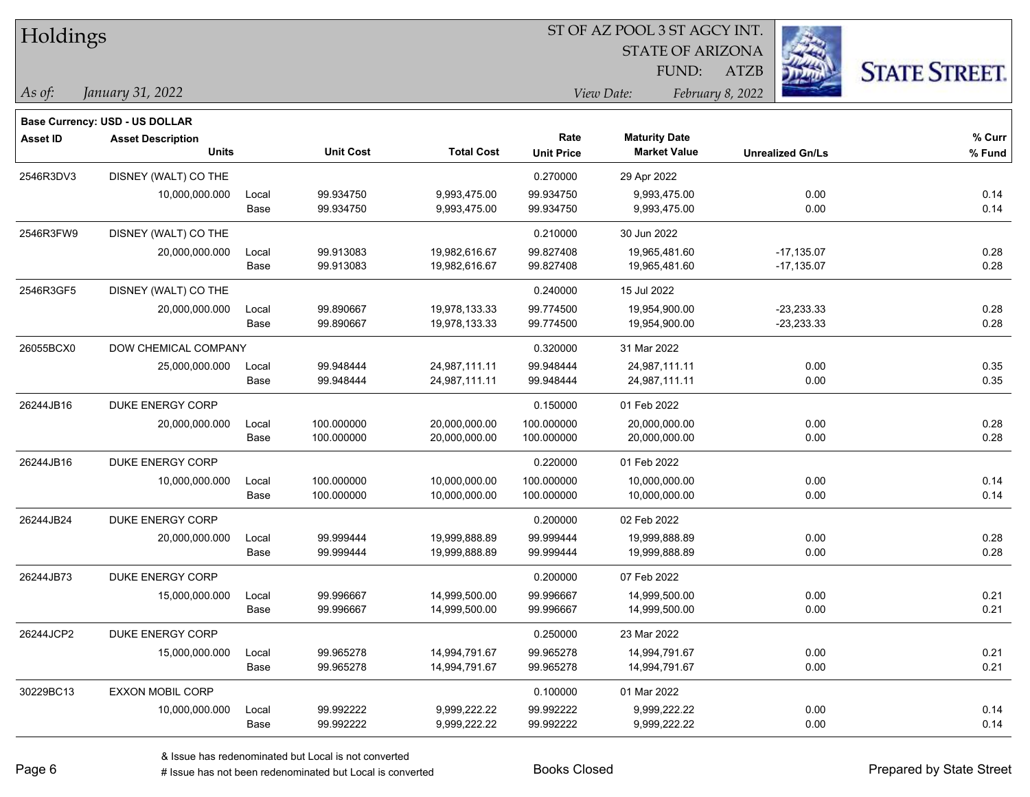| Holdings        |                                       |       |                  | ST OF AZ POOL 3 ST AGCY INT. |                   |                         |                         |                      |  |  |  |
|-----------------|---------------------------------------|-------|------------------|------------------------------|-------------------|-------------------------|-------------------------|----------------------|--|--|--|
|                 |                                       |       |                  |                              |                   | <b>STATE OF ARIZONA</b> |                         |                      |  |  |  |
|                 |                                       |       |                  |                              |                   | FUND:                   | <b>ATZB</b>             | <b>STATE STREET.</b> |  |  |  |
| As of:          | January 31, 2022                      |       |                  |                              |                   | View Date:              | February 8, 2022        |                      |  |  |  |
|                 | <b>Base Currency: USD - US DOLLAR</b> |       |                  |                              |                   |                         |                         |                      |  |  |  |
| <b>Asset ID</b> | <b>Asset Description</b>              |       |                  |                              | Rate              | <b>Maturity Date</b>    |                         | % Curr               |  |  |  |
|                 | <b>Units</b>                          |       | <b>Unit Cost</b> | <b>Total Cost</b>            | <b>Unit Price</b> | <b>Market Value</b>     | <b>Unrealized Gn/Ls</b> | % Fund               |  |  |  |
| 2546R3DV3       | DISNEY (WALT) CO THE                  |       |                  |                              | 0.270000          | 29 Apr 2022             |                         |                      |  |  |  |
|                 | 10,000,000.000                        | Local | 99.934750        | 9,993,475.00                 | 99.934750         | 9,993,475.00            | 0.00                    | 0.14                 |  |  |  |
|                 |                                       | Base  | 99.934750        | 9,993,475.00                 | 99.934750         | 9,993,475.00            | 0.00                    | 0.14                 |  |  |  |
| 2546R3FW9       | DISNEY (WALT) CO THE                  |       |                  |                              | 0.210000          | 30 Jun 2022             |                         |                      |  |  |  |
|                 | 20,000,000.000                        | Local | 99.913083        | 19,982,616.67                | 99.827408         | 19,965,481.60           | $-17,135.07$            | 0.28                 |  |  |  |
|                 |                                       | Base  | 99.913083        | 19,982,616.67                | 99.827408         | 19,965,481.60           | $-17,135.07$            | 0.28                 |  |  |  |
| 2546R3GF5       | DISNEY (WALT) CO THE                  |       |                  |                              | 0.240000          | 15 Jul 2022             |                         |                      |  |  |  |
|                 | 20,000,000.000                        | Local | 99.890667        | 19,978,133.33                | 99.774500         | 19,954,900.00           | $-23,233.33$            | 0.28                 |  |  |  |
|                 |                                       | Base  | 99.890667        | 19,978,133.33                | 99.774500         | 19,954,900.00           | $-23,233.33$            | 0.28                 |  |  |  |
| 26055BCX0       | DOW CHEMICAL COMPANY                  |       |                  |                              | 0.320000          | 31 Mar 2022             |                         |                      |  |  |  |
|                 | 25,000,000.000                        | Local | 99.948444        | 24,987,111.11                | 99.948444         | 24,987,111.11           | 0.00                    | 0.35                 |  |  |  |
|                 |                                       | Base  | 99.948444        | 24,987,111.11                | 99.948444         | 24,987,111.11           | 0.00                    | 0.35                 |  |  |  |
| 26244JB16       | DUKE ENERGY CORP                      |       |                  |                              | 0.150000          | 01 Feb 2022             |                         |                      |  |  |  |
|                 | 20,000,000.000                        | Local | 100.000000       | 20,000,000.00                | 100.000000        | 20,000,000.00           | 0.00                    | 0.28                 |  |  |  |
|                 |                                       | Base  | 100.000000       | 20,000,000.00                | 100.000000        | 20,000,000.00           | 0.00                    | 0.28                 |  |  |  |
| 26244JB16       | <b>DUKE ENERGY CORP</b>               |       |                  |                              | 0.220000          | 01 Feb 2022             |                         |                      |  |  |  |
|                 | 10,000,000.000                        | Local | 100.000000       | 10,000,000.00                | 100.000000        | 10,000,000.00           | 0.00                    | 0.14                 |  |  |  |
|                 |                                       | Base  | 100.000000       | 10,000,000.00                | 100.000000        | 10,000,000.00           | 0.00                    | 0.14                 |  |  |  |
| 26244JB24       | DUKE ENERGY CORP                      |       |                  |                              | 0.200000          | 02 Feb 2022             |                         |                      |  |  |  |
|                 | 20,000,000.000                        | Local | 99.999444        | 19,999,888.89                | 99.999444         | 19,999,888.89           | 0.00                    | 0.28                 |  |  |  |
|                 |                                       | Base  | 99.999444        | 19,999,888.89                | 99.999444         | 19,999,888.89           | 0.00                    | 0.28                 |  |  |  |
| 26244JB73       | DUKE ENERGY CORP                      |       |                  |                              | 0.200000          | 07 Feb 2022             |                         |                      |  |  |  |
|                 | 15,000,000.000                        | Local | 99.996667        | 14,999,500.00                | 99.996667         | 14,999,500.00           | 0.00                    | 0.21                 |  |  |  |
|                 |                                       | Base  | 99.996667        | 14,999,500.00                | 99.996667         | 14,999,500.00           | 0.00                    | 0.21                 |  |  |  |
| 26244JCP2       | DUKE ENERGY CORP                      |       |                  |                              | 0.250000          | 23 Mar 2022             |                         |                      |  |  |  |
|                 | 15,000,000.000                        | Local | 99.965278        | 14,994,791.67                | 99.965278         | 14,994,791.67           | 0.00                    | 0.21                 |  |  |  |
|                 |                                       | Base  | 99.965278        | 14,994,791.67                | 99.965278         | 14,994,791.67           | 0.00                    | 0.21                 |  |  |  |
| 30229BC13       | <b>EXXON MOBIL CORP</b>               |       |                  |                              | 0.100000          | 01 Mar 2022             |                         |                      |  |  |  |
|                 | 10,000,000.000                        | Local | 99.992222        | 9,999,222.22                 | 99.992222         | 9,999,222.22            | 0.00                    | 0.14                 |  |  |  |
|                 |                                       | Base  | 99.992222        | 9,999,222.22                 | 99.992222         | 9,999,222.22            | 0.00                    | 0.14                 |  |  |  |

 $\overline{\phantom{0}}$ 

 $\overline{\phantom{0}}$ 

 $\overline{\phantom{0}}$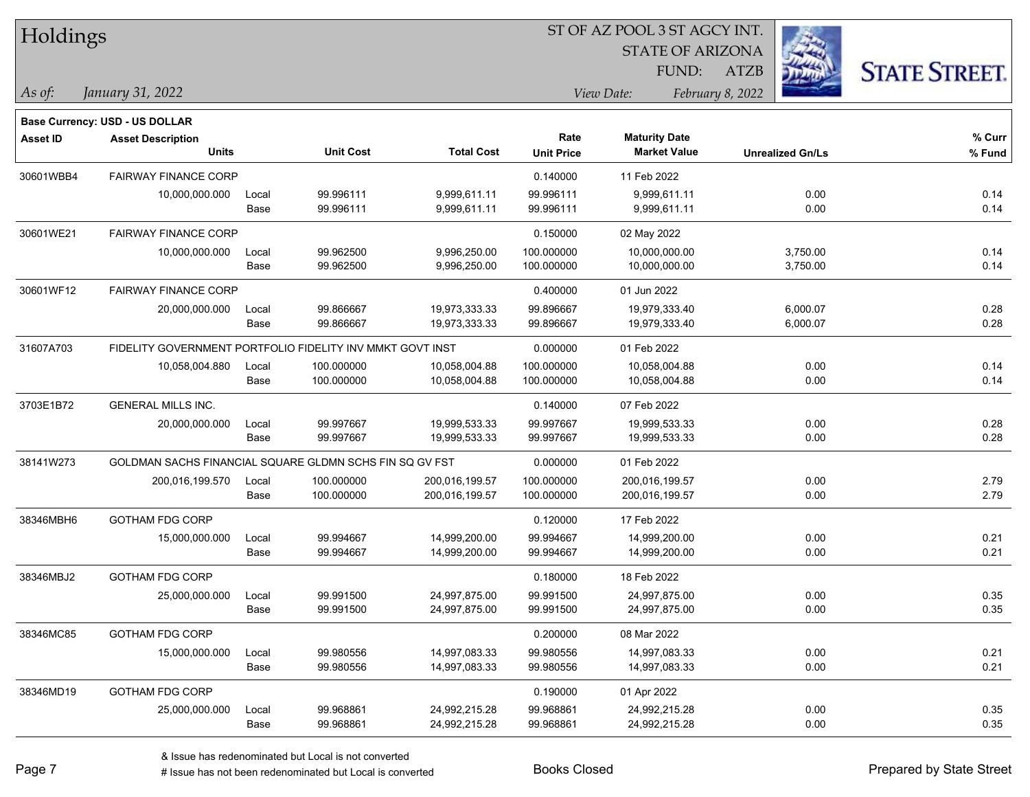| Holdings        |                                                                   |       |                  |                   | ST OF AZ POOL 3 ST AGCY INT.<br><b>STATE OF ARIZONA</b> |                      |                                 |                         |                      |
|-----------------|-------------------------------------------------------------------|-------|------------------|-------------------|---------------------------------------------------------|----------------------|---------------------------------|-------------------------|----------------------|
|                 |                                                                   |       |                  |                   |                                                         | FUND:                |                                 |                         |                      |
| As of:          | January 31, 2022                                                  |       |                  |                   |                                                         | View Date:           | <b>ATZB</b><br>February 8, 2022 |                         | <b>STATE STREET.</b> |
|                 |                                                                   |       |                  |                   |                                                         |                      |                                 |                         |                      |
| <b>Asset ID</b> | <b>Base Currency: USD - US DOLLAR</b><br><b>Asset Description</b> |       |                  |                   | Rate                                                    | <b>Maturity Date</b> |                                 |                         | % Curr               |
|                 | <b>Units</b>                                                      |       | <b>Unit Cost</b> | <b>Total Cost</b> | <b>Unit Price</b>                                       | <b>Market Value</b>  |                                 | <b>Unrealized Gn/Ls</b> | % Fund               |
| 30601WBB4       | <b>FAIRWAY FINANCE CORP</b>                                       |       |                  |                   | 0.140000                                                | 11 Feb 2022          |                                 |                         |                      |
|                 | 10,000,000.000                                                    | Local | 99.996111        | 9,999,611.11      | 99.996111                                               | 9,999,611.11         |                                 | 0.00                    | 0.14                 |
|                 |                                                                   | Base  | 99.996111        | 9,999,611.11      | 99.996111                                               | 9,999,611.11         |                                 | 0.00                    | 0.14                 |
| 30601WE21       | <b>FAIRWAY FINANCE CORP</b>                                       |       |                  |                   | 0.150000                                                | 02 May 2022          |                                 |                         |                      |
|                 | 10,000,000.000                                                    | Local | 99.962500        | 9,996,250.00      | 100.000000                                              | 10,000,000.00        |                                 | 3,750.00                | 0.14                 |
|                 |                                                                   | Base  | 99.962500        | 9,996,250.00      | 100.000000                                              | 10,000,000.00        |                                 | 3,750.00                | 0.14                 |
| 30601WF12       | <b>FAIRWAY FINANCE CORP</b>                                       |       |                  |                   | 0.400000                                                | 01 Jun 2022          |                                 |                         |                      |
|                 | 20,000,000.000                                                    | Local | 99.866667        | 19,973,333.33     | 99.896667                                               | 19,979,333.40        |                                 | 6,000.07                | 0.28                 |
|                 |                                                                   | Base  | 99.866667        | 19,973,333.33     | 99.896667                                               | 19,979,333.40        |                                 | 6,000.07                | 0.28                 |
| 31607A703       | FIDELITY GOVERNMENT PORTFOLIO FIDELITY INV MMKT GOVT INST         |       |                  |                   | 0.000000                                                | 01 Feb 2022          |                                 |                         |                      |
|                 | 10,058,004.880                                                    | Local | 100.000000       | 10,058,004.88     | 100.000000                                              | 10,058,004.88        |                                 | 0.00                    | 0.14                 |
|                 |                                                                   | Base  | 100.000000       | 10,058,004.88     | 100.000000                                              | 10,058,004.88        |                                 | 0.00                    | 0.14                 |
| 3703E1B72       | <b>GENERAL MILLS INC.</b>                                         |       |                  |                   | 0.140000                                                | 07 Feb 2022          |                                 |                         |                      |
|                 | 20,000,000.000                                                    | Local | 99.997667        | 19,999,533.33     | 99.997667                                               | 19,999,533.33        |                                 | 0.00                    | 0.28                 |
|                 |                                                                   | Base  | 99.997667        | 19,999,533.33     | 99.997667                                               | 19,999,533.33        |                                 | 0.00                    | 0.28                 |
| 38141W273       | GOLDMAN SACHS FINANCIAL SQUARE GLDMN SCHS FIN SQ GV FST           |       |                  |                   | 0.000000                                                | 01 Feb 2022          |                                 |                         |                      |
|                 | 200,016,199.570                                                   | Local | 100.000000       | 200,016,199.57    | 100.000000                                              | 200,016,199.57       |                                 | 0.00                    | 2.79                 |
|                 |                                                                   | Base  | 100.000000       | 200,016,199.57    | 100.000000                                              | 200,016,199.57       |                                 | 0.00                    | 2.79                 |
| 38346MBH6       | <b>GOTHAM FDG CORP</b>                                            |       |                  |                   | 0.120000                                                | 17 Feb 2022          |                                 |                         |                      |
|                 | 15,000,000.000                                                    | Local | 99.994667        | 14,999,200.00     | 99.994667                                               | 14,999,200.00        |                                 | 0.00                    | 0.21                 |
|                 |                                                                   | Base  | 99.994667        | 14,999,200.00     | 99.994667                                               | 14,999,200.00        |                                 | 0.00                    | 0.21                 |
| 38346MBJ2       | <b>GOTHAM FDG CORP</b>                                            |       |                  |                   | 0.180000                                                | 18 Feb 2022          |                                 |                         |                      |
|                 | 25,000,000.000                                                    | Local | 99.991500        | 24,997,875.00     | 99.991500                                               | 24,997,875.00        |                                 | 0.00                    | 0.35                 |
|                 |                                                                   | Base  | 99.991500        | 24,997,875.00     | 99.991500                                               | 24,997,875.00        |                                 | 0.00                    | 0.35                 |
| 38346MC85       | GOTHAM FDG CORP                                                   |       |                  |                   | 0.200000                                                | 08 Mar 2022          |                                 |                         |                      |
|                 | 15,000,000.000                                                    | Local | 99.980556        | 14,997,083.33     | 99.980556                                               | 14,997,083.33        |                                 | 0.00                    | 0.21                 |
|                 |                                                                   | Base  | 99.980556        | 14,997,083.33     | 99.980556                                               | 14,997,083.33        |                                 | 0.00                    | 0.21                 |
| 38346MD19       | <b>GOTHAM FDG CORP</b>                                            |       |                  |                   | 0.190000                                                | 01 Apr 2022          |                                 |                         |                      |
|                 | 25,000,000.000                                                    | Local | 99.968861        | 24,992,215.28     | 99.968861                                               | 24,992,215.28        |                                 | 0.00                    | 0.35                 |
|                 |                                                                   | Base  | 99.968861        | 24,992,215.28     | 99.968861                                               | 24,992,215.28        |                                 | 0.00                    | 0.35                 |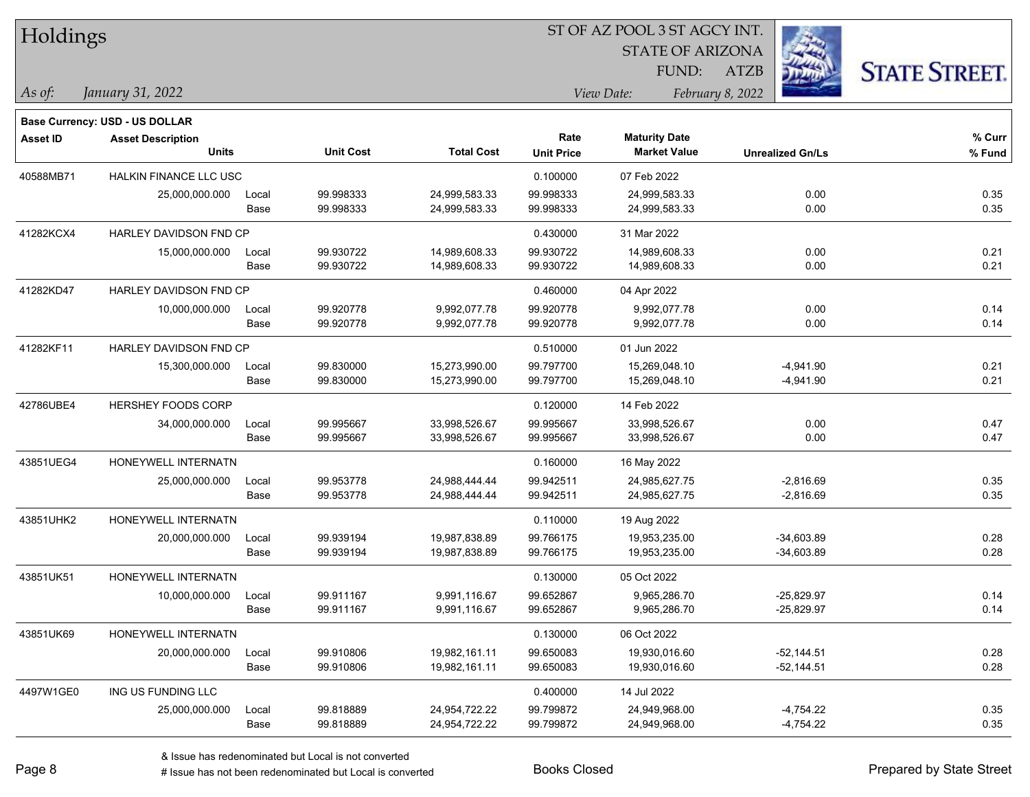| Holdings        |                                |       |                  |                   | 51 OF AZ POOL 3 51 AGCY INT. |                         |                         |                      |  |  |
|-----------------|--------------------------------|-------|------------------|-------------------|------------------------------|-------------------------|-------------------------|----------------------|--|--|
|                 |                                |       |                  |                   |                              | <b>STATE OF ARIZONA</b> |                         |                      |  |  |
|                 |                                |       |                  |                   |                              | FUND:                   | <b>ATZB</b>             | <b>STATE STREET.</b> |  |  |
| $As$ of:        | January 31, 2022               |       |                  |                   |                              | View Date:              | February 8, 2022        |                      |  |  |
|                 | Base Currency: USD - US DOLLAR |       |                  |                   |                              |                         |                         |                      |  |  |
| <b>Asset ID</b> | <b>Asset Description</b>       |       |                  |                   | Rate                         | <b>Maturity Date</b>    |                         | % Curr               |  |  |
|                 | <b>Units</b>                   |       | <b>Unit Cost</b> | <b>Total Cost</b> | <b>Unit Price</b>            | <b>Market Value</b>     | <b>Unrealized Gn/Ls</b> | % Fund               |  |  |
| 40588MB71       | <b>HALKIN FINANCE LLC USC</b>  |       |                  |                   | 0.100000                     | 07 Feb 2022             |                         |                      |  |  |
|                 | 25,000,000.000                 | Local | 99.998333        | 24,999,583.33     | 99.998333                    | 24,999,583.33           | 0.00                    | 0.35                 |  |  |
|                 |                                | Base  | 99.998333        | 24,999,583.33     | 99.998333                    | 24,999,583.33           | 0.00                    | 0.35                 |  |  |
| 41282KCX4       | HARLEY DAVIDSON FND CP         |       |                  |                   | 0.430000                     | 31 Mar 2022             |                         |                      |  |  |
|                 | 15,000,000.000                 | Local | 99.930722        | 14,989,608.33     | 99.930722                    | 14,989,608.33           | 0.00                    | 0.21                 |  |  |
|                 |                                | Base  | 99.930722        | 14,989,608.33     | 99.930722                    | 14,989,608.33           | 0.00                    | 0.21                 |  |  |
| 41282KD47       | HARLEY DAVIDSON FND CP         |       |                  |                   | 0.460000                     | 04 Apr 2022             |                         |                      |  |  |
|                 | 10,000,000.000                 | Local | 99.920778        | 9,992,077.78      | 99.920778                    | 9,992,077.78            | 0.00                    | 0.14                 |  |  |
|                 |                                | Base  | 99.920778        | 9,992,077.78      | 99.920778                    | 9,992,077.78            | 0.00                    | 0.14                 |  |  |
| 41282KF11       | HARLEY DAVIDSON FND CP         |       |                  |                   | 0.510000                     | 01 Jun 2022             |                         |                      |  |  |
|                 | 15,300,000.000                 | Local | 99.830000        | 15,273,990.00     | 99.797700                    | 15,269,048.10           | $-4,941.90$             | 0.21                 |  |  |
|                 |                                | Base  | 99.830000        | 15,273,990.00     | 99.797700                    | 15,269,048.10           | $-4,941.90$             | 0.21                 |  |  |
| 42786UBE4       | HERSHEY FOODS CORP             |       |                  |                   | 0.120000                     | 14 Feb 2022             |                         |                      |  |  |
|                 | 34,000,000.000                 | Local | 99.995667        | 33,998,526.67     | 99.995667                    | 33,998,526.67           | 0.00                    | 0.47                 |  |  |
|                 |                                | Base  | 99.995667        | 33,998,526.67     | 99.995667                    | 33,998,526.67           | 0.00                    | 0.47                 |  |  |
| 43851UEG4       | HONEYWELL INTERNATN            |       |                  |                   | 0.160000                     | 16 May 2022             |                         |                      |  |  |
|                 | 25,000,000.000                 | Local | 99.953778        | 24,988,444.44     | 99.942511                    | 24,985,627.75           | $-2,816.69$             | 0.35                 |  |  |
|                 |                                | Base  | 99.953778        | 24,988,444.44     | 99.942511                    | 24,985,627.75           | $-2,816.69$             | 0.35                 |  |  |
| 43851UHK2       | HONEYWELL INTERNATN            |       |                  |                   | 0.110000                     | 19 Aug 2022             |                         |                      |  |  |
|                 | 20,000,000.000                 | Local | 99.939194        | 19,987,838.89     | 99.766175                    | 19,953,235.00           | $-34,603.89$            | 0.28                 |  |  |
|                 |                                | Base  | 99.939194        | 19,987,838.89     | 99.766175                    | 19,953,235.00           | $-34,603.89$            | 0.28                 |  |  |
| 43851UK51       | HONEYWELL INTERNATN            |       |                  |                   | 0.130000                     | 05 Oct 2022             |                         |                      |  |  |
|                 | 10,000,000.000                 | Local | 99.911167        | 9,991,116.67      | 99.652867                    | 9,965,286.70            | $-25,829.97$            | 0.14                 |  |  |
|                 |                                | Base  | 99.911167        | 9,991,116.67      | 99.652867                    | 9,965,286.70            | $-25,829.97$            | 0.14                 |  |  |
| 43851UK69       | HONEYWELL INTERNATN            |       |                  |                   | 0.130000                     | 06 Oct 2022             |                         |                      |  |  |
|                 | 20,000,000.000                 | Local | 99.910806        | 19,982,161.11     | 99.650083                    | 19,930,016.60           | $-52,144.51$            | 0.28                 |  |  |
|                 |                                | Base  | 99.910806        | 19,982,161.11     | 99.650083                    | 19,930,016.60           | $-52,144.51$            | 0.28                 |  |  |
| 4497W1GE0       | ING US FUNDING LLC             |       |                  |                   | 0.400000                     | 14 Jul 2022             |                         |                      |  |  |
|                 | 25,000,000.000                 | Local | 99.818889        | 24,954,722.22     | 99.799872                    | 24,949,968.00           | $-4,754.22$             | 0.35                 |  |  |
|                 |                                | Base  | 99.818889        | 24,954,722.22     | 99.799872                    | 24,949,968.00           | $-4,754.22$             | 0.35                 |  |  |

 $STOTAT$   $17 DOOT$  3  $ST A GOCH$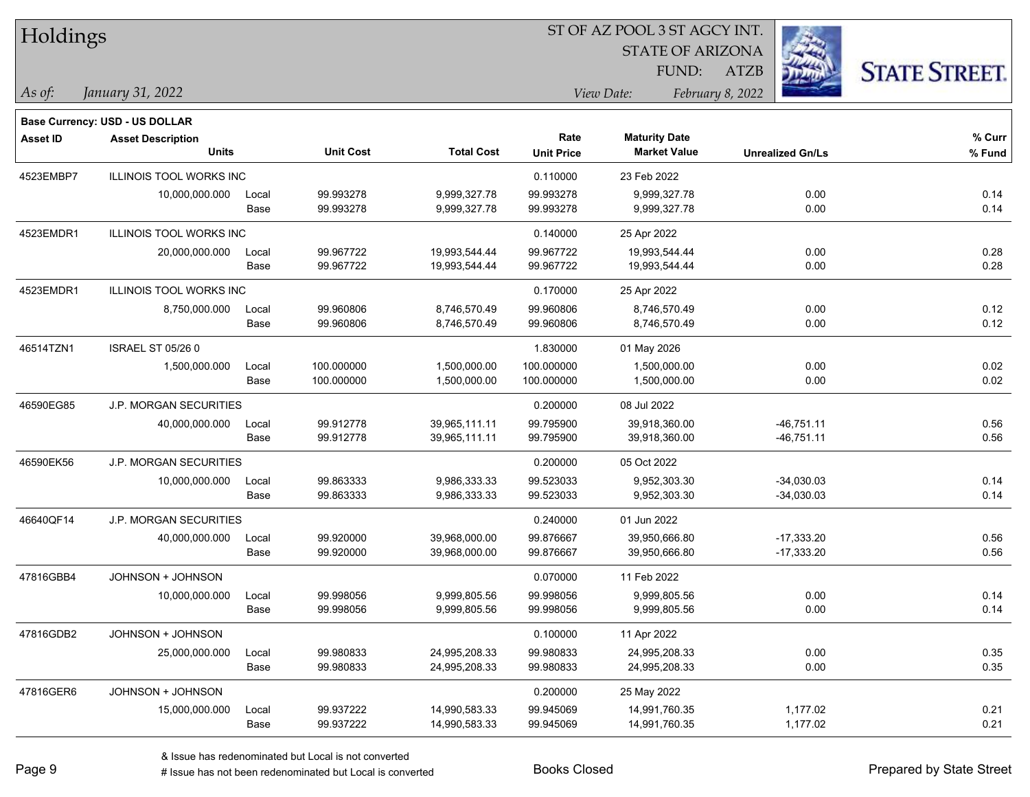| Holdings        |                                                            |       |                  |                   | ST OF AZ POOL 3 ST AGCY INT. |                         |                         |                      |  |  |
|-----------------|------------------------------------------------------------|-------|------------------|-------------------|------------------------------|-------------------------|-------------------------|----------------------|--|--|
|                 |                                                            |       |                  |                   |                              | <b>STATE OF ARIZONA</b> |                         |                      |  |  |
|                 |                                                            |       |                  |                   |                              | FUND:                   | <b>ATZB</b>             | <b>STATE STREET.</b> |  |  |
| As of:          | January 31, 2022                                           |       |                  |                   | View Date:                   |                         | February 8, 2022        |                      |  |  |
|                 |                                                            |       |                  |                   |                              |                         |                         |                      |  |  |
| <b>Asset ID</b> | Base Currency: USD - US DOLLAR<br><b>Asset Description</b> |       |                  |                   | Rate                         | <b>Maturity Date</b>    |                         | $%$ Curr             |  |  |
|                 | <b>Units</b>                                               |       | <b>Unit Cost</b> | <b>Total Cost</b> | <b>Unit Price</b>            | <b>Market Value</b>     | <b>Unrealized Gn/Ls</b> | % Fund               |  |  |
| 4523EMBP7       | <b>ILLINOIS TOOL WORKS INC</b>                             |       |                  |                   | 0.110000                     | 23 Feb 2022             |                         |                      |  |  |
|                 | 10,000,000.000                                             | Local | 99.993278        | 9,999,327.78      | 99.993278                    | 9,999,327.78            | 0.00                    | 0.14                 |  |  |
|                 |                                                            | Base  | 99.993278        | 9,999,327.78      | 99.993278                    | 9,999,327.78            | 0.00                    | 0.14                 |  |  |
| 4523EMDR1       | <b>ILLINOIS TOOL WORKS INC</b>                             |       |                  |                   | 0.140000                     | 25 Apr 2022             |                         |                      |  |  |
|                 | 20,000,000.000                                             | Local | 99.967722        | 19,993,544.44     | 99.967722                    | 19,993,544.44           | 0.00                    | 0.28                 |  |  |
|                 |                                                            | Base  | 99.967722        | 19,993,544.44     | 99.967722                    | 19,993,544.44           | 0.00                    | 0.28                 |  |  |
| 4523EMDR1       | <b>ILLINOIS TOOL WORKS INC</b>                             |       |                  |                   | 0.170000                     | 25 Apr 2022             |                         |                      |  |  |
|                 | 8,750,000.000                                              | Local | 99.960806        | 8,746,570.49      | 99.960806                    | 8,746,570.49            | 0.00                    | 0.12                 |  |  |
|                 |                                                            | Base  | 99.960806        | 8,746,570.49      | 99.960806                    | 8,746,570.49            | 0.00                    | 0.12                 |  |  |
| 46514TZN1       | <b>ISRAEL ST 05/26 0</b>                                   |       |                  |                   | 1.830000                     | 01 May 2026             |                         |                      |  |  |
|                 | 1,500,000.000                                              | Local | 100.000000       | 1,500,000.00      | 100.000000                   | 1,500,000.00            | 0.00                    | 0.02                 |  |  |
|                 |                                                            | Base  | 100.000000       | 1,500,000.00      | 100.000000                   | 1,500,000.00            | 0.00                    | 0.02                 |  |  |
| 46590EG85       | <b>J.P. MORGAN SECURITIES</b>                              |       |                  |                   | 0.200000                     | 08 Jul 2022             |                         |                      |  |  |
|                 | 40,000,000.000                                             | Local | 99.912778        | 39,965,111.11     | 99.795900                    | 39,918,360.00           | $-46,751.11$            | 0.56                 |  |  |
|                 |                                                            | Base  | 99.912778        | 39,965,111.11     | 99.795900                    | 39,918,360.00           | -46,751.11              | 0.56                 |  |  |
| 46590EK56       | <b>J.P. MORGAN SECURITIES</b>                              |       |                  |                   | 0.200000                     | 05 Oct 2022             |                         |                      |  |  |
|                 | 10,000,000.000                                             | Local | 99.863333        | 9,986,333.33      | 99.523033                    | 9,952,303.30            | $-34,030.03$            | 0.14                 |  |  |
|                 |                                                            | Base  | 99.863333        | 9,986,333.33      | 99.523033                    | 9,952,303.30            | $-34,030.03$            | 0.14                 |  |  |
| 46640QF14       | <b>J.P. MORGAN SECURITIES</b>                              |       |                  |                   | 0.240000                     | 01 Jun 2022             |                         |                      |  |  |
|                 | 40,000,000.000                                             | Local | 99.920000        | 39,968,000.00     | 99.876667                    | 39,950,666.80           | $-17,333.20$            | 0.56                 |  |  |
|                 |                                                            | Base  | 99.920000        | 39,968,000.00     | 99.876667                    | 39,950,666.80           | $-17,333.20$            | 0.56                 |  |  |
| 47816GBB4       | JOHNSON + JOHNSON                                          |       |                  |                   | 0.070000                     | 11 Feb 2022             |                         |                      |  |  |
|                 | 10,000,000.000                                             | Local | 99.998056        | 9,999,805.56      | 99.998056                    | 9,999,805.56            | 0.00                    | 0.14                 |  |  |
|                 |                                                            | Base  | 99.998056        | 9,999,805.56      | 99.998056                    | 9,999,805.56            | 0.00                    | 0.14                 |  |  |
| 47816GDB2       | JOHNSON + JOHNSON                                          |       |                  |                   | 0.100000                     | 11 Apr 2022             |                         |                      |  |  |
|                 | 25,000,000.000                                             | Local | 99.980833        | 24,995,208.33     | 99.980833                    | 24,995,208.33           | 0.00                    | 0.35                 |  |  |
|                 |                                                            | Base  | 99.980833        | 24,995,208.33     | 99.980833                    | 24,995,208.33           | 0.00                    | 0.35                 |  |  |
| 47816GER6       | JOHNSON + JOHNSON                                          |       |                  |                   | 0.200000                     | 25 May 2022             |                         |                      |  |  |
|                 | 15,000,000.000                                             | Local | 99.937222        | 14,990,583.33     | 99.945069                    | 14,991,760.35           | 1,177.02                | 0.21                 |  |  |
|                 |                                                            | Base  | 99.937222        | 14,990,583.33     | 99.945069                    | 14,991,760.35           | 1,177.02                | 0.21                 |  |  |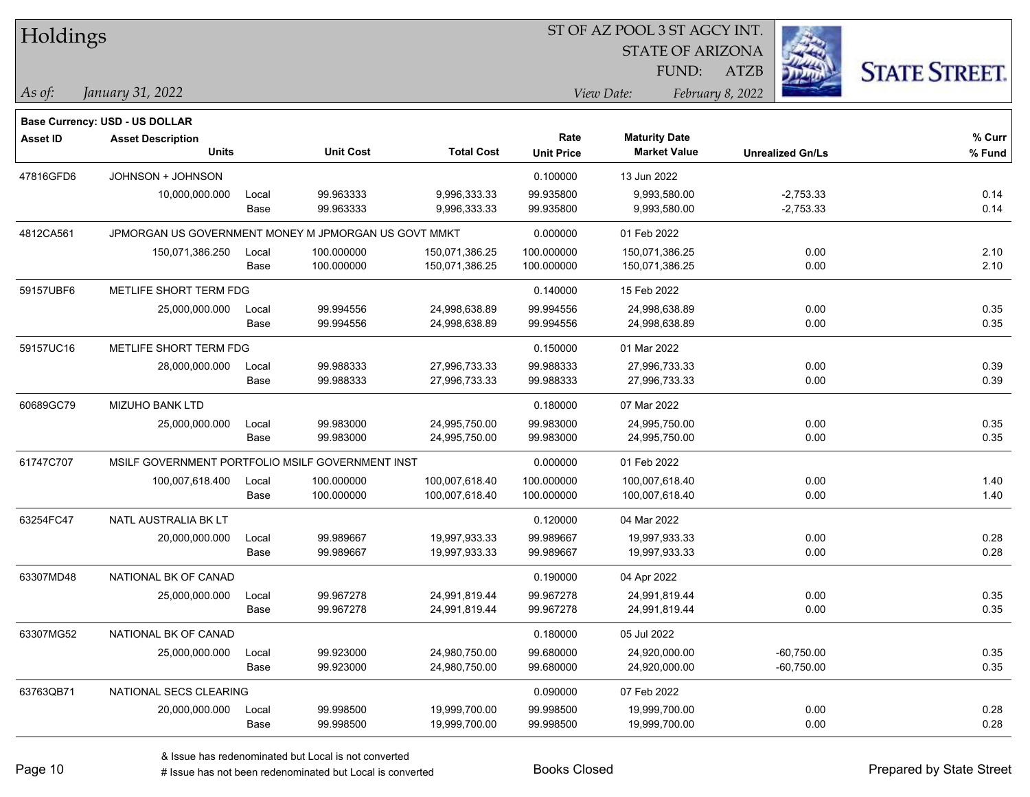| Holdings        |                                                      |       |                  |                   | ST OF AZ POOL 3 ST AGCY INT. |                         |                         |                      |  |  |
|-----------------|------------------------------------------------------|-------|------------------|-------------------|------------------------------|-------------------------|-------------------------|----------------------|--|--|
|                 |                                                      |       |                  |                   |                              | <b>STATE OF ARIZONA</b> |                         |                      |  |  |
|                 |                                                      |       |                  |                   |                              | FUND:                   | ATZB                    | <b>STATE STREET.</b> |  |  |
| As of:          | January 31, 2022                                     |       |                  |                   |                              | View Date:              | February 8, 2022        |                      |  |  |
|                 | Base Currency: USD - US DOLLAR                       |       |                  |                   |                              |                         |                         |                      |  |  |
| <b>Asset ID</b> | <b>Asset Description</b>                             |       |                  |                   | Rate                         | <b>Maturity Date</b>    |                         | % Curr               |  |  |
|                 | <b>Units</b>                                         |       | <b>Unit Cost</b> | <b>Total Cost</b> | <b>Unit Price</b>            | <b>Market Value</b>     | <b>Unrealized Gn/Ls</b> | % Fund               |  |  |
| 47816GFD6       | JOHNSON + JOHNSON                                    |       |                  |                   | 0.100000                     | 13 Jun 2022             |                         |                      |  |  |
|                 | 10,000,000.000                                       | Local | 99.963333        | 9,996,333.33      | 99.935800                    | 9,993,580.00            | $-2,753.33$             | 0.14                 |  |  |
|                 |                                                      | Base  | 99.963333        | 9,996,333.33      | 99.935800                    | 9,993,580.00            | $-2,753.33$             | 0.14                 |  |  |
| 4812CA561       | JPMORGAN US GOVERNMENT MONEY M JPMORGAN US GOVT MMKT |       |                  |                   | 0.000000                     | 01 Feb 2022             |                         |                      |  |  |
|                 | 150,071,386.250                                      | Local | 100.000000       | 150,071,386.25    | 100.000000                   | 150,071,386.25          | 0.00                    | 2.10                 |  |  |
|                 |                                                      | Base  | 100.000000       | 150,071,386.25    | 100.000000                   | 150,071,386.25          | 0.00                    | 2.10                 |  |  |
| 59157UBF6       | METLIFE SHORT TERM FDG                               |       |                  |                   | 0.140000                     | 15 Feb 2022             |                         |                      |  |  |
|                 | 25,000,000.000                                       | Local | 99.994556        | 24,998,638.89     | 99.994556                    | 24,998,638.89           | 0.00                    | 0.35                 |  |  |
|                 |                                                      | Base  | 99.994556        | 24,998,638.89     | 99.994556                    | 24,998,638.89           | 0.00                    | 0.35                 |  |  |
| 59157UC16       | METLIFE SHORT TERM FDG                               |       |                  |                   | 0.150000                     | 01 Mar 2022             |                         |                      |  |  |
|                 | 28,000,000.000                                       | Local | 99.988333        | 27,996,733.33     | 99.988333                    | 27,996,733.33           | 0.00                    | 0.39                 |  |  |
|                 |                                                      | Base  | 99.988333        | 27,996,733.33     | 99.988333                    | 27,996,733.33           | 0.00                    | 0.39                 |  |  |
| 60689GC79       | <b>MIZUHO BANK LTD</b>                               |       |                  |                   | 0.180000                     | 07 Mar 2022             |                         |                      |  |  |
|                 | 25,000,000.000                                       | Local | 99.983000        | 24,995,750.00     | 99.983000                    | 24,995,750.00           | 0.00                    | 0.35                 |  |  |
|                 |                                                      | Base  | 99.983000        | 24,995,750.00     | 99.983000                    | 24,995,750.00           | 0.00                    | 0.35                 |  |  |
| 61747C707       | MSILF GOVERNMENT PORTFOLIO MSILF GOVERNMENT INST     |       |                  |                   | 0.000000                     | 01 Feb 2022             |                         |                      |  |  |
|                 | 100,007,618.400                                      | Local | 100.000000       | 100,007,618.40    | 100.000000                   | 100,007,618.40          | 0.00                    | 1.40                 |  |  |
|                 |                                                      | Base  | 100.000000       | 100,007,618.40    | 100.000000                   | 100,007,618.40          | 0.00                    | 1.40                 |  |  |
| 63254FC47       | NATL AUSTRALIA BK LT                                 |       |                  |                   | 0.120000                     | 04 Mar 2022             |                         |                      |  |  |
|                 | 20,000,000.000                                       | Local | 99.989667        | 19,997,933.33     | 99.989667                    | 19,997,933.33           | 0.00                    | 0.28                 |  |  |
|                 |                                                      | Base  | 99.989667        | 19,997,933.33     | 99.989667                    | 19,997,933.33           | 0.00                    | 0.28                 |  |  |
| 63307MD48       | NATIONAL BK OF CANAD                                 |       |                  |                   | 0.190000                     | 04 Apr 2022             |                         |                      |  |  |
|                 | 25,000,000.000                                       | Local | 99.967278        | 24,991,819.44     | 99.967278                    | 24,991,819.44           | 0.00                    | 0.35                 |  |  |
|                 |                                                      | Base  | 99.967278        | 24,991,819.44     | 99.967278                    | 24,991,819.44           | 0.00                    | 0.35                 |  |  |
| 63307MG52       | NATIONAL BK OF CANAD                                 |       |                  |                   | 0.180000                     | 05 Jul 2022             |                         |                      |  |  |
|                 | 25,000,000.000                                       | Local | 99.923000        | 24,980,750.00     | 99.680000                    | 24,920,000.00           | $-60,750.00$            | 0.35                 |  |  |
|                 |                                                      | Base  | 99.923000        | 24,980,750.00     | 99.680000                    | 24,920,000.00           | $-60,750.00$            | 0.35                 |  |  |
| 63763QB71       | NATIONAL SECS CLEARING                               |       |                  |                   | 0.090000                     | 07 Feb 2022             |                         |                      |  |  |
|                 | 20,000,000.000                                       | Local | 99.998500        | 19,999,700.00     | 99.998500                    | 19,999,700.00           | 0.00                    | 0.28                 |  |  |
|                 |                                                      | Base  | 99.998500        | 19,999,700.00     | 99.998500                    | 19,999,700.00           | 0.00                    | 0.28                 |  |  |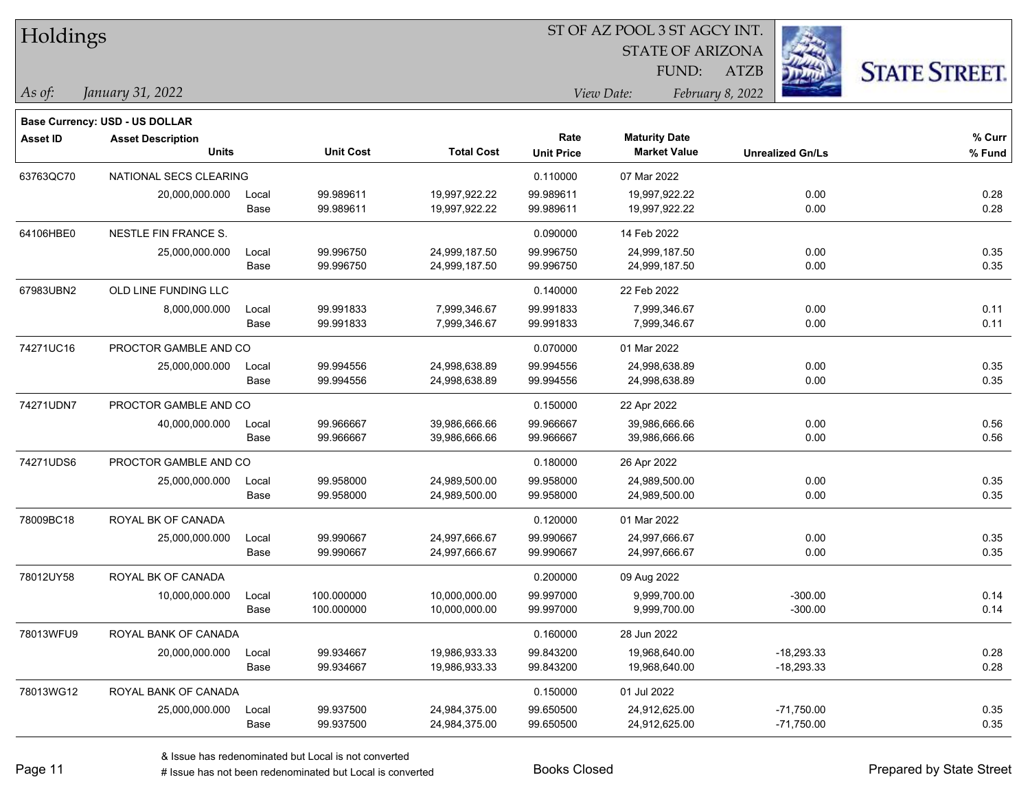| Holdings        |                                          |               |                        | ST OF AZ POOL 3 ST AGCY INT.   |                           |                                             |                         |                      |  |  |
|-----------------|------------------------------------------|---------------|------------------------|--------------------------------|---------------------------|---------------------------------------------|-------------------------|----------------------|--|--|
|                 |                                          |               |                        |                                |                           | <b>STATE OF ARIZONA</b>                     |                         |                      |  |  |
|                 |                                          |               |                        |                                |                           | FUND:                                       | <b>ATZB</b>             | <b>STATE STREET.</b> |  |  |
| As of:          | January 31, 2022                         |               |                        |                                |                           | View Date:                                  | February 8, 2022        |                      |  |  |
|                 |                                          |               |                        |                                |                           |                                             |                         |                      |  |  |
|                 | Base Currency: USD - US DOLLAR           |               |                        |                                |                           |                                             |                         |                      |  |  |
| <b>Asset ID</b> | <b>Asset Description</b><br><b>Units</b> |               | <b>Unit Cost</b>       | <b>Total Cost</b>              | Rate<br><b>Unit Price</b> | <b>Maturity Date</b><br><b>Market Value</b> | <b>Unrealized Gn/Ls</b> | % Curr<br>% Fund     |  |  |
|                 |                                          |               |                        |                                |                           |                                             |                         |                      |  |  |
| 63763QC70       | NATIONAL SECS CLEARING                   |               |                        |                                | 0.110000                  | 07 Mar 2022                                 |                         |                      |  |  |
|                 | 20,000,000.000                           | Local<br>Base | 99.989611<br>99.989611 | 19,997,922.22<br>19,997,922.22 | 99.989611<br>99.989611    | 19,997,922.22<br>19,997,922.22              | 0.00<br>0.00            | 0.28<br>0.28         |  |  |
|                 |                                          |               |                        |                                |                           |                                             |                         |                      |  |  |
| 64106HBE0       | NESTLE FIN FRANCE S.                     |               |                        |                                | 0.090000                  | 14 Feb 2022                                 |                         |                      |  |  |
|                 | 25,000,000.000                           | Local<br>Base | 99.996750<br>99.996750 | 24,999,187.50<br>24,999,187.50 | 99.996750<br>99.996750    | 24,999,187.50<br>24,999,187.50              | 0.00<br>0.00            | 0.35<br>0.35         |  |  |
|                 |                                          |               |                        |                                |                           |                                             |                         |                      |  |  |
| 67983UBN2       | OLD LINE FUNDING LLC                     |               |                        |                                | 0.140000                  | 22 Feb 2022                                 |                         |                      |  |  |
|                 | 8,000,000.000                            | Local         | 99.991833              | 7,999,346.67                   | 99.991833                 | 7,999,346.67                                | 0.00                    | 0.11                 |  |  |
|                 |                                          | Base          | 99.991833              | 7,999,346.67                   | 99.991833                 | 7,999,346.67                                | 0.00                    | 0.11                 |  |  |
| 74271UC16       | PROCTOR GAMBLE AND CO                    |               |                        |                                | 0.070000                  | 01 Mar 2022                                 |                         |                      |  |  |
|                 | 25,000,000.000                           | Local         | 99.994556              | 24,998,638.89                  | 99.994556                 | 24,998,638.89                               | 0.00                    | 0.35                 |  |  |
|                 |                                          | Base          | 99.994556              | 24,998,638.89                  | 99.994556                 | 24,998,638.89                               | 0.00                    | 0.35                 |  |  |
| 74271UDN7       | PROCTOR GAMBLE AND CO                    |               |                        |                                | 0.150000                  | 22 Apr 2022                                 |                         |                      |  |  |
|                 | 40,000,000.000                           | Local         | 99.966667              | 39,986,666.66                  | 99.966667                 | 39,986,666.66                               | 0.00                    | 0.56                 |  |  |
|                 |                                          | Base          | 99.966667              | 39,986,666.66                  | 99.966667                 | 39,986,666.66                               | 0.00                    | 0.56                 |  |  |
| 74271UDS6       | PROCTOR GAMBLE AND CO                    |               |                        |                                | 0.180000                  | 26 Apr 2022                                 |                         |                      |  |  |
|                 | 25,000,000.000                           | Local         | 99.958000              | 24,989,500.00                  | 99.958000                 | 24,989,500.00                               | 0.00                    | 0.35                 |  |  |
|                 |                                          | Base          | 99.958000              | 24,989,500.00                  | 99.958000                 | 24,989,500.00                               | 0.00                    | 0.35                 |  |  |
| 78009BC18       | ROYAL BK OF CANADA                       |               |                        |                                | 0.120000                  | 01 Mar 2022                                 |                         |                      |  |  |
|                 | 25,000,000.000                           | Local         | 99.990667              | 24,997,666.67                  | 99.990667                 | 24,997,666.67                               | 0.00                    | 0.35                 |  |  |
|                 |                                          | Base          | 99.990667              | 24,997,666.67                  | 99.990667                 | 24,997,666.67                               | 0.00                    | 0.35                 |  |  |
| 78012UY58       | ROYAL BK OF CANADA                       |               |                        |                                | 0.200000                  | 09 Aug 2022                                 |                         |                      |  |  |
|                 | 10,000,000.000                           | Local         | 100.000000             | 10,000,000.00                  | 99.997000                 | 9,999,700.00                                | $-300.00$               | 0.14                 |  |  |
|                 |                                          | Base          | 100.000000             | 10,000,000.00                  | 99.997000                 | 9,999,700.00                                | $-300.00$               | 0.14                 |  |  |
| 78013WFU9       | ROYAL BANK OF CANADA                     |               |                        |                                | 0.160000                  | 28 Jun 2022                                 |                         |                      |  |  |
|                 | 20,000,000.000                           | Local         | 99.934667              | 19,986,933.33                  | 99.843200                 | 19,968,640.00                               | $-18,293.33$            | 0.28                 |  |  |
|                 |                                          | Base          | 99.934667              | 19,986,933.33                  | 99.843200                 | 19,968,640.00                               | $-18,293.33$            | 0.28                 |  |  |
| 78013WG12       | ROYAL BANK OF CANADA                     |               |                        |                                | 0.150000                  | 01 Jul 2022                                 |                         |                      |  |  |
|                 | 25,000,000.000                           | Local         | 99.937500              | 24,984,375.00                  | 99.650500                 | 24,912,625.00                               | $-71,750.00$            | 0.35                 |  |  |
|                 |                                          | Base          | 99.937500              | 24,984,375.00                  | 99.650500                 | 24,912,625.00                               | $-71,750.00$            | 0.35                 |  |  |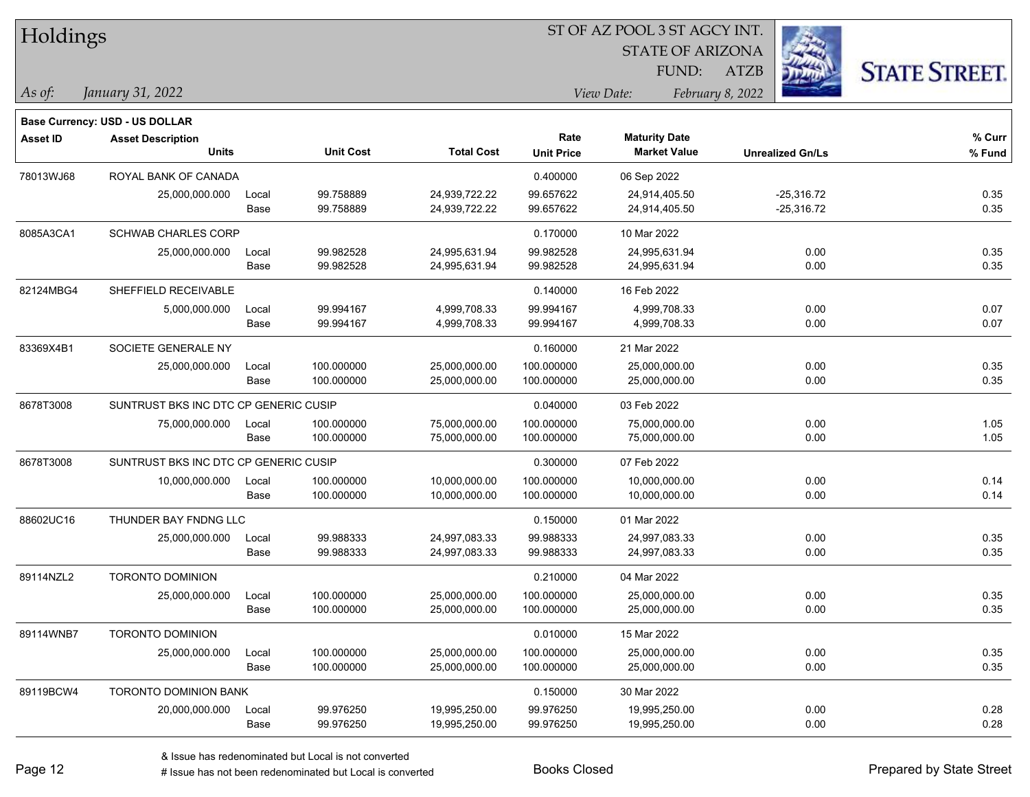| Holdings        |                                          |       |                  |                   | ST OF AZ POOL 3 ST AGCY INT. |                                             |                         |                      |  |  |
|-----------------|------------------------------------------|-------|------------------|-------------------|------------------------------|---------------------------------------------|-------------------------|----------------------|--|--|
|                 |                                          |       |                  |                   |                              | <b>STATE OF ARIZONA</b>                     |                         |                      |  |  |
|                 |                                          |       |                  |                   |                              | FUND:                                       | ATZB                    | <b>STATE STREET.</b> |  |  |
| As of:          | January 31, 2022                         |       |                  |                   |                              | View Date:                                  | February 8, 2022        |                      |  |  |
|                 |                                          |       |                  |                   |                              |                                             |                         |                      |  |  |
|                 | Base Currency: USD - US DOLLAR           |       |                  |                   | Rate                         |                                             |                         | % Curr               |  |  |
| <b>Asset ID</b> | <b>Asset Description</b><br><b>Units</b> |       | <b>Unit Cost</b> | <b>Total Cost</b> | <b>Unit Price</b>            | <b>Maturity Date</b><br><b>Market Value</b> | <b>Unrealized Gn/Ls</b> | % Fund               |  |  |
| 78013WJ68       | ROYAL BANK OF CANADA                     |       |                  |                   | 0.400000                     | 06 Sep 2022                                 |                         |                      |  |  |
|                 | 25,000,000.000                           | Local | 99.758889        | 24,939,722.22     | 99.657622                    | 24,914,405.50                               | $-25,316.72$            | 0.35                 |  |  |
|                 |                                          | Base  | 99.758889        | 24,939,722.22     | 99.657622                    | 24,914,405.50                               | $-25,316.72$            | 0.35                 |  |  |
| 8085A3CA1       | <b>SCHWAB CHARLES CORP</b>               |       |                  |                   | 0.170000                     | 10 Mar 2022                                 |                         |                      |  |  |
|                 | 25,000,000.000                           | Local | 99.982528        | 24,995,631.94     | 99.982528                    | 24,995,631.94                               | 0.00                    | 0.35                 |  |  |
|                 |                                          | Base  | 99.982528        | 24,995,631.94     | 99.982528                    | 24,995,631.94                               | 0.00                    | 0.35                 |  |  |
| 82124MBG4       | SHEFFIELD RECEIVABLE                     |       |                  |                   | 0.140000                     | 16 Feb 2022                                 |                         |                      |  |  |
|                 | 5,000,000.000                            | Local | 99.994167        | 4,999,708.33      | 99.994167                    | 4,999,708.33                                | 0.00                    | 0.07                 |  |  |
|                 |                                          | Base  | 99.994167        | 4,999,708.33      | 99.994167                    | 4,999,708.33                                | 0.00                    | 0.07                 |  |  |
| 83369X4B1       | SOCIETE GENERALE NY                      |       |                  |                   | 0.160000                     | 21 Mar 2022                                 |                         |                      |  |  |
|                 | 25,000,000.000                           | Local | 100.000000       | 25,000,000.00     | 100.000000                   | 25,000,000.00                               | 0.00                    | 0.35                 |  |  |
|                 |                                          | Base  | 100.000000       | 25,000,000.00     | 100.000000                   | 25,000,000.00                               | 0.00                    | 0.35                 |  |  |
| 8678T3008       | SUNTRUST BKS INC DTC CP GENERIC CUSIP    |       |                  |                   | 0.040000                     | 03 Feb 2022                                 |                         |                      |  |  |
|                 | 75,000,000.000                           | Local | 100.000000       | 75,000,000.00     | 100.000000                   | 75,000,000.00                               | 0.00                    | 1.05                 |  |  |
|                 |                                          | Base  | 100.000000       | 75,000,000.00     | 100.000000                   | 75,000,000.00                               | 0.00                    | 1.05                 |  |  |
| 8678T3008       | SUNTRUST BKS INC DTC CP GENERIC CUSIP    |       |                  |                   | 0.300000                     | 07 Feb 2022                                 |                         |                      |  |  |
|                 | 10,000,000.000                           | Local | 100.000000       | 10,000,000.00     | 100.000000                   | 10,000,000.00                               | 0.00                    | 0.14                 |  |  |
|                 |                                          | Base  | 100.000000       | 10,000,000.00     | 100.000000                   | 10,000,000.00                               | 0.00                    | 0.14                 |  |  |
| 88602UC16       | THUNDER BAY FNDNG LLC                    |       |                  |                   | 0.150000                     | 01 Mar 2022                                 |                         |                      |  |  |
|                 | 25,000,000.000                           | Local | 99.988333        | 24,997,083.33     | 99.988333                    | 24,997,083.33                               | 0.00                    | 0.35                 |  |  |
|                 |                                          | Base  | 99.988333        | 24,997,083.33     | 99.988333                    | 24,997,083.33                               | 0.00                    | 0.35                 |  |  |
| 89114NZL2       | <b>TORONTO DOMINION</b>                  |       |                  |                   | 0.210000                     | 04 Mar 2022                                 |                         |                      |  |  |
|                 | 25,000,000.000                           | Local | 100.000000       | 25.000.000.00     | 100.000000                   | 25,000,000.00                               | 0.00                    | 0.35                 |  |  |
|                 |                                          | Base  | 100.000000       | 25,000,000.00     | 100.000000                   | 25,000,000.00                               | 0.00                    | 0.35                 |  |  |
| 89114WNB7       | <b>TORONTO DOMINION</b>                  |       |                  |                   | 0.010000                     | 15 Mar 2022                                 |                         |                      |  |  |
|                 | 25,000,000.000                           | Local | 100.000000       | 25,000,000.00     | 100.000000                   | 25,000,000.00                               | 0.00                    | 0.35                 |  |  |
|                 |                                          | Base  | 100.000000       | 25,000,000.00     | 100.000000                   | 25,000,000.00                               | 0.00                    | 0.35                 |  |  |
| 89119BCW4       | <b>TORONTO DOMINION BANK</b>             |       |                  |                   | 0.150000                     | 30 Mar 2022                                 |                         |                      |  |  |
|                 | 20,000,000.000                           | Local | 99.976250        | 19,995,250.00     | 99.976250                    | 19,995,250.00                               | 0.00                    | 0.28                 |  |  |
|                 |                                          | Base  | 99.976250        | 19,995,250.00     | 99.976250                    | 19,995,250.00                               | 0.00                    | 0.28                 |  |  |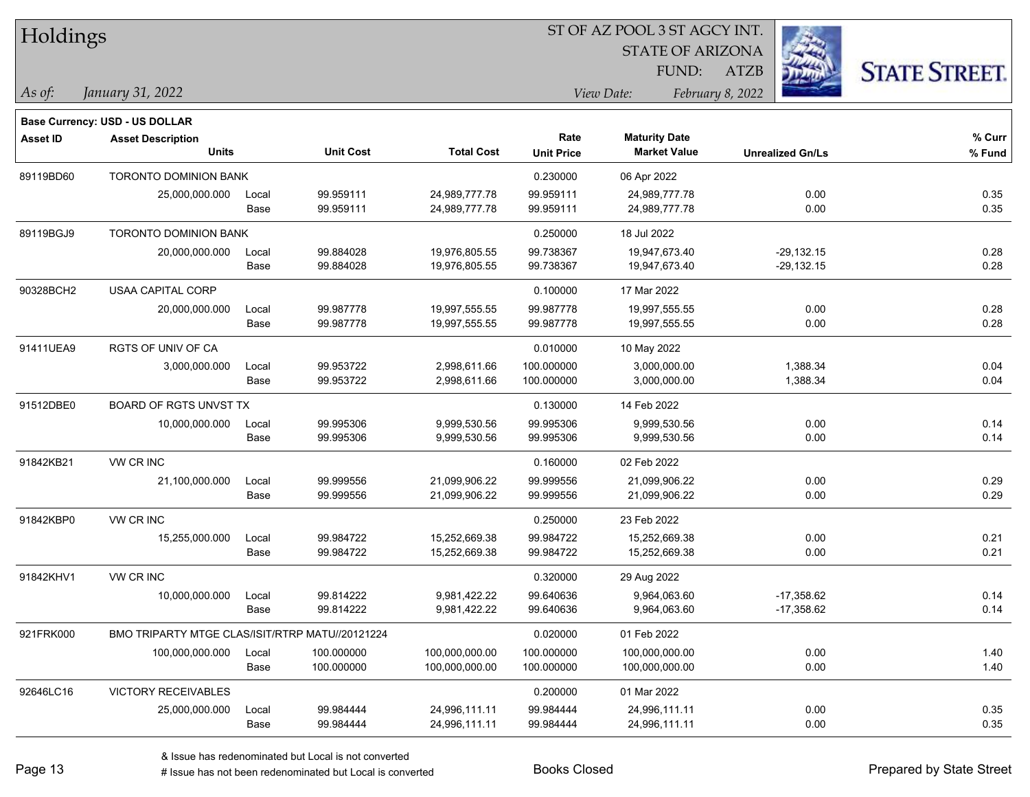| Holdings        |                                                 |       |                  |                   |                   | ST OF AZ POOL 3 ST AGCY INT. |                         |                      |
|-----------------|-------------------------------------------------|-------|------------------|-------------------|-------------------|------------------------------|-------------------------|----------------------|
|                 |                                                 |       |                  |                   |                   | <b>STATE OF ARIZONA</b>      |                         |                      |
|                 |                                                 |       |                  |                   |                   | FUND:                        | ATZB                    | <b>STATE STREET.</b> |
| As of:          | January 31, 2022                                |       |                  |                   |                   | View Date:                   | February 8, 2022        |                      |
|                 | <b>Base Currency: USD - US DOLLAR</b>           |       |                  |                   |                   |                              |                         |                      |
| <b>Asset ID</b> | <b>Asset Description</b>                        |       |                  |                   | Rate              | <b>Maturity Date</b>         |                         | % Curr               |
|                 | <b>Units</b>                                    |       | <b>Unit Cost</b> | <b>Total Cost</b> | <b>Unit Price</b> | <b>Market Value</b>          | <b>Unrealized Gn/Ls</b> | % Fund               |
| 89119BD60       | <b>TORONTO DOMINION BANK</b>                    |       |                  |                   | 0.230000          | 06 Apr 2022                  |                         |                      |
|                 | 25,000,000.000                                  | Local | 99.959111        | 24,989,777.78     | 99.959111         | 24,989,777.78                | 0.00                    | 0.35                 |
|                 |                                                 | Base  | 99.959111        | 24,989,777.78     | 99.959111         | 24,989,777.78                | 0.00                    | 0.35                 |
| 89119BGJ9       | TORONTO DOMINION BANK                           |       |                  |                   | 0.250000          | 18 Jul 2022                  |                         |                      |
|                 | 20,000,000.000                                  | Local | 99.884028        | 19,976,805.55     | 99.738367         | 19,947,673.40                | $-29,132.15$            | 0.28                 |
|                 |                                                 | Base  | 99.884028        | 19,976,805.55     | 99.738367         | 19,947,673.40                | $-29,132.15$            | 0.28                 |
| 90328BCH2       | USAA CAPITAL CORP                               |       |                  |                   | 0.100000          | 17 Mar 2022                  |                         |                      |
|                 | 20,000,000.000                                  | Local | 99.987778        | 19,997,555.55     | 99.987778         | 19,997,555.55                | 0.00                    | 0.28                 |
|                 |                                                 | Base  | 99.987778        | 19,997,555.55     | 99.987778         | 19,997,555.55                | 0.00                    | 0.28                 |
| 91411UEA9       | <b>RGTS OF UNIV OF CA</b>                       |       |                  |                   | 0.010000          | 10 May 2022                  |                         |                      |
|                 | 3,000,000.000                                   | Local | 99.953722        | 2,998,611.66      | 100.000000        | 3,000,000.00                 | 1,388.34                | 0.04                 |
|                 |                                                 | Base  | 99.953722        | 2,998,611.66      | 100.000000        | 3,000,000.00                 | 1,388.34                | 0.04                 |
| 91512DBE0       | BOARD OF RGTS UNVST TX                          |       |                  |                   | 0.130000          | 14 Feb 2022                  |                         |                      |
|                 | 10,000,000.000                                  | Local | 99.995306        | 9,999,530.56      | 99.995306         | 9,999,530.56                 | 0.00                    | 0.14                 |
|                 |                                                 | Base  | 99.995306        | 9,999,530.56      | 99.995306         | 9,999,530.56                 | 0.00                    | 0.14                 |
| 91842KB21       | VW CR INC                                       |       |                  |                   | 0.160000          | 02 Feb 2022                  |                         |                      |
|                 | 21,100,000.000                                  | Local | 99.999556        | 21,099,906.22     | 99.999556         | 21,099,906.22                | 0.00                    | 0.29                 |
|                 |                                                 | Base  | 99.999556        | 21,099,906.22     | 99.999556         | 21,099,906.22                | 0.00                    | 0.29                 |
| 91842KBP0       | VW CR INC                                       |       |                  |                   | 0.250000          | 23 Feb 2022                  |                         |                      |
|                 | 15,255,000.000                                  | Local | 99.984722        | 15,252,669.38     | 99.984722         | 15,252,669.38                | 0.00                    | 0.21                 |
|                 |                                                 | Base  | 99.984722        | 15,252,669.38     | 99.984722         | 15,252,669.38                | 0.00                    | 0.21                 |
| 91842KHV1       | VW CR INC                                       |       |                  |                   | 0.320000          | 29 Aug 2022                  |                         |                      |
|                 | 10,000,000.000                                  | Local | 99.814222        | 9,981,422.22      | 99.640636         | 9,964,063.60                 | $-17,358.62$            | 0.14                 |
|                 |                                                 | Base  | 99.814222        | 9,981,422.22      | 99.640636         | 9,964,063.60                 | $-17,358.62$            | 0.14                 |
| 921FRK000       | BMO TRIPARTY MTGE CLAS/ISIT/RTRP MATU//20121224 |       |                  |                   | 0.020000          | 01 Feb 2022                  |                         |                      |
|                 | 100,000,000.000                                 | Local | 100.000000       | 100,000,000.00    | 100.000000        | 100,000,000.00               | 0.00                    | 1.40                 |
|                 |                                                 | Base  | 100.000000       | 100,000,000.00    | 100.000000        | 100,000,000.00               | 0.00                    | 1.40                 |
| 92646LC16       | <b>VICTORY RECEIVABLES</b>                      |       |                  |                   | 0.200000          | 01 Mar 2022                  |                         |                      |
|                 | 25,000,000.000                                  | Local | 99.984444        | 24,996,111.11     | 99.984444         | 24,996,111.11                | 0.00                    | 0.35                 |
|                 |                                                 | Base  | 99.984444        | 24,996,111.11     | 99.984444         | 24,996,111.11                | 0.00                    | 0.35                 |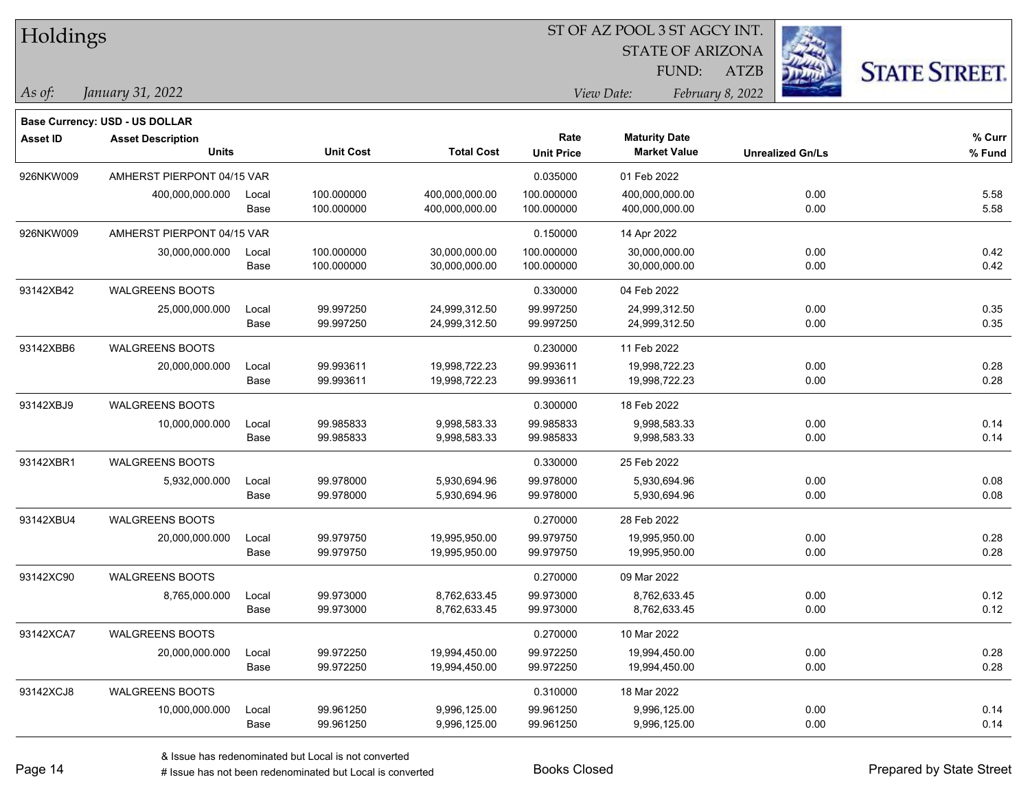| Holdings        |                                |       |                  | ST OF AZ POOL 3 ST AGCY INT. |                   |                         |                         |                      |  |  |  |
|-----------------|--------------------------------|-------|------------------|------------------------------|-------------------|-------------------------|-------------------------|----------------------|--|--|--|
|                 |                                |       |                  |                              |                   | <b>STATE OF ARIZONA</b> |                         |                      |  |  |  |
|                 |                                |       |                  |                              |                   | FUND:                   | <b>ATZB</b>             | <b>STATE STREET.</b> |  |  |  |
| As of:          | January 31, 2022               |       |                  |                              | View Date:        |                         | February 8, 2022        |                      |  |  |  |
|                 | Base Currency: USD - US DOLLAR |       |                  |                              |                   |                         |                         |                      |  |  |  |
| <b>Asset ID</b> | <b>Asset Description</b>       |       |                  |                              | Rate              | <b>Maturity Date</b>    |                         | % Curr               |  |  |  |
|                 | Units                          |       | <b>Unit Cost</b> | <b>Total Cost</b>            | <b>Unit Price</b> | <b>Market Value</b>     | <b>Unrealized Gn/Ls</b> | % Fund               |  |  |  |
| 926NKW009       | AMHERST PIERPONT 04/15 VAR     |       |                  |                              | 0.035000          | 01 Feb 2022             |                         |                      |  |  |  |
|                 | 400,000,000.000                | Local | 100.000000       | 400,000,000.00               | 100.000000        | 400,000,000.00          | 0.00                    | 5.58                 |  |  |  |
|                 |                                | Base  | 100.000000       | 400,000,000.00               | 100.000000        | 400,000,000.00          | 0.00                    | 5.58                 |  |  |  |
| 926NKW009       | AMHERST PIERPONT 04/15 VAR     |       |                  |                              | 0.150000          | 14 Apr 2022             |                         |                      |  |  |  |
|                 | 30,000,000.000                 | Local | 100.000000       | 30,000,000.00                | 100.000000        | 30,000,000.00           | 0.00                    | 0.42                 |  |  |  |
|                 |                                | Base  | 100.000000       | 30,000,000.00                | 100.000000        | 30,000,000.00           | 0.00                    | 0.42                 |  |  |  |
| 93142XB42       | <b>WALGREENS BOOTS</b>         |       |                  |                              | 0.330000          | 04 Feb 2022             |                         |                      |  |  |  |
|                 | 25,000,000.000                 | Local | 99.997250        | 24,999,312.50                | 99.997250         | 24,999,312.50           | 0.00                    | 0.35                 |  |  |  |
|                 |                                | Base  | 99.997250        | 24,999,312.50                | 99.997250         | 24,999,312.50           | 0.00                    | 0.35                 |  |  |  |
| 93142XBB6       | <b>WALGREENS BOOTS</b>         |       |                  |                              | 0.230000          | 11 Feb 2022             |                         |                      |  |  |  |
|                 | 20,000,000.000                 | Local | 99.993611        | 19,998,722.23                | 99.993611         | 19,998,722.23           | 0.00                    | 0.28                 |  |  |  |
|                 |                                | Base  | 99.993611        | 19,998,722.23                | 99.993611         | 19,998,722.23           | 0.00                    | 0.28                 |  |  |  |
| 93142XBJ9       | WALGREENS BOOTS                |       |                  |                              | 0.300000          | 18 Feb 2022             |                         |                      |  |  |  |
|                 | 10,000,000.000                 | Local | 99.985833        | 9,998,583.33                 | 99.985833         | 9,998,583.33            | 0.00                    | 0.14                 |  |  |  |
|                 |                                | Base  | 99.985833        | 9,998,583.33                 | 99.985833         | 9,998,583.33            | 0.00                    | 0.14                 |  |  |  |
| 93142XBR1       | WALGREENS BOOTS                |       |                  |                              | 0.330000          | 25 Feb 2022             |                         |                      |  |  |  |
|                 | 5,932,000.000                  | Local | 99.978000        | 5,930,694.96                 | 99.978000         | 5,930,694.96            | 0.00                    | 0.08                 |  |  |  |
|                 |                                | Base  | 99.978000        | 5,930,694.96                 | 99.978000         | 5,930,694.96            | 0.00                    | 0.08                 |  |  |  |
| 93142XBU4       | <b>WALGREENS BOOTS</b>         |       |                  |                              | 0.270000          | 28 Feb 2022             |                         |                      |  |  |  |
|                 | 20,000,000.000                 | Local | 99.979750        | 19,995,950.00                | 99.979750         | 19,995,950.00           | 0.00                    | 0.28                 |  |  |  |
|                 |                                | Base  | 99.979750        | 19,995,950.00                | 99.979750         | 19,995,950.00           | 0.00                    | 0.28                 |  |  |  |
| 93142XC90       | <b>WALGREENS BOOTS</b>         |       |                  |                              | 0.270000          | 09 Mar 2022             |                         |                      |  |  |  |
|                 | 8,765,000.000                  | Local | 99.973000        | 8,762,633.45                 | 99.973000         | 8,762,633.45            | 0.00                    | 0.12                 |  |  |  |
|                 |                                | Base  | 99.973000        | 8,762,633.45                 | 99.973000         | 8,762,633.45            | 0.00                    | 0.12                 |  |  |  |
| 93142XCA7       | <b>WALGREENS BOOTS</b>         |       |                  |                              | 0.270000          | 10 Mar 2022             |                         |                      |  |  |  |
|                 | 20,000,000.000                 | Local | 99.972250        | 19,994,450.00                | 99.972250         | 19,994,450.00           | 0.00                    | 0.28                 |  |  |  |
|                 |                                | Base  | 99.972250        | 19,994,450.00                | 99.972250         | 19,994,450.00           | 0.00                    | 0.28                 |  |  |  |
| 93142XCJ8       | <b>WALGREENS BOOTS</b>         |       |                  |                              | 0.310000          | 18 Mar 2022             |                         |                      |  |  |  |
|                 | 10,000,000.000                 | Local | 99.961250        | 9,996,125.00                 | 99.961250         | 9,996,125.00            | 0.00                    | 0.14                 |  |  |  |
|                 |                                | Base  | 99.961250        | 9,996,125.00                 | 99.961250         | 9,996,125.00            | 0.00                    | 0.14                 |  |  |  |

 $\frac{1}{2}$ 

 $\overline{\phantom{0}}$ 

÷.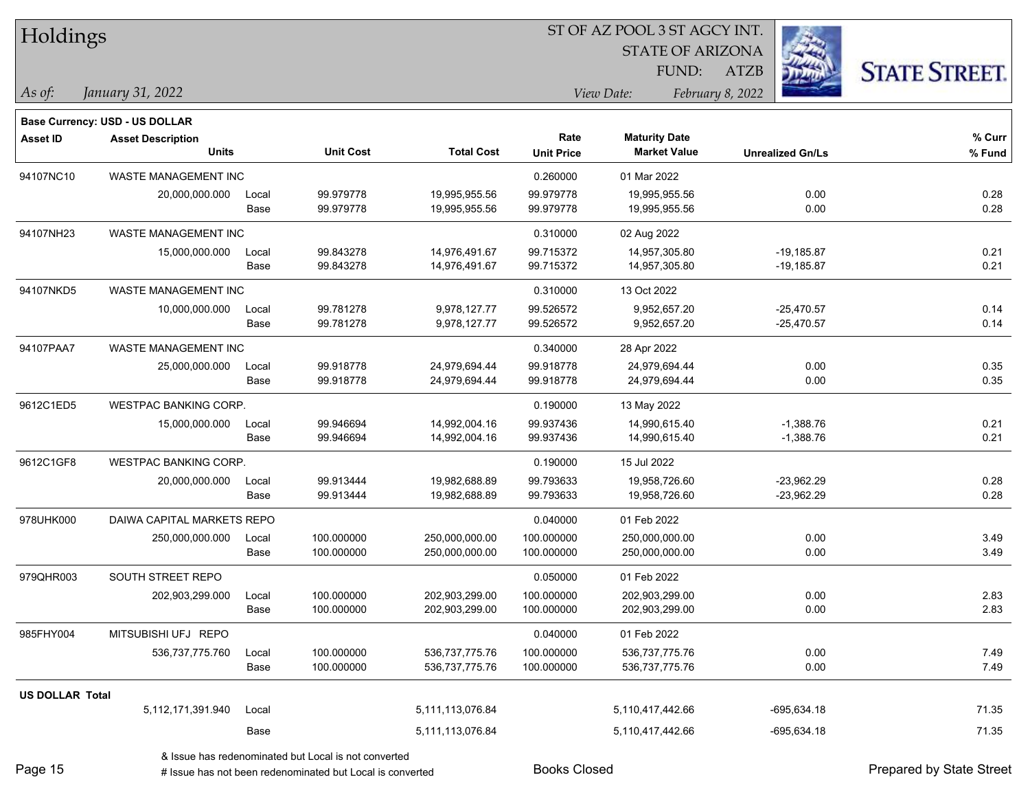| Holdings        |                                       |       |                  |                   |                   | ST OF AZ POOL 3 ST AGCY INT.<br><b>STATE OF ARIZONA</b> |                         |             |                      |
|-----------------|---------------------------------------|-------|------------------|-------------------|-------------------|---------------------------------------------------------|-------------------------|-------------|----------------------|
|                 |                                       |       |                  |                   |                   | FUND:                                                   | <b>ATZB</b>             |             | <b>STATE STREET.</b> |
| As of:          | January 31, 2022                      |       |                  |                   |                   | View Date:                                              | February 8, 2022        |             |                      |
|                 | <b>Base Currency: USD - US DOLLAR</b> |       |                  |                   |                   |                                                         |                         |             |                      |
| <b>Asset ID</b> | <b>Asset Description</b>              |       |                  |                   | Rate              | <b>Maturity Date</b>                                    |                         |             | % Curr               |
|                 | Units                                 |       | <b>Unit Cost</b> | <b>Total Cost</b> | <b>Unit Price</b> | <b>Market Value</b>                                     | <b>Unrealized Gn/Ls</b> |             | % Fund               |
| 94107NC10       | WASTE MANAGEMENT INC                  |       |                  |                   | 0.260000          | 01 Mar 2022                                             |                         |             |                      |
|                 | 20,000,000.000                        | Local | 99.979778        | 19,995,955.56     | 99.979778         | 19.995.955.56                                           |                         | 0.00        | 0.28                 |
|                 |                                       | Base  | 99.979778        | 19,995,955.56     | 99.979778         | 19,995,955.56                                           |                         | 0.00        | 0.28                 |
| 94107NH23       | WASTE MANAGEMENT INC                  |       |                  |                   | 0.310000          | 02 Aug 2022                                             |                         |             |                      |
|                 | 15,000,000.000                        | Local | 99.843278        | 14,976,491.67     | 99.715372         | 14,957,305.80                                           | -19,185.87              |             | 0.21                 |
|                 |                                       | Base  | 99.843278        | 14,976,491.67     | 99.715372         | 14,957,305.80                                           | -19,185.87              |             | 0.21                 |
| 94107NKD5       | WASTE MANAGEMENT INC                  |       |                  |                   | 0.310000          | 13 Oct 2022                                             |                         |             |                      |
|                 | 10,000,000.000                        | Local | 99.781278        | 9,978,127.77      | 99.526572         | 9,952,657.20                                            | -25,470.57              |             | 0.14                 |
|                 |                                       | Base  | 99.781278        | 9,978,127.77      | 99.526572         | 9,952,657.20                                            | $-25,470.57$            |             | 0.14                 |
| 94107PAA7       | WASTE MANAGEMENT INC                  |       |                  |                   | 0.340000          | 28 Apr 2022                                             |                         |             |                      |
|                 | 25,000,000.000                        | Local | 99.918778        | 24,979,694.44     | 99.918778         | 24,979,694.44                                           |                         | 0.00        | 0.35                 |
|                 |                                       | Base  | 99.918778        | 24,979,694.44     | 99.918778         | 24,979,694.44                                           |                         | 0.00        | 0.35                 |
| 9612C1ED5       | <b>WESTPAC BANKING CORP.</b>          |       |                  |                   | 0.190000          | 13 May 2022                                             |                         |             |                      |
|                 | 15,000,000.000                        | Local | 99.946694        | 14,992,004.16     | 99.937436         | 14,990,615.40                                           |                         | $-1,388.76$ | 0.21                 |
|                 |                                       | Base  | 99.946694        | 14,992,004.16     | 99.937436         | 14,990,615.40                                           |                         | $-1,388.76$ | 0.21                 |
| 9612C1GF8       | <b>WESTPAC BANKING CORP.</b>          |       |                  |                   | 0.190000          | 15 Jul 2022                                             |                         |             |                      |
|                 | 20,000,000.000                        | Local | 99.913444        | 19,982,688.89     | 99.793633         | 19,958,726.60                                           | $-23,962.29$            |             | 0.28                 |
|                 |                                       | Base  | 99.913444        | 19,982,688.89     | 99.793633         | 19,958,726.60                                           | -23,962.29              |             | 0.28                 |
| 978UHK000       | DAIWA CAPITAL MARKETS REPO            |       |                  |                   | 0.040000          | 01 Feb 2022                                             |                         |             |                      |
|                 | 250,000,000.000                       | Local | 100.000000       | 250,000,000.00    | 100.000000        | 250,000,000.00                                          |                         | 0.00        | 3.49                 |
|                 |                                       | Base  | 100.000000       | 250,000,000.00    | 100.000000        | 250,000,000.00                                          |                         | 0.00        | 3.49                 |
| 979QHR003       | SOUTH STREET REPO                     |       |                  |                   | 0.050000          | 01 Feb 2022                                             |                         |             |                      |
|                 | 202,903,299.000                       | Local | 100.000000       | 202,903,299.00    | 100.000000        | 202,903,299.00                                          |                         | 0.00        | 2.83                 |
|                 |                                       | Base  | 100.000000       | 202,903,299.00    | 100.000000        | 202,903,299.00                                          |                         | 0.00        | 2.83                 |
| 985FHY004       | MITSUBISHI UFJ REPO                   |       |                  |                   | 0.040000          | 01 Feb 2022                                             |                         |             |                      |
|                 | 536,737,775.760                       | Local | 100.000000       | 536,737,775.76    | 100.000000        | 536,737,775.76                                          |                         | 0.00        | 7.49                 |
|                 |                                       | Base  | 100.000000       | 536,737,775.76    | 100.000000        | 536,737,775.76                                          |                         | 0.00        | 7.49                 |
| US DOLLAR Total |                                       |       |                  |                   |                   |                                                         |                         |             |                      |
|                 | 5,112,171,391.940                     | Local |                  | 5,111,113,076.84  |                   | 5,110,417,442.66                                        | $-695,634.18$           |             | 71.35                |
|                 |                                       | Base  |                  | 5,111,113,076.84  |                   | 5,110,417,442.66                                        | $-695,634.18$           |             | 71.35                |
|                 |                                       |       |                  |                   |                   |                                                         |                         |             |                      |

& Issue has redenominated but Local is not converted

Page 15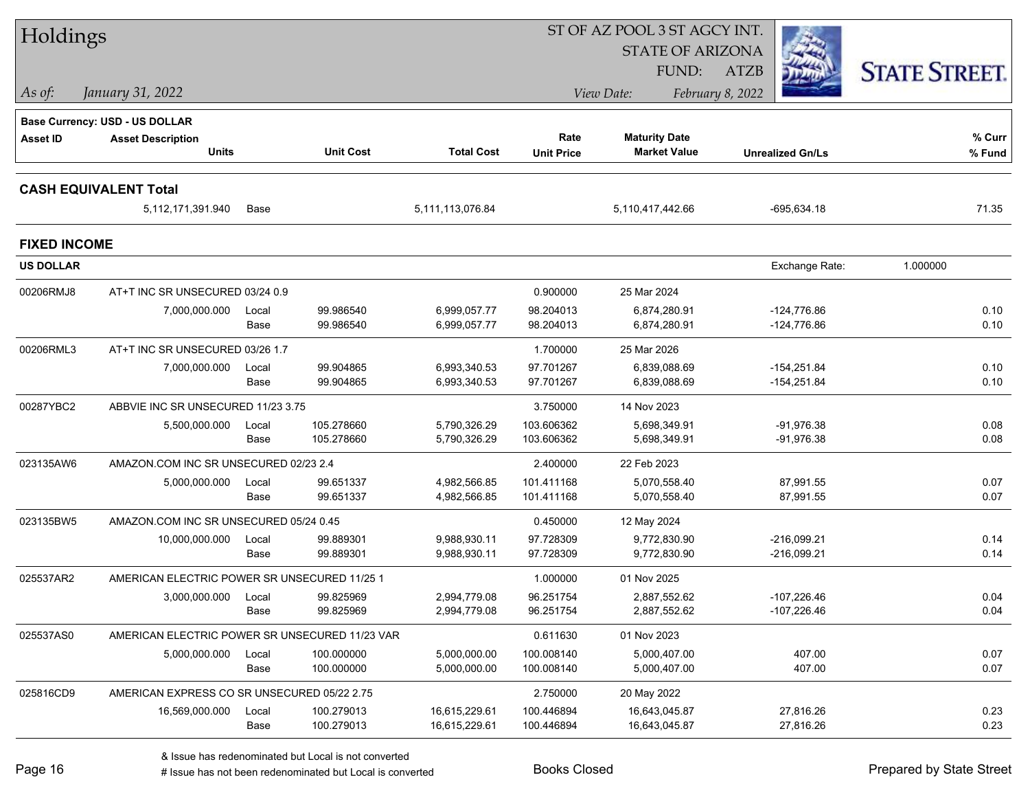| Holdings            |                                                |       |                  |                   |                   | ST OF AZ POOL 3 ST AGCY INT. |                         |                      |
|---------------------|------------------------------------------------|-------|------------------|-------------------|-------------------|------------------------------|-------------------------|----------------------|
|                     |                                                |       |                  |                   |                   | <b>STATE OF ARIZONA</b>      |                         |                      |
|                     |                                                |       |                  |                   |                   | FUND:                        | <b>ATZB</b>             | <b>STATE STREET.</b> |
| As of:              | January 31, 2022                               |       |                  |                   |                   | View Date:                   | February 8, 2022        |                      |
|                     | Base Currency: USD - US DOLLAR                 |       |                  |                   |                   |                              |                         |                      |
| <b>Asset ID</b>     | <b>Asset Description</b>                       |       |                  |                   | Rate              | <b>Maturity Date</b>         |                         | % Curr               |
|                     | <b>Units</b>                                   |       | <b>Unit Cost</b> | <b>Total Cost</b> | <b>Unit Price</b> | <b>Market Value</b>          | <b>Unrealized Gn/Ls</b> | % Fund               |
|                     | <b>CASH EQUIVALENT Total</b>                   |       |                  |                   |                   |                              |                         |                      |
|                     | 5,112,171,391.940                              | Base  |                  | 5,111,113,076.84  |                   | 5,110,417,442.66             | $-695,634.18$           | 71.35                |
| <b>FIXED INCOME</b> |                                                |       |                  |                   |                   |                              |                         |                      |
| <b>US DOLLAR</b>    |                                                |       |                  |                   |                   |                              | Exchange Rate:          | 1.000000             |
| 00206RMJ8           | AT+T INC SR UNSECURED 03/24 0.9                |       |                  |                   | 0.900000          | 25 Mar 2024                  |                         |                      |
|                     | 7,000,000.000                                  | Local | 99.986540        | 6,999,057.77      | 98.204013         | 6,874,280.91                 | $-124,776.86$           | 0.10                 |
|                     |                                                | Base  | 99.986540        | 6,999,057.77      | 98.204013         | 6,874,280.91                 | -124,776.86             | 0.10                 |
| 00206RML3           | AT+T INC SR UNSECURED 03/26 1.7                |       |                  |                   | 1.700000          | 25 Mar 2026                  |                         |                      |
|                     | 7,000,000.000                                  | Local | 99.904865        | 6,993,340.53      | 97.701267         | 6,839,088.69                 | $-154,251.84$           | 0.10                 |
|                     |                                                | Base  | 99.904865        | 6,993,340.53      | 97.701267         | 6,839,088.69                 | $-154,251.84$           | 0.10                 |
| 00287YBC2           | ABBVIE INC SR UNSECURED 11/23 3.75             |       |                  |                   | 3.750000          | 14 Nov 2023                  |                         |                      |
|                     | 5,500,000.000                                  | Local | 105.278660       | 5,790,326.29      | 103.606362        | 5,698,349.91                 | -91,976.38              | 0.08                 |
|                     |                                                | Base  | 105.278660       | 5,790,326.29      | 103.606362        | 5,698,349.91                 | $-91,976.38$            | 0.08                 |
| 023135AW6           | AMAZON.COM INC SR UNSECURED 02/23 2.4          |       |                  |                   | 2.400000          | 22 Feb 2023                  |                         |                      |
|                     | 5,000,000.000                                  | Local | 99.651337        | 4,982,566.85      | 101.411168        | 5,070,558.40                 | 87,991.55               | 0.07                 |
|                     |                                                | Base  | 99.651337        | 4,982,566.85      | 101.411168        | 5,070,558.40                 | 87,991.55               | 0.07                 |
| 023135BW5           | AMAZON.COM INC SR UNSECURED 05/24 0.45         |       |                  |                   | 0.450000          | 12 May 2024                  |                         |                      |
|                     | 10,000,000.000                                 | Local | 99.889301        | 9,988,930.11      | 97.728309         | 9,772,830.90                 | $-216,099.21$           | 0.14                 |
|                     |                                                | Base  | 99.889301        | 9,988,930.11      | 97.728309         | 9,772,830.90                 | $-216,099.21$           | 0.14                 |
| 025537AR2           | AMERICAN ELECTRIC POWER SR UNSECURED 11/25 1   |       |                  |                   | 1.000000          | 01 Nov 2025                  |                         |                      |
|                     | 3,000,000.000                                  | Local | 99.825969        | 2,994,779.08      | 96.251754         | 2,887,552.62                 | -107,226.46             | 0.04                 |
|                     |                                                | Base  | 99.825969        | 2,994,779.08      | 96.251754         | 2,887,552.62                 | -107,226.46             | 0.04                 |
| 025537AS0           | AMERICAN ELECTRIC POWER SR UNSECURED 11/23 VAR |       |                  |                   | 0.611630          | 01 Nov 2023                  |                         |                      |
|                     | 5,000,000.000                                  | Local | 100.000000       | 5,000,000.00      | 100.008140        | 5,000,407.00                 | 407.00                  | 0.07                 |
|                     |                                                | Base  | 100.000000       | 5,000,000.00      | 100.008140        | 5,000,407.00                 | 407.00                  | 0.07                 |
| 025816CD9           | AMERICAN EXPRESS CO SR UNSECURED 05/22 2.75    |       |                  |                   | 2.750000          | 20 May 2022                  |                         |                      |
|                     | 16,569,000.000                                 | Local | 100.279013       | 16,615,229.61     | 100.446894        | 16,643,045.87                | 27,816.26               | 0.23                 |
|                     |                                                | Base  | 100.279013       | 16,615,229.61     | 100.446894        | 16,643,045.87                | 27,816.26               | 0.23                 |
|                     |                                                |       |                  |                   |                   |                              |                         |                      |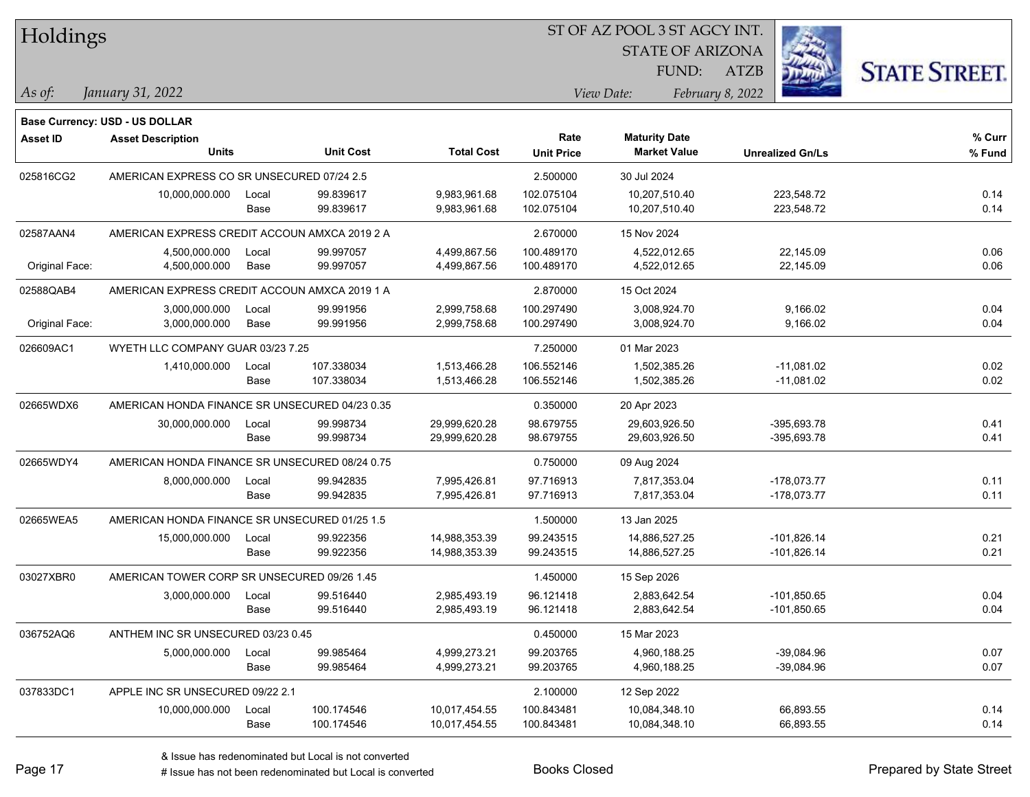| Holdings |  |
|----------|--|
|          |  |

STATE OF ARIZONA

ATZB



*January 31, 2022 As of: View Date: February 8, 2022*

**Base Currency: USD - US DOLLAR**

FUND:

| <b>Asset ID</b> | <b>Asset Description</b>                       |       |                  |                   | Rate              | <b>Maturity Date</b> |                         | % Curr |
|-----------------|------------------------------------------------|-------|------------------|-------------------|-------------------|----------------------|-------------------------|--------|
|                 | <b>Units</b>                                   |       | <b>Unit Cost</b> | <b>Total Cost</b> | <b>Unit Price</b> | <b>Market Value</b>  | <b>Unrealized Gn/Ls</b> | % Fund |
| 025816CG2       | AMERICAN EXPRESS CO SR UNSECURED 07/24 2.5     |       |                  |                   | 2.500000          | 30 Jul 2024          |                         |        |
|                 | 10,000,000.000                                 | Local | 99.839617        | 9,983,961.68      | 102.075104        | 10,207,510.40        | 223,548.72              | 0.14   |
|                 |                                                | Base  | 99.839617        | 9,983,961.68      | 102.075104        | 10,207,510.40        | 223,548.72              | 0.14   |
| 02587AAN4       | AMERICAN EXPRESS CREDIT ACCOUN AMXCA 2019 2 A  |       |                  |                   | 2.670000          | 15 Nov 2024          |                         |        |
|                 | 4,500,000.000                                  | Local | 99.997057        | 4,499,867.56      | 100.489170        | 4,522,012.65         | 22,145.09               | 0.06   |
| Original Face:  | 4,500,000.000                                  | Base  | 99.997057        | 4,499,867.56      | 100.489170        | 4,522,012.65         | 22,145.09               | 0.06   |
| 02588QAB4       | AMERICAN EXPRESS CREDIT ACCOUN AMXCA 2019 1 A  |       |                  |                   | 2.870000          | 15 Oct 2024          |                         |        |
|                 | 3,000,000.000                                  | Local | 99.991956        | 2,999,758.68      | 100.297490        | 3,008,924.70         | 9,166.02                | 0.04   |
| Original Face:  | 3,000,000.000                                  | Base  | 99.991956        | 2,999,758.68      | 100.297490        | 3,008,924.70         | 9,166.02                | 0.04   |
| 026609AC1       | WYETH LLC COMPANY GUAR 03/23 7.25              |       |                  |                   | 7.250000          | 01 Mar 2023          |                         |        |
|                 | 1,410,000.000                                  | Local | 107.338034       | 1,513,466.28      | 106.552146        | 1,502,385.26         | $-11,081.02$            | 0.02   |
|                 |                                                | Base  | 107.338034       | 1,513,466.28      | 106.552146        | 1,502,385.26         | $-11,081.02$            | 0.02   |
| 02665WDX6       | AMERICAN HONDA FINANCE SR UNSECURED 04/23 0.35 |       |                  |                   | 0.350000          | 20 Apr 2023          |                         |        |
|                 | 30,000,000.000                                 | Local | 99.998734        | 29,999,620.28     | 98.679755         | 29,603,926.50        | -395,693.78             | 0.41   |
|                 |                                                | Base  | 99.998734        | 29,999,620.28     | 98.679755         | 29,603,926.50        | -395,693.78             | 0.41   |
| 02665WDY4       | AMERICAN HONDA FINANCE SR UNSECURED 08/24 0.75 |       |                  |                   | 0.750000          | 09 Aug 2024          |                         |        |
|                 | 8,000,000.000                                  | Local | 99.942835        | 7,995,426.81      | 97.716913         | 7,817,353.04         | $-178,073.77$           | 0.11   |
|                 |                                                | Base  | 99.942835        | 7,995,426.81      | 97.716913         | 7,817,353.04         | $-178,073.77$           | 0.11   |
| 02665WEA5       | AMERICAN HONDA FINANCE SR UNSECURED 01/25 1.5  |       |                  |                   | 1.500000          | 13 Jan 2025          |                         |        |
|                 | 15,000,000.000                                 | Local | 99.922356        | 14,988,353.39     | 99.243515         | 14,886,527.25        | $-101,826.14$           | 0.21   |
|                 |                                                | Base  | 99.922356        | 14,988,353.39     | 99.243515         | 14,886,527.25        | $-101,826.14$           | 0.21   |
| 03027XBR0       | AMERICAN TOWER CORP SR UNSECURED 09/26 1.45    |       |                  |                   | 1.450000          | 15 Sep 2026          |                         |        |
|                 | 3,000,000.000                                  | Local | 99.516440        | 2,985,493.19      | 96.121418         | 2,883,642.54         | $-101,850.65$           | 0.04   |
|                 |                                                | Base  | 99.516440        | 2,985,493.19      | 96.121418         | 2,883,642.54         | $-101,850.65$           | 0.04   |
| 036752AQ6       | ANTHEM INC SR UNSECURED 03/23 0.45             |       |                  |                   | 0.450000          | 15 Mar 2023          |                         |        |
|                 | 5,000,000.000                                  | Local | 99.985464        | 4,999,273.21      | 99.203765         | 4,960,188.25         | $-39,084.96$            | 0.07   |
|                 |                                                | Base  | 99.985464        | 4,999,273.21      | 99.203765         | 4,960,188.25         | -39,084.96              | 0.07   |
| 037833DC1       | APPLE INC SR UNSECURED 09/22 2.1               |       |                  |                   | 2.100000          | 12 Sep 2022          |                         |        |
|                 | 10,000,000.000                                 | Local | 100.174546       | 10,017,454.55     | 100.843481        | 10,084,348.10        | 66,893.55               | 0.14   |
|                 |                                                | Base  | 100.174546       | 10,017,454.55     | 100.843481        | 10,084,348.10        | 66,893.55               | 0.14   |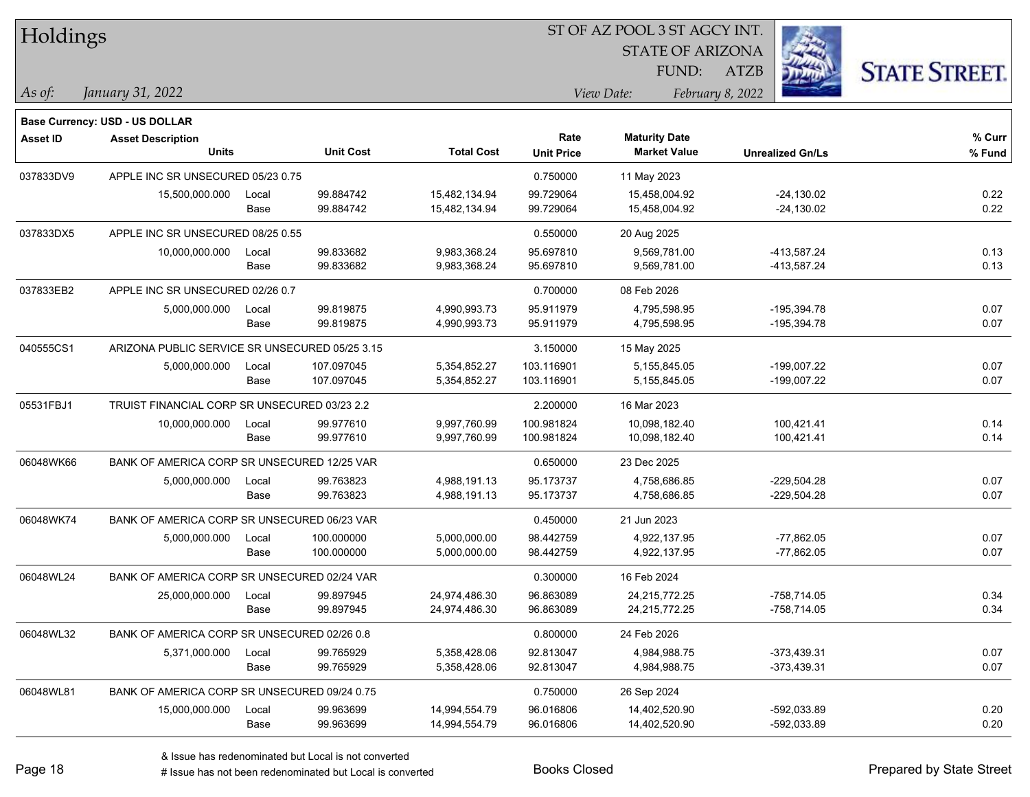| Holdings        |                                                |       |                  |                   | ST OF AZ POOL 3 ST AGCY INT. |                         |                         |                      |  |  |
|-----------------|------------------------------------------------|-------|------------------|-------------------|------------------------------|-------------------------|-------------------------|----------------------|--|--|
|                 |                                                |       |                  |                   |                              | <b>STATE OF ARIZONA</b> |                         |                      |  |  |
|                 |                                                |       |                  |                   |                              | FUND:                   | ATZB                    | <b>STATE STREET.</b> |  |  |
| As of:          | January 31, 2022                               |       |                  |                   |                              | View Date:              | February 8, 2022        |                      |  |  |
|                 |                                                |       |                  |                   |                              |                         |                         |                      |  |  |
|                 | Base Currency: USD - US DOLLAR                 |       |                  |                   | Rate                         | <b>Maturity Date</b>    |                         | % Curr               |  |  |
| <b>Asset ID</b> | <b>Asset Description</b><br><b>Units</b>       |       | <b>Unit Cost</b> | <b>Total Cost</b> | <b>Unit Price</b>            | <b>Market Value</b>     | <b>Unrealized Gn/Ls</b> | % Fund               |  |  |
| 037833DV9       | APPLE INC SR UNSECURED 05/23 0.75              |       |                  |                   | 0.750000                     | 11 May 2023             |                         |                      |  |  |
|                 | 15,500,000.000                                 | Local | 99.884742        | 15,482,134.94     | 99.729064                    | 15,458,004.92           | $-24,130.02$            | 0.22                 |  |  |
|                 |                                                | Base  | 99.884742        | 15,482,134.94     | 99.729064                    | 15,458,004.92           | $-24,130.02$            | 0.22                 |  |  |
| 037833DX5       | APPLE INC SR UNSECURED 08/25 0.55              |       |                  |                   | 0.550000                     | 20 Aug 2025             |                         |                      |  |  |
|                 | 10,000,000.000                                 | Local | 99.833682        | 9,983,368.24      | 95.697810                    | 9,569,781.00            | -413,587.24             | 0.13                 |  |  |
|                 |                                                | Base  | 99.833682        | 9,983,368.24      | 95.697810                    | 9,569,781.00            | -413,587.24             | 0.13                 |  |  |
| 037833EB2       | APPLE INC SR UNSECURED 02/26 0.7               |       |                  |                   | 0.700000                     | 08 Feb 2026             |                         |                      |  |  |
|                 | 5,000,000.000                                  | Local | 99.819875        | 4,990,993.73      | 95.911979                    | 4,795,598.95            | $-195,394.78$           | 0.07                 |  |  |
|                 |                                                | Base  | 99.819875        | 4,990,993.73      | 95.911979                    | 4,795,598.95            | $-195,394.78$           | 0.07                 |  |  |
| 040555CS1       | ARIZONA PUBLIC SERVICE SR UNSECURED 05/25 3.15 |       |                  |                   | 3.150000                     | 15 May 2025             |                         |                      |  |  |
|                 | 5,000,000.000                                  | Local | 107.097045       | 5,354,852.27      | 103.116901                   | 5,155,845.05            | $-199,007.22$           | 0.07                 |  |  |
|                 |                                                | Base  | 107.097045       | 5,354,852.27      | 103.116901                   | 5,155,845.05            | $-199,007.22$           | 0.07                 |  |  |
| 05531FBJ1       | TRUIST FINANCIAL CORP SR UNSECURED 03/23 2.2   |       |                  |                   | 2.200000                     | 16 Mar 2023             |                         |                      |  |  |
|                 | 10,000,000.000                                 | Local | 99.977610        | 9,997,760.99      | 100.981824                   | 10,098,182.40           | 100,421.41              | 0.14                 |  |  |
|                 |                                                | Base  | 99.977610        | 9,997,760.99      | 100.981824                   | 10,098,182.40           | 100,421.41              | 0.14                 |  |  |
| 06048WK66       | BANK OF AMERICA CORP SR UNSECURED 12/25 VAR    |       |                  |                   | 0.650000                     | 23 Dec 2025             |                         |                      |  |  |
|                 | 5,000,000.000                                  | Local | 99.763823        | 4,988,191.13      | 95.173737                    | 4,758,686.85            | $-229,504.28$           | 0.07                 |  |  |
|                 |                                                | Base  | 99.763823        | 4,988,191.13      | 95.173737                    | 4,758,686.85            | $-229,504.28$           | 0.07                 |  |  |
| 06048WK74       | BANK OF AMERICA CORP SR UNSECURED 06/23 VAR    |       |                  |                   | 0.450000                     | 21 Jun 2023             |                         |                      |  |  |
|                 | 5,000,000.000                                  | Local | 100.000000       | 5,000,000.00      | 98.442759                    | 4,922,137.95            | $-77,862.05$            | 0.07                 |  |  |
|                 |                                                | Base  | 100.000000       | 5,000,000.00      | 98.442759                    | 4,922,137.95            | $-77,862.05$            | 0.07                 |  |  |
| 06048WL24       | BANK OF AMERICA CORP SR UNSECURED 02/24 VAR    |       |                  |                   | 0.300000                     | 16 Feb 2024             |                         |                      |  |  |
|                 | 25,000,000.000                                 | Local | 99.897945        | 24,974,486.30     | 96.863089                    | 24,215,772.25           | -758,714.05             | 0.34                 |  |  |
|                 |                                                | Base  | 99.897945        | 24,974,486.30     | 96.863089                    | 24,215,772.25           | -758,714.05             | 0.34                 |  |  |
| 06048WL32       | BANK OF AMERICA CORP SR UNSECURED 02/26 0.8    |       |                  |                   | 0.800000                     | 24 Feb 2026             |                         |                      |  |  |
|                 | 5,371,000.000                                  | Local | 99.765929        | 5,358,428.06      | 92.813047                    | 4,984,988.75            | $-373,439.31$           | 0.07                 |  |  |
|                 |                                                | Base  | 99.765929        | 5,358,428.06      | 92.813047                    | 4,984,988.75            | $-373,439.31$           | 0.07                 |  |  |
| 06048WL81       | BANK OF AMERICA CORP SR UNSECURED 09/24 0.75   |       |                  |                   | 0.750000                     | 26 Sep 2024             |                         |                      |  |  |
|                 | 15,000,000.000                                 | Local | 99.963699        | 14,994,554.79     | 96.016806                    | 14,402,520.90           | -592,033.89             | 0.20                 |  |  |
|                 |                                                | Base  | 99.963699        | 14,994,554.79     | 96.016806                    | 14,402,520.90           | -592,033.89             | 0.20                 |  |  |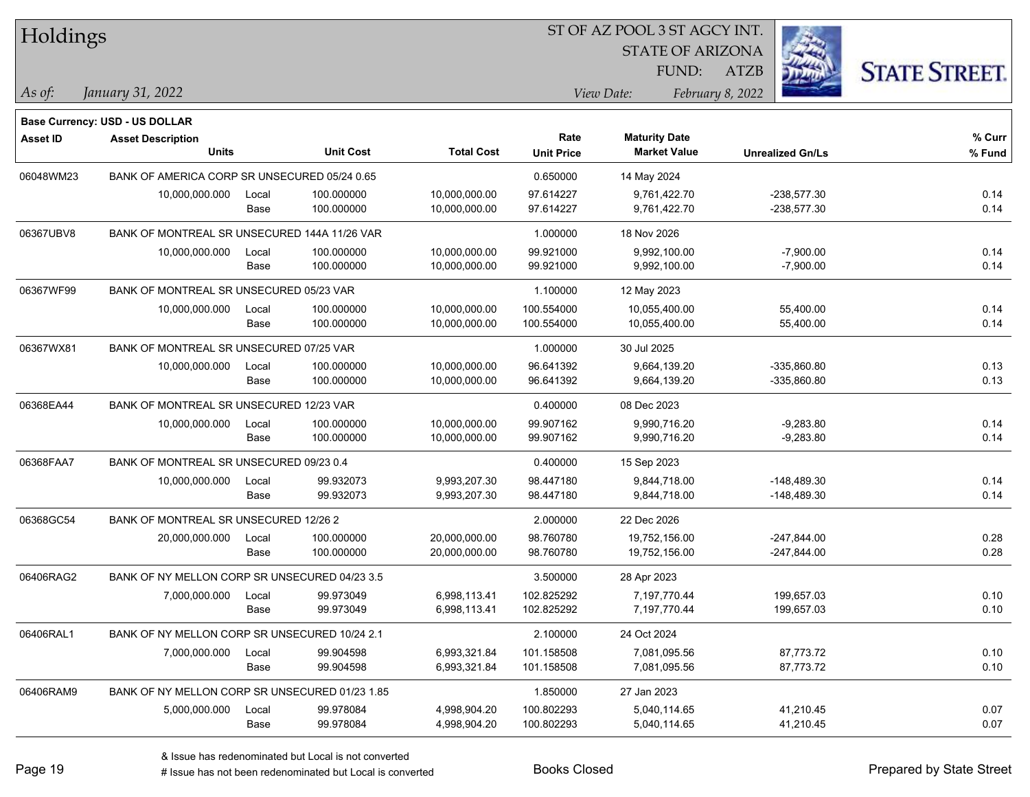| <b>Holdings</b> |                                                |       |                  |                   |                   | 51 OF AZ POOL 3 51 AGCY INT. |                         |                      |
|-----------------|------------------------------------------------|-------|------------------|-------------------|-------------------|------------------------------|-------------------------|----------------------|
|                 |                                                |       |                  |                   |                   | <b>STATE OF ARIZONA</b>      |                         | Ź.                   |
|                 |                                                |       |                  |                   |                   | FUND:                        | ATZB                    | <b>STATE STREET.</b> |
| As of:          | January 31, 2022                               |       |                  |                   |                   | View Date:                   | February 8, 2022        |                      |
|                 | <b>Base Currency: USD - US DOLLAR</b>          |       |                  |                   |                   |                              |                         |                      |
|                 |                                                |       |                  |                   | Rate              | <b>Maturity Date</b>         |                         | % Curr               |
| <b>Asset ID</b> | <b>Asset Description</b><br><b>Units</b>       |       | <b>Unit Cost</b> | <b>Total Cost</b> | <b>Unit Price</b> | <b>Market Value</b>          | <b>Unrealized Gn/Ls</b> | % Fund               |
| 06048WM23       | BANK OF AMERICA CORP SR UNSECURED 05/24 0.65   |       |                  |                   | 0.650000          | 14 May 2024                  |                         |                      |
|                 | 10,000,000.000                                 | Local | 100.000000       | 10,000,000.00     | 97.614227         | 9,761,422.70                 | $-238,577.30$           | 0.14                 |
|                 |                                                | Base  | 100.000000       | 10,000,000.00     | 97.614227         | 9,761,422.70                 | $-238,577.30$           | 0.14                 |
| 06367UBV8       | BANK OF MONTREAL SR UNSECURED 144A 11/26 VAR   |       |                  |                   | 1.000000          | 18 Nov 2026                  |                         |                      |
|                 | 10,000,000.000                                 | Local | 100.000000       | 10,000,000.00     | 99.921000         | 9,992,100.00                 | $-7,900.00$             | 0.14                 |
|                 |                                                | Base  | 100.000000       | 10,000,000.00     | 99.921000         | 9,992,100.00                 | $-7,900.00$             | 0.14                 |
| 06367WF99       | BANK OF MONTREAL SR UNSECURED 05/23 VAR        |       |                  |                   | 1.100000          | 12 May 2023                  |                         |                      |
|                 | 10,000,000.000                                 | Local | 100.000000       | 10,000,000.00     | 100.554000        | 10,055,400.00                | 55,400.00               | 0.14                 |
|                 |                                                | Base  | 100.000000       | 10,000,000.00     | 100.554000        | 10,055,400.00                | 55,400.00               | 0.14                 |
| 06367WX81       | BANK OF MONTREAL SR UNSECURED 07/25 VAR        |       |                  |                   | 1.000000          | 30 Jul 2025                  |                         |                      |
|                 | 10,000,000.000                                 | Local | 100.000000       | 10,000,000.00     | 96.641392         | 9,664,139.20                 | $-335,860.80$           | 0.13                 |
|                 |                                                | Base  | 100.000000       | 10,000,000.00     | 96.641392         | 9,664,139.20                 | $-335,860.80$           | 0.13                 |
| 06368EA44       | BANK OF MONTREAL SR UNSECURED 12/23 VAR        |       |                  |                   | 0.400000          | 08 Dec 2023                  |                         |                      |
|                 | 10,000,000.000                                 | Local | 100.000000       | 10,000,000.00     | 99.907162         | 9,990,716.20                 | $-9,283.80$             | 0.14                 |
|                 |                                                | Base  | 100.000000       | 10,000,000.00     | 99.907162         | 9,990,716.20                 | $-9,283.80$             | 0.14                 |
| 06368FAA7       | BANK OF MONTREAL SR UNSECURED 09/23 0.4        |       |                  |                   | 0.400000          | 15 Sep 2023                  |                         |                      |
|                 | 10,000,000.000                                 | Local | 99.932073        | 9,993,207.30      | 98.447180         | 9,844,718.00                 | -148,489.30             | 0.14                 |
|                 |                                                | Base  | 99.932073        | 9,993,207.30      | 98.447180         | 9,844,718.00                 | -148,489.30             | 0.14                 |
| 06368GC54       | BANK OF MONTREAL SR UNSECURED 12/26 2          |       |                  |                   | 2.000000          | 22 Dec 2026                  |                         |                      |
|                 | 20,000,000.000                                 | Local | 100.000000       | 20,000,000.00     | 98.760780         | 19,752,156.00                | $-247,844.00$           | 0.28                 |
|                 |                                                | Base  | 100.000000       | 20,000,000.00     | 98.760780         | 19,752,156.00                | $-247,844.00$           | 0.28                 |
| 06406RAG2       | BANK OF NY MELLON CORP SR UNSECURED 04/23 3.5  |       |                  |                   | 3.500000          | 28 Apr 2023                  |                         |                      |
|                 | 7,000,000.000                                  | Local | 99.973049        | 6.998.113.41      | 102.825292        | 7,197,770.44                 | 199,657.03              | 0.10                 |
|                 |                                                | Base  | 99.973049        | 6,998,113.41      | 102.825292        | 7,197,770.44                 | 199,657.03              | 0.10                 |
| 06406RAL1       | BANK OF NY MELLON CORP SR UNSECURED 10/24 2.1  |       |                  |                   | 2.100000          | 24 Oct 2024                  |                         |                      |
|                 | 7,000,000.000                                  | Local | 99.904598        | 6,993,321.84      | 101.158508        | 7,081,095.56                 | 87,773.72               | 0.10                 |
|                 |                                                | Base  | 99.904598        | 6,993,321.84      | 101.158508        | 7,081,095.56                 | 87,773.72               | 0.10                 |
| 06406RAM9       | BANK OF NY MELLON CORP SR UNSECURED 01/23 1.85 |       |                  |                   | 1.850000          | 27 Jan 2023                  |                         |                      |
|                 | 5,000,000.000                                  | Local | 99.978084        | 4,998,904.20      | 100.802293        | 5,040,114.65                 | 41,210.45               | 0.07                 |
|                 |                                                | Base  | 99.978084        | 4,998,904.20      | 100.802293        | 5,040,114.65                 | 41,210.45               | 0.07                 |
|                 |                                                |       |                  |                   |                   |                              |                         |                      |

 $\overline{S}$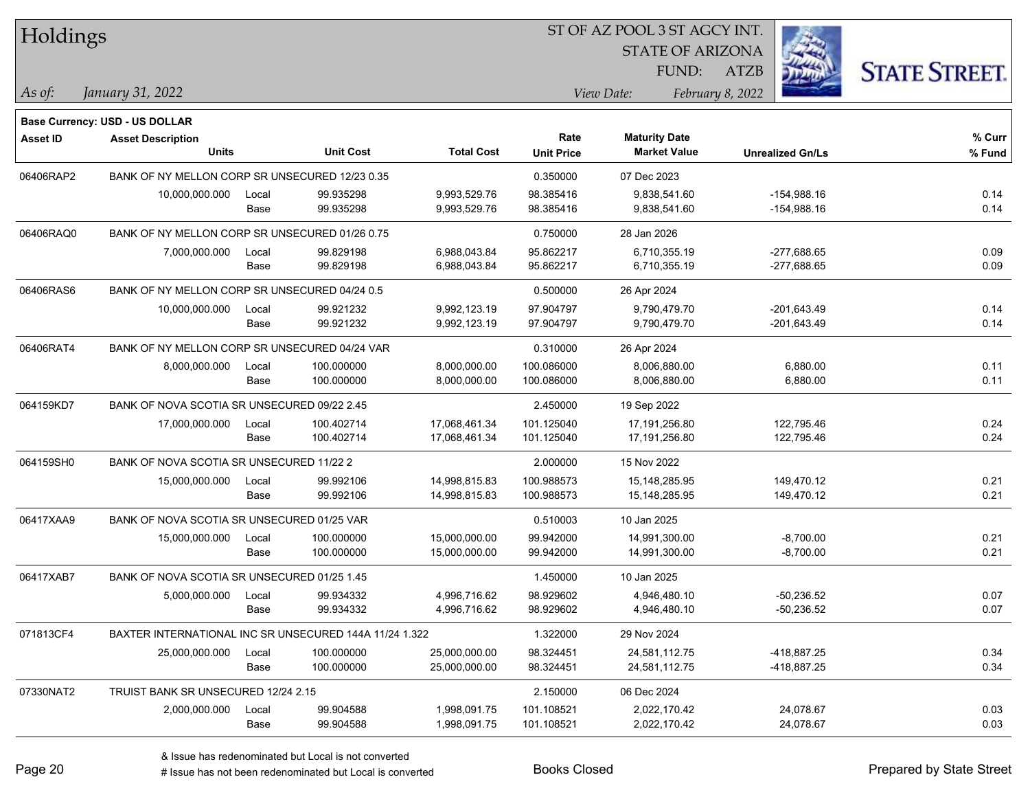| Holdings        |                                                        |       |                  |                   | 51 OF AZ POOL 351 AGCY INT. |                         |                         |                      |  |  |
|-----------------|--------------------------------------------------------|-------|------------------|-------------------|-----------------------------|-------------------------|-------------------------|----------------------|--|--|
|                 |                                                        |       |                  |                   |                             | <b>STATE OF ARIZONA</b> |                         |                      |  |  |
|                 |                                                        |       |                  |                   |                             | FUND:                   | <b>ATZB</b>             | <b>STATE STREET.</b> |  |  |
| $\vert$ As of:  | January 31, 2022                                       |       |                  |                   |                             | View Date:              | February 8, 2022        |                      |  |  |
|                 | <b>Base Currency: USD - US DOLLAR</b>                  |       |                  |                   |                             |                         |                         |                      |  |  |
| <b>Asset ID</b> | <b>Asset Description</b>                               |       |                  |                   | Rate                        | <b>Maturity Date</b>    |                         | % Curr               |  |  |
|                 | <b>Units</b>                                           |       | <b>Unit Cost</b> | <b>Total Cost</b> | <b>Unit Price</b>           | <b>Market Value</b>     | <b>Unrealized Gn/Ls</b> | % Fund               |  |  |
| 06406RAP2       | BANK OF NY MELLON CORP SR UNSECURED 12/23 0.35         |       |                  |                   | 0.350000                    | 07 Dec 2023             |                         |                      |  |  |
|                 | 10,000,000.000                                         | Local | 99.935298        | 9,993,529.76      | 98.385416                   | 9,838,541.60            | $-154,988.16$           | 0.14                 |  |  |
|                 |                                                        | Base  | 99.935298        | 9,993,529.76      | 98.385416                   | 9,838,541.60            | $-154,988.16$           | 0.14                 |  |  |
| 06406RAQ0       | BANK OF NY MELLON CORP SR UNSECURED 01/26 0.75         |       |                  |                   | 0.750000                    | 28 Jan 2026             |                         |                      |  |  |
|                 | 7,000,000.000                                          | Local | 99.829198        | 6,988,043.84      | 95.862217                   | 6,710,355.19            | $-277,688.65$           | 0.09                 |  |  |
|                 |                                                        | Base  | 99.829198        | 6,988,043.84      | 95.862217                   | 6,710,355.19            | $-277,688.65$           | 0.09                 |  |  |
| 06406RAS6       | BANK OF NY MELLON CORP SR UNSECURED 04/24 0.5          |       |                  |                   | 0.500000                    | 26 Apr 2024             |                         |                      |  |  |
|                 | 10,000,000.000                                         | Local | 99.921232        | 9,992,123.19      | 97.904797                   | 9,790,479.70            | $-201,643.49$           | 0.14                 |  |  |
|                 |                                                        | Base  | 99.921232        | 9,992,123.19      | 97.904797                   | 9,790,479.70            | $-201,643.49$           | 0.14                 |  |  |
| 06406RAT4       | BANK OF NY MELLON CORP SR UNSECURED 04/24 VAR          |       |                  |                   | 0.310000                    | 26 Apr 2024             |                         |                      |  |  |
|                 | 8,000,000.000                                          | Local | 100.000000       | 8,000,000.00      | 100.086000                  | 8,006,880.00            | 6,880.00                | 0.11                 |  |  |
|                 |                                                        | Base  | 100.000000       | 8,000,000.00      | 100.086000                  | 8,006,880.00            | 6,880.00                | 0.11                 |  |  |
| 064159KD7       | BANK OF NOVA SCOTIA SR UNSECURED 09/22 2.45            |       |                  |                   | 2.450000                    | 19 Sep 2022             |                         |                      |  |  |
|                 | 17,000,000.000                                         | Local | 100.402714       | 17,068,461.34     | 101.125040                  | 17,191,256.80           | 122,795.46              | 0.24                 |  |  |
|                 |                                                        | Base  | 100.402714       | 17,068,461.34     | 101.125040                  | 17,191,256.80           | 122,795.46              | 0.24                 |  |  |
| 064159SH0       | BANK OF NOVA SCOTIA SR UNSECURED 11/22 2               |       |                  |                   | 2.000000                    | 15 Nov 2022             |                         |                      |  |  |
|                 | 15,000,000.000                                         | Local | 99.992106        | 14,998,815.83     | 100.988573                  | 15,148,285.95           | 149,470.12              | 0.21                 |  |  |
|                 |                                                        | Base  | 99.992106        | 14,998,815.83     | 100.988573                  | 15, 148, 285. 95        | 149,470.12              | 0.21                 |  |  |
| 06417XAA9       | BANK OF NOVA SCOTIA SR UNSECURED 01/25 VAR             |       |                  |                   | 0.510003                    | 10 Jan 2025             |                         |                      |  |  |
|                 | 15,000,000.000                                         | Local | 100.000000       | 15,000,000.00     | 99.942000                   | 14,991,300.00           | $-8,700.00$             | 0.21                 |  |  |
|                 |                                                        | Base  | 100.000000       | 15,000,000.00     | 99.942000                   | 14,991,300.00           | $-8,700.00$             | 0.21                 |  |  |
| 06417XAB7       | BANK OF NOVA SCOTIA SR UNSECURED 01/25 1.45            |       |                  |                   | 1.450000                    | 10 Jan 2025             |                         |                      |  |  |
|                 | 5,000,000.000                                          | Local | 99.934332        | 4,996,716.62      | 98.929602                   | 4,946,480.10            | $-50,236.52$            | 0.07                 |  |  |
|                 |                                                        | Base  | 99.934332        | 4,996,716.62      | 98.929602                   | 4,946,480.10            | $-50,236.52$            | 0.07                 |  |  |
| 071813CF4       | BAXTER INTERNATIONAL INC SR UNSECURED 144A 11/24 1.322 |       |                  |                   | 1.322000                    | 29 Nov 2024             |                         |                      |  |  |
|                 | 25,000,000.000                                         | Local | 100.000000       | 25,000,000.00     | 98.324451                   | 24,581,112.75           | -418,887.25             | 0.34                 |  |  |
|                 |                                                        | Base  | 100.000000       | 25,000,000.00     | 98.324451                   | 24,581,112.75           | -418,887.25             | 0.34                 |  |  |
| 07330NAT2       | TRUIST BANK SR UNSECURED 12/24 2.15                    |       |                  |                   | 2.150000                    | 06 Dec 2024             |                         |                      |  |  |
|                 | 2,000,000.000                                          | Local | 99.904588        | 1,998,091.75      | 101.108521                  | 2,022,170.42            | 24,078.67               | 0.03                 |  |  |
|                 |                                                        | Base  | 99.904588        | 1,998,091.75      | 101.108521                  | 2,022,170.42            | 24,078.67               | 0.03                 |  |  |

 $\overline{\text{SUSY}}$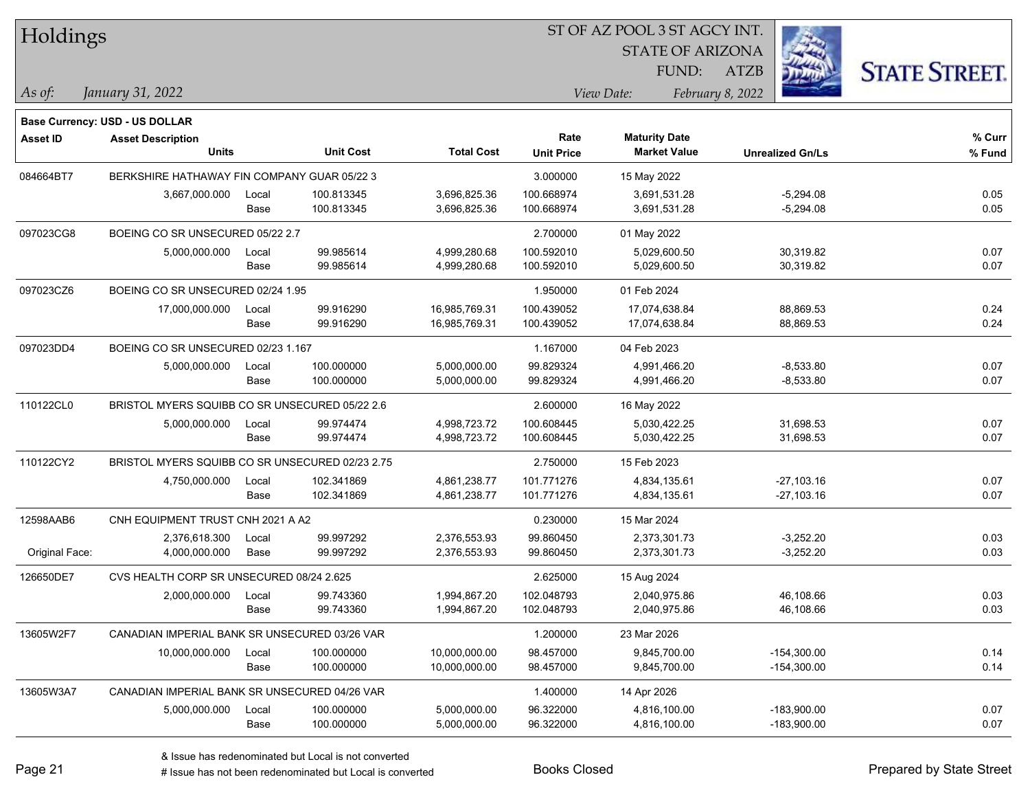| Holdings        |                                                 |       |                  |                   | ST OF AZ POOL 3 ST AGCY INT. |                         |                  |                         |                      |
|-----------------|-------------------------------------------------|-------|------------------|-------------------|------------------------------|-------------------------|------------------|-------------------------|----------------------|
|                 |                                                 |       |                  |                   |                              | <b>STATE OF ARIZONA</b> |                  |                         |                      |
|                 |                                                 |       |                  |                   |                              | FUND:                   | <b>ATZB</b>      |                         | <b>STATE STREET.</b> |
| As of:          | January 31, 2022                                |       |                  |                   |                              | View Date:              | February 8, 2022 |                         |                      |
|                 | Base Currency: USD - US DOLLAR                  |       |                  |                   |                              |                         |                  |                         |                      |
| <b>Asset ID</b> | <b>Asset Description</b>                        |       |                  |                   | Rate                         | <b>Maturity Date</b>    |                  |                         | % Curr               |
|                 | <b>Units</b>                                    |       | <b>Unit Cost</b> | <b>Total Cost</b> | <b>Unit Price</b>            | <b>Market Value</b>     |                  | <b>Unrealized Gn/Ls</b> | % Fund               |
| 084664BT7       | BERKSHIRE HATHAWAY FIN COMPANY GUAR 05/22 3     |       |                  |                   | 3.000000                     | 15 May 2022             |                  |                         |                      |
|                 | 3,667,000.000                                   | Local | 100.813345       | 3,696,825.36      | 100.668974                   | 3,691,531.28            |                  | $-5,294.08$             | 0.05                 |
|                 |                                                 | Base  | 100.813345       | 3,696,825.36      | 100.668974                   | 3,691,531.28            |                  | $-5,294.08$             | 0.05                 |
| 097023CG8       | BOEING CO SR UNSECURED 05/22 2.7                |       |                  |                   | 2.700000                     | 01 May 2022             |                  |                         |                      |
|                 | 5,000,000.000                                   | Local | 99.985614        | 4,999,280.68      | 100.592010                   | 5,029,600.50            |                  | 30,319.82               | 0.07                 |
|                 |                                                 | Base  | 99.985614        | 4,999,280.68      | 100.592010                   | 5,029,600.50            |                  | 30,319.82               | 0.07                 |
| 097023CZ6       | BOEING CO SR UNSECURED 02/24 1.95               |       |                  |                   | 1.950000                     | 01 Feb 2024             |                  |                         |                      |
|                 | 17,000,000.000                                  | Local | 99.916290        | 16,985,769.31     | 100.439052                   | 17,074,638.84           |                  | 88,869.53               | 0.24                 |
|                 |                                                 | Base  | 99.916290        | 16,985,769.31     | 100.439052                   | 17,074,638.84           |                  | 88,869.53               | 0.24                 |
| 097023DD4       | BOEING CO SR UNSECURED 02/23 1.167              |       |                  |                   | 1.167000                     | 04 Feb 2023             |                  |                         |                      |
|                 | 5,000,000.000                                   | Local | 100.000000       | 5,000,000.00      | 99.829324                    | 4,991,466.20            |                  | $-8,533.80$             | 0.07                 |
|                 |                                                 | Base  | 100.000000       | 5,000,000.00      | 99.829324                    | 4,991,466.20            |                  | $-8,533.80$             | 0.07                 |
| 110122CL0       | BRISTOL MYERS SQUIBB CO SR UNSECURED 05/22 2.6  |       |                  |                   | 2.600000                     | 16 May 2022             |                  |                         |                      |
|                 | 5,000,000.000                                   | Local | 99.974474        | 4,998,723.72      | 100.608445                   | 5,030,422.25            |                  | 31,698.53               | 0.07                 |
|                 |                                                 | Base  | 99.974474        | 4,998,723.72      | 100.608445                   | 5,030,422.25            |                  | 31,698.53               | 0.07                 |
| 110122CY2       | BRISTOL MYERS SQUIBB CO SR UNSECURED 02/23 2.75 |       |                  |                   | 2.750000                     | 15 Feb 2023             |                  |                         |                      |
|                 | 4,750,000.000                                   | Local | 102.341869       | 4,861,238.77      | 101.771276                   | 4,834,135.61            |                  | $-27,103.16$            | 0.07                 |
|                 |                                                 | Base  | 102.341869       | 4,861,238.77      | 101.771276                   | 4,834,135.61            |                  | -27,103.16              | 0.07                 |
| 12598AAB6       | CNH EQUIPMENT TRUST CNH 2021 A A2               |       |                  |                   | 0.230000                     | 15 Mar 2024             |                  |                         |                      |
|                 | 2,376,618.300                                   | Local | 99.997292        | 2,376,553.93      | 99.860450                    | 2,373,301.73            |                  | $-3,252.20$             | 0.03                 |
| Original Face:  | 4,000,000.000                                   | Base  | 99.997292        | 2,376,553.93      | 99.860450                    | 2,373,301.73            |                  | $-3,252.20$             | 0.03                 |
| 126650DE7       | CVS HEALTH CORP SR UNSECURED 08/24 2.625        |       |                  |                   | 2.625000                     | 15 Aug 2024             |                  |                         |                      |
|                 | 2,000,000.000                                   | Local | 99.743360        | 1,994,867.20      | 102.048793                   | 2,040,975.86            |                  | 46,108.66               | 0.03                 |
|                 |                                                 | Base  | 99.743360        | 1,994,867.20      | 102.048793                   | 2,040,975.86            |                  | 46,108.66               | 0.03                 |
| 13605W2F7       | CANADIAN IMPERIAL BANK SR UNSECURED 03/26 VAR   |       |                  |                   | 1.200000                     | 23 Mar 2026             |                  |                         |                      |
|                 | 10,000,000.000                                  | Local | 100.000000       | 10,000,000.00     | 98.457000                    | 9,845,700.00            |                  | $-154,300.00$           | 0.14                 |
|                 |                                                 | Base  | 100.000000       | 10,000,000.00     | 98.457000                    | 9,845,700.00            |                  | $-154,300.00$           | 0.14                 |
| 13605W3A7       | CANADIAN IMPERIAL BANK SR UNSECURED 04/26 VAR   |       |                  |                   | 1.400000                     | 14 Apr 2026             |                  |                         |                      |
|                 | 5,000,000.000                                   | Local | 100.000000       | 5,000,000.00      | 96.322000                    | 4,816,100.00            |                  | $-183,900.00$           | 0.07                 |
|                 |                                                 | Base  | 100.000000       | 5,000,000.00      | 96.322000                    | 4,816,100.00            |                  | $-183,900.00$           | 0.07                 |

# Issue has not been redenominated but Local is converted Books Closed Prepared by State Street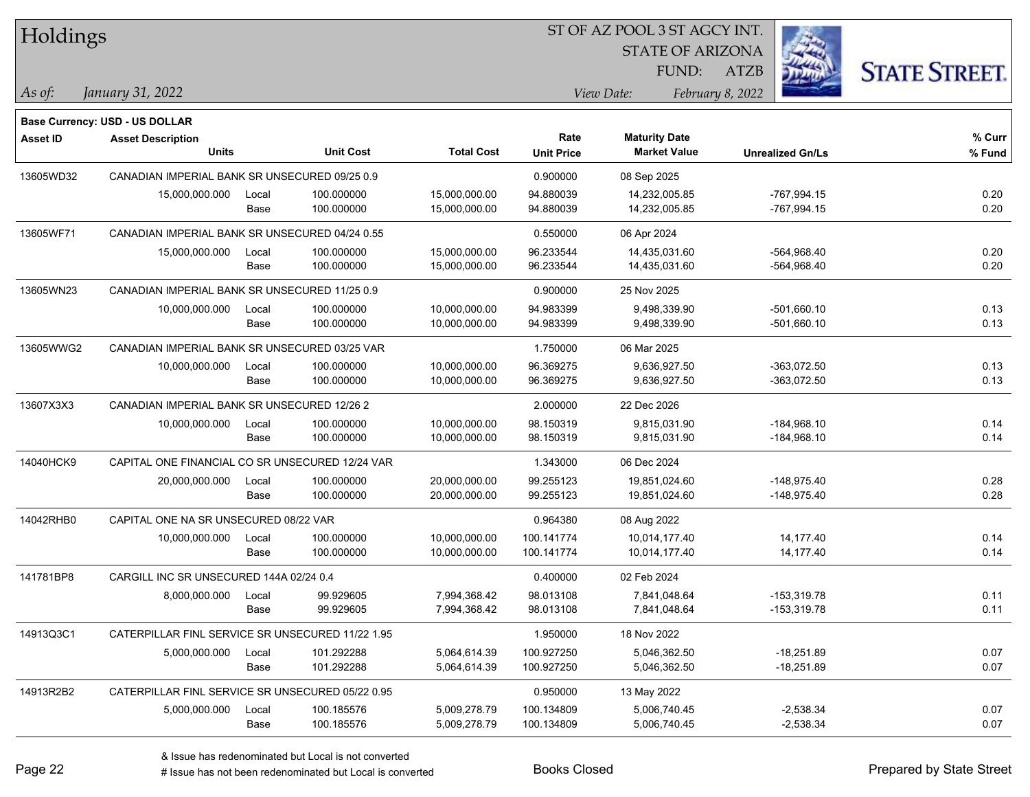| Holdings  |                                                  |       |                  |                   |                   | 51 OF AZ POOL 3 51 AGCY INT. |                         |                      |
|-----------|--------------------------------------------------|-------|------------------|-------------------|-------------------|------------------------------|-------------------------|----------------------|
|           |                                                  |       |                  |                   |                   | <b>STATE OF ARIZONA</b>      | Ż.                      |                      |
|           |                                                  |       |                  |                   |                   | FUND:                        | ATZB                    | <b>STATE STREET.</b> |
| As of:    | January 31, 2022                                 |       |                  |                   |                   | View Date:                   | February 8, 2022        |                      |
|           |                                                  |       |                  |                   |                   |                              |                         |                      |
|           | <b>Base Currency: USD - US DOLLAR</b>            |       |                  |                   |                   |                              |                         |                      |
| Asset ID  | <b>Asset Description</b>                         |       |                  |                   | Rate              | <b>Maturity Date</b>         |                         | % Curr               |
|           | <b>Units</b>                                     |       | <b>Unit Cost</b> | <b>Total Cost</b> | <b>Unit Price</b> | <b>Market Value</b>          | <b>Unrealized Gn/Ls</b> | % Fund               |
| 13605WD32 | CANADIAN IMPERIAL BANK SR UNSECURED 09/25 0.9    |       |                  |                   | 0.900000          | 08 Sep 2025                  |                         |                      |
|           | 15,000,000.000                                   | Local | 100.000000       | 15,000,000.00     | 94.880039         | 14,232,005.85                | -767,994.15             | 0.20                 |
|           |                                                  | Base  | 100.000000       | 15,000,000.00     | 94.880039         | 14,232,005.85                | $-767,994.15$           | 0.20                 |
| 13605WF71 | CANADIAN IMPERIAL BANK SR UNSECURED 04/24 0.55   |       |                  |                   | 0.550000          | 06 Apr 2024                  |                         |                      |
|           | 15,000,000.000                                   | Local | 100.000000       | 15,000,000.00     | 96.233544         | 14,435,031.60                | -564,968.40             | 0.20                 |
|           |                                                  | Base  | 100.000000       | 15,000,000.00     | 96.233544         | 14,435,031.60                | -564,968.40             | 0.20                 |
| 13605WN23 | CANADIAN IMPERIAL BANK SR UNSECURED 11/25 0.9    |       |                  |                   | 0.900000          | 25 Nov 2025                  |                         |                      |
|           | 10,000,000.000                                   | Local | 100.000000       | 10,000,000.00     | 94.983399         | 9,498,339.90                 | $-501,660.10$           | 0.13                 |
|           |                                                  | Base  | 100.000000       | 10,000,000.00     | 94.983399         | 9,498,339.90                 | $-501,660.10$           | 0.13                 |
| 13605WWG2 | CANADIAN IMPERIAL BANK SR UNSECURED 03/25 VAR    |       |                  |                   | 1.750000          | 06 Mar 2025                  |                         |                      |
|           | 10,000,000.000                                   | Local | 100.000000       | 10,000,000.00     | 96.369275         | 9,636,927.50                 | -363,072.50             | 0.13                 |
|           |                                                  | Base  | 100.000000       | 10,000,000.00     | 96.369275         | 9,636,927.50                 | -363,072.50             | 0.13                 |
| 13607X3X3 | CANADIAN IMPERIAL BANK SR UNSECURED 12/26 2      |       |                  |                   | 2.000000          | 22 Dec 2026                  |                         |                      |
|           | 10,000,000.000                                   | Local | 100.000000       | 10,000,000.00     | 98.150319         | 9,815,031.90                 | $-184,968.10$           | 0.14                 |
|           |                                                  | Base  | 100.000000       | 10,000,000.00     | 98.150319         | 9,815,031.90                 | $-184,968.10$           | 0.14                 |
| 14040HCK9 | CAPITAL ONE FINANCIAL CO SR UNSECURED 12/24 VAR  |       |                  |                   | 1.343000          | 06 Dec 2024                  |                         |                      |
|           | 20,000,000.000                                   | Local | 100.000000       | 20,000,000.00     | 99.255123         | 19,851,024.60                | $-148,975.40$           | 0.28                 |
|           |                                                  | Base  | 100.000000       | 20,000,000.00     | 99.255123         | 19,851,024.60                | $-148,975.40$           | 0.28                 |
| 14042RHB0 | CAPITAL ONE NA SR UNSECURED 08/22 VAR            |       |                  |                   | 0.964380          | 08 Aug 2022                  |                         |                      |
|           | 10,000,000.000                                   | Local | 100.000000       | 10,000,000.00     | 100.141774        | 10,014,177.40                | 14,177.40               | 0.14                 |
|           |                                                  | Base  | 100.000000       | 10,000,000.00     | 100.141774        | 10,014,177.40                | 14,177.40               | 0.14                 |
| 141781BP8 | CARGILL INC SR UNSECURED 144A 02/24 0.4          |       |                  |                   | 0.400000          | 02 Feb 2024                  |                         |                      |
|           | 8,000,000.000                                    | Local | 99.929605        | 7,994,368.42      | 98.013108         | 7,841,048.64                 | $-153,319.78$           | 0.11                 |
|           |                                                  | Base  | 99.929605        | 7,994,368.42      | 98.013108         | 7,841,048.64                 | $-153,319.78$           | 0.11                 |
| 14913Q3C1 | CATERPILLAR FINL SERVICE SR UNSECURED 11/22 1.95 |       |                  |                   | 1.950000          | 18 Nov 2022                  |                         |                      |
|           | 5,000,000.000                                    | Local | 101.292288       | 5,064,614.39      | 100.927250        | 5,046,362.50                 | $-18,251.89$            | 0.07                 |
|           |                                                  | Base  | 101.292288       | 5,064,614.39      | 100.927250        | 5,046,362.50                 | $-18,251.89$            | 0.07                 |
| 14913R2B2 | CATERPILLAR FINL SERVICE SR UNSECURED 05/22 0.95 |       |                  |                   | 0.950000          | 13 May 2022                  |                         |                      |
|           | 5,000,000.000                                    | Local | 100.185576       | 5,009,278.79      | 100.134809        | 5,006,740.45                 | $-2,538.34$             | 0.07                 |
|           |                                                  | Base  | 100.185576       | 5,009,278.79      | 100.134809        | 5,006,740.45                 | $-2,538.34$             | 0.07                 |
|           |                                                  |       |                  |                   |                   |                              |                         |                      |

 $\overline{S}$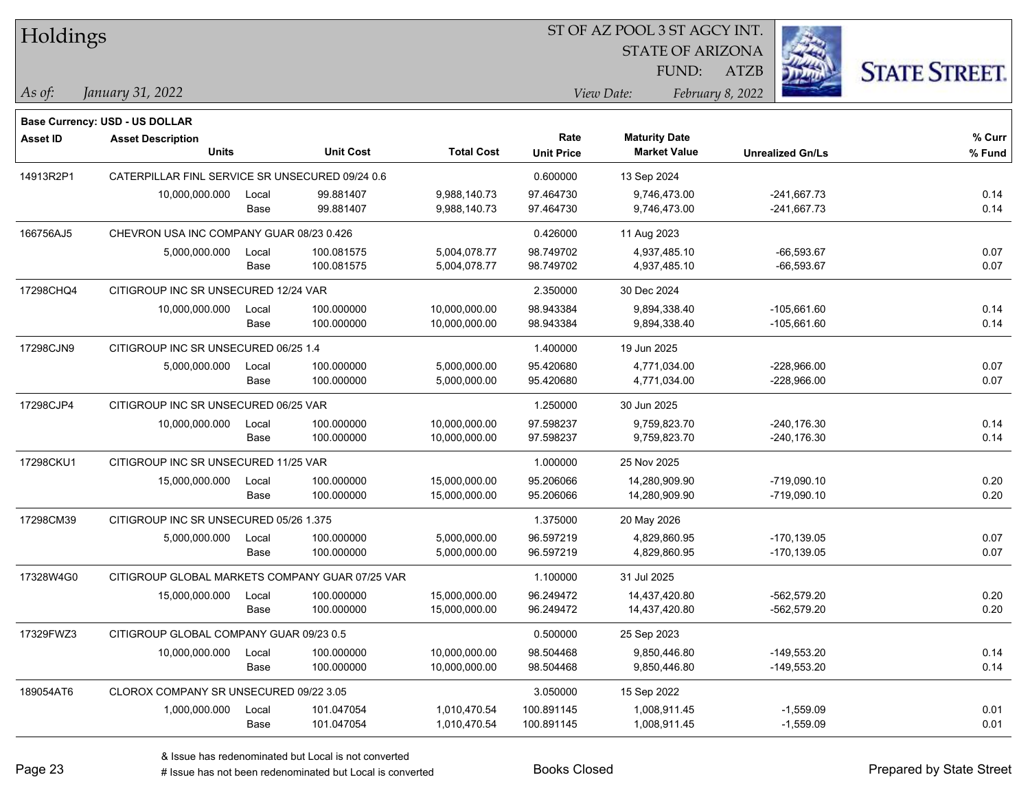| Holdings        |                                                 |       |                  |                   | ST OF AZ POOL 3 ST AGCY INT. |                         |                         |                      |  |  |
|-----------------|-------------------------------------------------|-------|------------------|-------------------|------------------------------|-------------------------|-------------------------|----------------------|--|--|
|                 |                                                 |       |                  |                   |                              | <b>STATE OF ARIZONA</b> |                         |                      |  |  |
|                 |                                                 |       |                  |                   |                              | FUND:                   | <b>ATZB</b>             | <b>STATE STREET.</b> |  |  |
| As of:          | January 31, 2022                                |       |                  |                   |                              | View Date:              | February 8, 2022        |                      |  |  |
|                 | <b>Base Currency: USD - US DOLLAR</b>           |       |                  |                   |                              |                         |                         |                      |  |  |
| <b>Asset ID</b> | <b>Asset Description</b>                        |       |                  |                   | Rate                         | <b>Maturity Date</b>    |                         | % Curr               |  |  |
|                 | <b>Units</b>                                    |       | <b>Unit Cost</b> | <b>Total Cost</b> | <b>Unit Price</b>            | <b>Market Value</b>     | <b>Unrealized Gn/Ls</b> | % Fund               |  |  |
| 14913R2P1       | CATERPILLAR FINL SERVICE SR UNSECURED 09/24 0.6 |       |                  |                   | 0.600000                     | 13 Sep 2024             |                         |                      |  |  |
|                 | 10,000,000.000                                  | Local | 99.881407        | 9,988,140.73      | 97.464730                    | 9,746,473.00            | $-241,667.73$           | 0.14                 |  |  |
|                 |                                                 | Base  | 99.881407        | 9,988,140.73      | 97.464730                    | 9,746,473.00            | $-241,667.73$           | 0.14                 |  |  |
| 166756AJ5       | CHEVRON USA INC COMPANY GUAR 08/23 0.426        |       |                  |                   | 0.426000                     | 11 Aug 2023             |                         |                      |  |  |
|                 | 5,000,000.000                                   | Local | 100.081575       | 5,004,078.77      | 98.749702                    | 4,937,485.10            | $-66,593.67$            | 0.07                 |  |  |
|                 |                                                 | Base  | 100.081575       | 5,004,078.77      | 98.749702                    | 4,937,485.10            | $-66,593.67$            | 0.07                 |  |  |
| 17298CHQ4       | CITIGROUP INC SR UNSECURED 12/24 VAR            |       |                  |                   | 2.350000                     | 30 Dec 2024             |                         |                      |  |  |
|                 | 10,000,000.000                                  | Local | 100.000000       | 10,000,000.00     | 98.943384                    | 9,894,338.40            | -105,661.60             | 0.14                 |  |  |
|                 |                                                 | Base  | 100.000000       | 10,000,000.00     | 98.943384                    | 9,894,338.40            | $-105,661.60$           | 0.14                 |  |  |
| 17298CJN9       | CITIGROUP INC SR UNSECURED 06/25 1.4            |       |                  |                   | 1.400000                     | 19 Jun 2025             |                         |                      |  |  |
|                 | 5,000,000.000                                   | Local | 100.000000       | 5,000,000.00      | 95.420680                    | 4,771,034.00            | -228,966.00             | 0.07                 |  |  |
|                 |                                                 | Base  | 100.000000       | 5,000,000.00      | 95.420680                    | 4,771,034.00            | $-228,966.00$           | 0.07                 |  |  |
| 17298CJP4       | CITIGROUP INC SR UNSECURED 06/25 VAR            |       |                  |                   | 1.250000                     | 30 Jun 2025             |                         |                      |  |  |
|                 | 10,000,000.000                                  | Local | 100.000000       | 10,000,000.00     | 97.598237                    | 9,759,823.70            | $-240,176.30$           | 0.14                 |  |  |
|                 |                                                 | Base  | 100.000000       | 10,000,000.00     | 97.598237                    | 9,759,823.70            | $-240,176.30$           | 0.14                 |  |  |
| 17298CKU1       | CITIGROUP INC SR UNSECURED 11/25 VAR            |       |                  |                   | 1.000000                     | 25 Nov 2025             |                         |                      |  |  |
|                 | 15,000,000.000                                  | Local | 100.000000       | 15,000,000.00     | 95.206066                    | 14,280,909.90           | $-719,090.10$           | 0.20                 |  |  |
|                 |                                                 | Base  | 100.000000       | 15,000,000.00     | 95.206066                    | 14,280,909.90           | $-719,090.10$           | 0.20                 |  |  |
| 17298CM39       | CITIGROUP INC SR UNSECURED 05/26 1.375          |       |                  |                   | 1.375000                     | 20 May 2026             |                         |                      |  |  |
|                 | 5,000,000.000                                   | Local | 100.000000       | 5,000,000.00      | 96.597219                    | 4,829,860.95            | $-170, 139.05$          | 0.07                 |  |  |
|                 |                                                 | Base  | 100.000000       | 5,000,000.00      | 96.597219                    | 4,829,860.95            | $-170, 139.05$          | 0.07                 |  |  |
| 17328W4G0       | CITIGROUP GLOBAL MARKETS COMPANY GUAR 07/25 VAR |       |                  |                   | 1.100000                     | 31 Jul 2025             |                         |                      |  |  |
|                 | 15,000,000.000                                  | Local | 100.000000       | 15,000,000.00     | 96.249472                    | 14,437,420.80           | $-562,579.20$           | 0.20                 |  |  |
|                 |                                                 | Base  | 100.000000       | 15,000,000.00     | 96.249472                    | 14,437,420.80           | $-562,579.20$           | 0.20                 |  |  |
| 17329FWZ3       | CITIGROUP GLOBAL COMPANY GUAR 09/23 0.5         |       |                  |                   | 0.500000                     | 25 Sep 2023             |                         |                      |  |  |
|                 | 10,000,000.000                                  | Local | 100.000000       | 10,000,000.00     | 98.504468                    | 9,850,446.80            | -149,553.20             | 0.14                 |  |  |
|                 |                                                 | Base  | 100.000000       | 10,000,000.00     | 98.504468                    | 9,850,446.80            | -149,553.20             | 0.14                 |  |  |
| 189054AT6       | CLOROX COMPANY SR UNSECURED 09/22 3.05          |       |                  |                   | 3.050000                     | 15 Sep 2022             |                         |                      |  |  |
|                 | 1,000,000.000                                   | Local | 101.047054       | 1,010,470.54      | 100.891145                   | 1,008,911.45            | $-1,559.09$             | 0.01                 |  |  |
|                 |                                                 | Base  | 101.047054       | 1,010,470.54      | 100.891145                   | 1,008,911.45            | $-1,559.09$             | 0.01                 |  |  |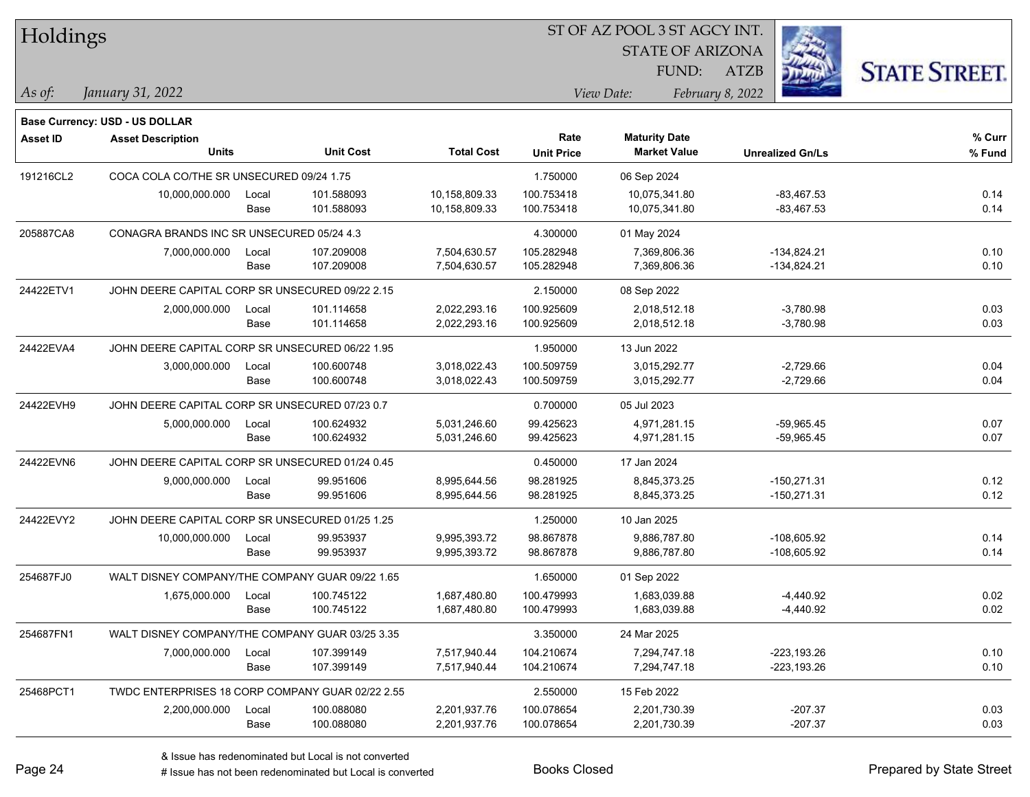| <b>Holdings</b> |                                                  |                                                 |                  | 51 OF AZ POOL 3 51 AGCY INT. |                   |                         |                         |               |                      |
|-----------------|--------------------------------------------------|-------------------------------------------------|------------------|------------------------------|-------------------|-------------------------|-------------------------|---------------|----------------------|
|                 |                                                  |                                                 |                  |                              |                   | <b>STATE OF ARIZONA</b> |                         | Ź.            |                      |
|                 |                                                  |                                                 |                  |                              |                   | FUND:                   | ATZB                    |               | <b>STATE STREET.</b> |
| As of:          | January 31, 2022                                 |                                                 |                  |                              |                   | View Date:              | February 8, 2022        |               |                      |
|                 | <b>Base Currency: USD - US DOLLAR</b>            |                                                 |                  |                              |                   |                         |                         |               |                      |
| <b>Asset ID</b> | <b>Asset Description</b>                         |                                                 |                  |                              | Rate              | <b>Maturity Date</b>    |                         |               | % Curr               |
|                 | <b>Units</b>                                     |                                                 | <b>Unit Cost</b> | <b>Total Cost</b>            | <b>Unit Price</b> | <b>Market Value</b>     | <b>Unrealized Gn/Ls</b> |               | % Fund               |
| 191216CL2       | COCA COLA CO/THE SR UNSECURED 09/24 1.75         |                                                 |                  |                              | 1.750000          | 06 Sep 2024             |                         |               |                      |
|                 | 10,000,000.000                                   | Local                                           | 101.588093       | 10,158,809.33                | 100.753418        | 10,075,341.80           |                         | $-83,467.53$  | 0.14                 |
|                 |                                                  | Base                                            | 101.588093       | 10,158,809.33                | 100.753418        | 10,075,341.80           |                         | $-83,467.53$  | 0.14                 |
| 205887CA8       | CONAGRA BRANDS INC SR UNSECURED 05/24 4.3        |                                                 |                  |                              | 4.300000          | 01 May 2024             |                         |               |                      |
|                 | 7,000,000.000                                    | Local                                           | 107.209008       | 7,504,630.57                 | 105.282948        | 7,369,806.36            |                         | $-134,824.21$ | 0.10                 |
|                 |                                                  | Base                                            | 107.209008       | 7,504,630.57                 | 105.282948        | 7,369,806.36            |                         | $-134,824.21$ | 0.10                 |
| 24422ETV1       | JOHN DEERE CAPITAL CORP SR UNSECURED 09/22 2.15  |                                                 |                  |                              | 2.150000          | 08 Sep 2022             |                         |               |                      |
|                 | 2,000,000.000                                    | Local                                           | 101.114658       | 2,022,293.16                 | 100.925609        | 2,018,512.18            |                         | $-3,780.98$   | 0.03                 |
|                 |                                                  | Base                                            | 101.114658       | 2,022,293.16                 | 100.925609        | 2,018,512.18            |                         | $-3,780.98$   | 0.03                 |
| 24422EVA4       | JOHN DEERE CAPITAL CORP SR UNSECURED 06/22 1.95  |                                                 |                  |                              | 1.950000          | 13 Jun 2022             |                         |               |                      |
|                 | 3,000,000.000                                    | Local                                           | 100.600748       | 3,018,022.43                 | 100.509759        | 3,015,292.77            |                         | $-2,729.66$   | 0.04                 |
|                 |                                                  | Base                                            | 100.600748       | 3,018,022.43                 | 100.509759        | 3,015,292.77            |                         | $-2,729.66$   | 0.04                 |
| 24422EVH9       | JOHN DEERE CAPITAL CORP SR UNSECURED 07/23 0.7   |                                                 |                  |                              | 0.700000          | 05 Jul 2023             |                         |               |                      |
|                 | 5,000,000.000                                    | Local                                           | 100.624932       | 5,031,246.60                 | 99.425623         | 4,971,281.15            |                         | $-59,965.45$  | 0.07                 |
|                 |                                                  | Base                                            | 100.624932       | 5,031,246.60                 | 99.425623         | 4,971,281.15            |                         | $-59,965.45$  | 0.07                 |
| 24422EVN6       |                                                  | JOHN DEERE CAPITAL CORP SR UNSECURED 01/24 0.45 |                  |                              |                   | 17 Jan 2024             |                         |               |                      |
|                 | 9,000,000.000                                    | Local                                           | 99.951606        | 8,995,644.56                 | 98.281925         | 8,845,373.25            |                         | $-150,271.31$ | 0.12                 |
|                 |                                                  | Base                                            | 99.951606        | 8,995,644.56                 | 98.281925         | 8,845,373.25            |                         | $-150,271.31$ | 0.12                 |
| 24422EVY2       | JOHN DEERE CAPITAL CORP SR UNSECURED 01/25 1.25  |                                                 |                  |                              | 1.250000          | 10 Jan 2025             |                         |               |                      |
|                 | 10,000,000.000                                   | Local                                           | 99.953937        | 9,995,393.72                 | 98.867878         | 9,886,787.80            |                         | $-108,605.92$ | 0.14                 |
|                 |                                                  | Base                                            | 99.953937        | 9,995,393.72                 | 98.867878         | 9,886,787.80            |                         | $-108,605.92$ | 0.14                 |
| 254687FJ0       | WALT DISNEY COMPANY/THE COMPANY GUAR 09/22 1.65  |                                                 |                  |                              | 1.650000          | 01 Sep 2022             |                         |               |                      |
|                 | 1,675,000.000                                    | Local                                           | 100.745122       | 1,687,480.80                 | 100.479993        | 1,683,039.88            |                         | $-4,440.92$   | 0.02                 |
|                 |                                                  | Base                                            | 100.745122       | 1,687,480.80                 | 100.479993        | 1,683,039.88            |                         | $-4,440.92$   | 0.02                 |
| 254687FN1       | WALT DISNEY COMPANY/THE COMPANY GUAR 03/25 3.35  |                                                 |                  |                              | 3.350000          | 24 Mar 2025             |                         |               |                      |
|                 | 7,000,000.000                                    | Local                                           | 107.399149       | 7,517,940.44                 | 104.210674        | 7,294,747.18            |                         | $-223,193.26$ | 0.10                 |
|                 |                                                  | Base                                            | 107.399149       | 7,517,940.44                 | 104.210674        | 7,294,747.18            |                         | -223,193.26   | 0.10                 |
| 25468PCT1       | TWDC ENTERPRISES 18 CORP COMPANY GUAR 02/22 2.55 |                                                 |                  |                              | 2.550000          | 15 Feb 2022             |                         |               |                      |
|                 | 2,200,000.000                                    | Local                                           | 100.088080       | 2,201,937.76                 | 100.078654        | 2,201,730.39            |                         | $-207.37$     | 0.03                 |
|                 |                                                  | Base                                            | 100.088080       | 2,201,937.76                 | 100.078654        | 2,201,730.39            |                         | $-207.37$     | 0.03                 |
|                 |                                                  |                                                 |                  |                              |                   |                         |                         |               |                      |

 $\overline{S}$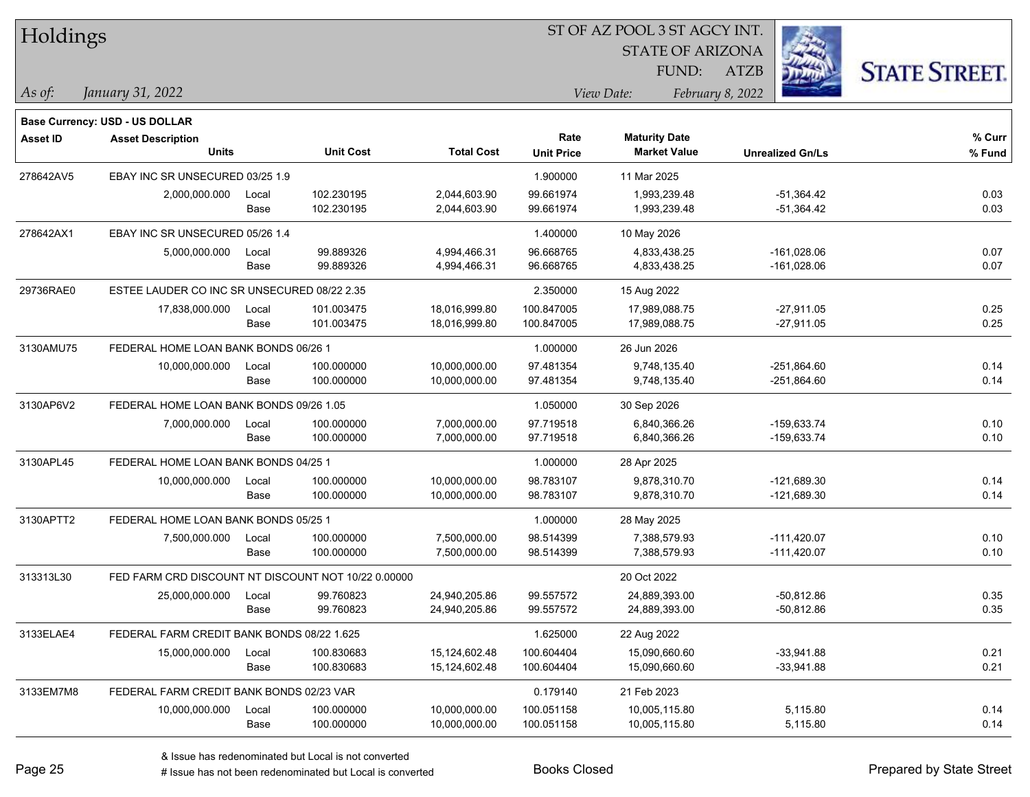| Holdings        |                                                     |                                      |                  |                   | 51 OF AZ POOL 3 51 AGCY INT. |                         |                         |                     |
|-----------------|-----------------------------------------------------|--------------------------------------|------------------|-------------------|------------------------------|-------------------------|-------------------------|---------------------|
|                 |                                                     |                                      |                  |                   |                              | <b>STATE OF ARIZONA</b> |                         |                     |
|                 |                                                     |                                      |                  |                   |                              | FUND:                   | <b>ATZB</b>             | <b>STATE STREET</b> |
| $\vert$ As of:  | January 31, 2022                                    |                                      |                  |                   |                              | View Date:              | February 8, 2022        |                     |
|                 | Base Currency: USD - US DOLLAR                      |                                      |                  |                   |                              |                         |                         |                     |
| <b>Asset ID</b> | <b>Asset Description</b>                            |                                      |                  |                   | Rate                         | <b>Maturity Date</b>    |                         | % Curr              |
|                 | <b>Units</b>                                        |                                      | <b>Unit Cost</b> | <b>Total Cost</b> | <b>Unit Price</b>            | <b>Market Value</b>     | <b>Unrealized Gn/Ls</b> | % Fund              |
| 278642AV5       | EBAY INC SR UNSECURED 03/25 1.9                     |                                      |                  |                   | 1.900000                     | 11 Mar 2025             |                         |                     |
|                 | 2,000,000.000                                       | Local                                | 102.230195       | 2,044,603.90      | 99.661974                    | 1,993,239.48            | $-51,364.42$            | 0.03                |
|                 |                                                     | Base                                 | 102.230195       | 2,044,603.90      | 99.661974                    | 1,993,239.48            | $-51,364.42$            | 0.03                |
| 278642AX1       | EBAY INC SR UNSECURED 05/26 1.4                     |                                      |                  |                   | 1.400000                     | 10 May 2026             |                         |                     |
|                 | 5,000,000.000                                       | Local                                | 99.889326        | 4,994,466.31      | 96.668765                    | 4,833,438.25            | $-161,028.06$           | 0.07                |
|                 |                                                     | Base                                 | 99.889326        | 4,994,466.31      | 96.668765                    | 4,833,438.25            | $-161,028.06$           | 0.07                |
| 29736RAE0       | ESTEE LAUDER CO INC SR UNSECURED 08/22 2.35         |                                      |                  |                   | 2.350000                     | 15 Aug 2022             |                         |                     |
|                 | 17,838,000.000                                      | Local                                | 101.003475       | 18,016,999.80     | 100.847005                   | 17,989,088.75           | $-27,911.05$            | 0.25                |
|                 |                                                     | Base                                 | 101.003475       | 18,016,999.80     | 100.847005                   | 17,989,088.75           | $-27,911.05$            | 0.25                |
| 3130AMU75       | FEDERAL HOME LOAN BANK BONDS 06/26 1                |                                      |                  |                   | 1.000000                     | 26 Jun 2026             |                         |                     |
|                 | 10,000,000.000                                      | Local                                | 100.000000       | 10,000,000.00     | 97.481354                    | 9,748,135.40            | $-251,864.60$           | 0.14                |
|                 |                                                     | Base                                 | 100.000000       | 10,000,000.00     | 97.481354                    | 9,748,135.40            | $-251,864.60$           | 0.14                |
| 3130AP6V2       | FEDERAL HOME LOAN BANK BONDS 09/26 1.05             |                                      |                  |                   | 1.050000                     | 30 Sep 2026             |                         |                     |
|                 | 7,000,000.000                                       | Local                                | 100.000000       | 7,000,000.00      | 97.719518                    | 6,840,366.26            | $-159,633.74$           | 0.10                |
|                 |                                                     | Base                                 | 100.000000       | 7,000,000.00      | 97.719518                    | 6,840,366.26            | $-159,633.74$           | 0.10                |
| 3130APL45       |                                                     | FEDERAL HOME LOAN BANK BONDS 04/25 1 |                  |                   |                              | 28 Apr 2025             |                         |                     |
|                 | 10,000,000.000                                      | Local                                | 100.000000       | 10,000,000.00     | 98.783107                    | 9,878,310.70            | $-121,689.30$           | 0.14                |
|                 |                                                     | Base                                 | 100.000000       | 10,000,000.00     | 98.783107                    | 9,878,310.70            | $-121,689.30$           | 0.14                |
| 3130APTT2       | FEDERAL HOME LOAN BANK BONDS 05/25 1                |                                      |                  |                   | 1.000000                     | 28 May 2025             |                         |                     |
|                 | 7,500,000.000                                       | Local                                | 100.000000       | 7,500,000.00      | 98.514399                    | 7,388,579.93            | $-111,420.07$           | 0.10                |
|                 |                                                     | Base                                 | 100.000000       | 7,500,000.00      | 98.514399                    | 7,388,579.93            | $-111,420.07$           | 0.10                |
| 313313L30       | FED FARM CRD DISCOUNT NT DISCOUNT NOT 10/22 0.00000 |                                      |                  |                   |                              | 20 Oct 2022             |                         |                     |
|                 | 25,000,000.000                                      | Local                                | 99.760823        | 24,940,205.86     | 99.557572                    | 24,889,393.00           | $-50,812.86$            | 0.35                |
|                 |                                                     | Base                                 | 99.760823        | 24,940,205.86     | 99.557572                    | 24,889,393.00           | -50,812.86              | 0.35                |
| 3133ELAE4       | FEDERAL FARM CREDIT BANK BONDS 08/22 1.625          |                                      |                  |                   | 1.625000                     | 22 Aug 2022             |                         |                     |
|                 | 15,000,000.000                                      | Local                                | 100.830683       | 15,124,602.48     | 100.604404                   | 15,090,660.60           | $-33,941.88$            | 0.21                |
|                 |                                                     | Base                                 | 100.830683       | 15,124,602.48     | 100.604404                   | 15,090,660.60           | $-33,941.88$            | 0.21                |
| 3133EM7M8       | FEDERAL FARM CREDIT BANK BONDS 02/23 VAR            |                                      |                  |                   | 0.179140                     | 21 Feb 2023             |                         |                     |
|                 | 10,000,000.000                                      | Local                                | 100.000000       | 10,000,000.00     | 100.051158                   | 10,005,115.80           | 5,115.80                | 0.14                |
|                 |                                                     | Base                                 | 100.000000       | 10,000,000.00     | 100.051158                   | 10,005,115.80           | 5,115.80                | 0.14                |

 $\overline{\text{SUSY}}$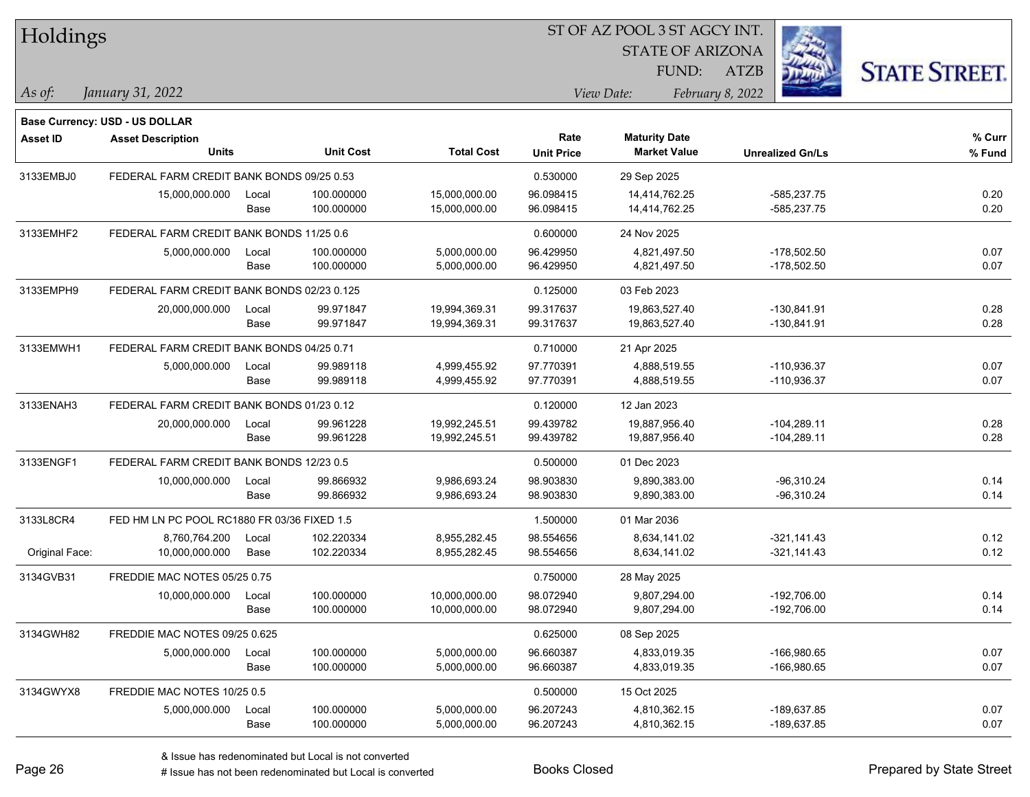| Holdings        |                                             |                                          |                  |                   |                   | ST OF AZ POOL 3 ST AGCY INT. |                         |                      |
|-----------------|---------------------------------------------|------------------------------------------|------------------|-------------------|-------------------|------------------------------|-------------------------|----------------------|
|                 |                                             |                                          |                  |                   |                   | <b>STATE OF ARIZONA</b>      |                         |                      |
|                 |                                             |                                          |                  |                   |                   | FUND:                        | ATZB                    | <b>STATE STREET.</b> |
| As of:          | January 31, 2022                            |                                          |                  |                   |                   | View Date:                   | February 8, 2022        |                      |
|                 | <b>Base Currency: USD - US DOLLAR</b>       |                                          |                  |                   |                   |                              |                         |                      |
| <b>Asset ID</b> | <b>Asset Description</b>                    |                                          |                  |                   | Rate              | <b>Maturity Date</b>         |                         | % Curr               |
|                 | <b>Units</b>                                |                                          | <b>Unit Cost</b> | <b>Total Cost</b> | <b>Unit Price</b> | <b>Market Value</b>          | <b>Unrealized Gn/Ls</b> | % Fund               |
| 3133EMBJ0       | FEDERAL FARM CREDIT BANK BONDS 09/25 0.53   |                                          |                  |                   | 0.530000          | 29 Sep 2025                  |                         |                      |
|                 | 15,000,000.000                              | Local                                    | 100.000000       | 15,000,000.00     | 96.098415         | 14,414,762.25                | $-585,237.75$           | 0.20                 |
|                 |                                             | Base                                     | 100.000000       | 15,000,000.00     | 96.098415         | 14,414,762.25                | -585,237.75             | 0.20                 |
| 3133EMHF2       | FEDERAL FARM CREDIT BANK BONDS 11/25 0.6    |                                          |                  |                   | 0.600000          | 24 Nov 2025                  |                         |                      |
|                 | 5,000,000.000                               | Local                                    | 100.000000       | 5,000,000.00      | 96.429950         | 4,821,497.50                 | $-178,502.50$           | 0.07                 |
|                 |                                             | Base                                     | 100.000000       | 5,000,000.00      | 96.429950         | 4,821,497.50                 | $-178,502.50$           | 0.07                 |
| 3133EMPH9       | FEDERAL FARM CREDIT BANK BONDS 02/23 0.125  |                                          |                  |                   | 0.125000          | 03 Feb 2023                  |                         |                      |
|                 | 20,000,000.000                              | Local                                    | 99.971847        | 19,994,369.31     | 99.317637         | 19,863,527.40                | $-130,841.91$           | 0.28                 |
|                 |                                             | Base                                     | 99.971847        | 19,994,369.31     | 99.317637         | 19,863,527.40                | $-130,841.91$           | 0.28                 |
| 3133EMWH1       | FEDERAL FARM CREDIT BANK BONDS 04/25 0.71   |                                          |                  |                   | 0.710000          | 21 Apr 2025                  |                         |                      |
|                 | 5,000,000.000                               | Local                                    | 99.989118        | 4,999,455.92      | 97.770391         | 4,888,519.55                 | -110,936.37             | 0.07                 |
|                 |                                             | Base                                     | 99.989118        | 4,999,455.92      | 97.770391         | 4,888,519.55                 | -110,936.37             | 0.07                 |
| 3133ENAH3       | FEDERAL FARM CREDIT BANK BONDS 01/23 0.12   |                                          |                  |                   | 0.120000          | 12 Jan 2023                  |                         |                      |
|                 | 20,000,000.000                              | Local                                    | 99.961228        | 19,992,245.51     | 99.439782         | 19,887,956.40                | $-104,289.11$           | 0.28                 |
|                 |                                             | Base                                     | 99.961228        | 19,992,245.51     | 99.439782         | 19,887,956.40                | $-104,289.11$           | 0.28                 |
| 3133ENGF1       |                                             | FEDERAL FARM CREDIT BANK BONDS 12/23 0.5 |                  |                   | 0.500000          | 01 Dec 2023                  |                         |                      |
|                 | 10,000,000.000                              | Local                                    | 99.866932        | 9,986,693.24      | 98.903830         | 9,890,383.00                 | $-96,310.24$            | 0.14                 |
|                 |                                             | Base                                     | 99.866932        | 9,986,693.24      | 98.903830         | 9,890,383.00                 | $-96,310.24$            | 0.14                 |
| 3133L8CR4       | FED HM LN PC POOL RC1880 FR 03/36 FIXED 1.5 |                                          |                  |                   | 1.500000          | 01 Mar 2036                  |                         |                      |
|                 | 8,760,764.200                               | Local                                    | 102.220334       | 8,955,282.45      | 98.554656         | 8,634,141.02                 | $-321,141.43$           | 0.12                 |
| Original Face:  | 10,000,000.000                              | Base                                     | 102.220334       | 8,955,282.45      | 98.554656         | 8,634,141.02                 | $-321,141.43$           | 0.12                 |
| 3134GVB31       | FREDDIE MAC NOTES 05/25 0.75                |                                          |                  |                   | 0.750000          | 28 May 2025                  |                         |                      |
|                 | 10,000,000.000                              | Local                                    | 100.000000       | 10,000,000.00     | 98.072940         | 9,807,294.00                 | $-192,706.00$           | 0.14                 |
|                 |                                             | Base                                     | 100.000000       | 10,000,000.00     | 98.072940         | 9,807,294.00                 | -192,706.00             | 0.14                 |
| 3134GWH82       | FREDDIE MAC NOTES 09/25 0.625               |                                          |                  |                   | 0.625000          | 08 Sep 2025                  |                         |                      |
|                 | 5,000,000.000                               | Local                                    | 100.000000       | 5,000,000.00      | 96.660387         | 4,833,019.35                 | -166,980.65             | 0.07                 |
|                 |                                             | Base                                     | 100.000000       | 5,000,000.00      | 96.660387         | 4,833,019.35                 | -166,980.65             | 0.07                 |
| 3134GWYX8       | FREDDIE MAC NOTES 10/25 0.5                 |                                          |                  |                   | 0.500000          | 15 Oct 2025                  |                         |                      |
|                 | 5,000,000.000                               | Local                                    | 100.000000       | 5,000,000.00      | 96.207243         | 4,810,362.15                 | -189,637.85             | 0.07                 |
|                 |                                             | Base                                     | 100.000000       | 5,000,000.00      | 96.207243         | 4,810,362.15                 | -189,637.85             | 0.07                 |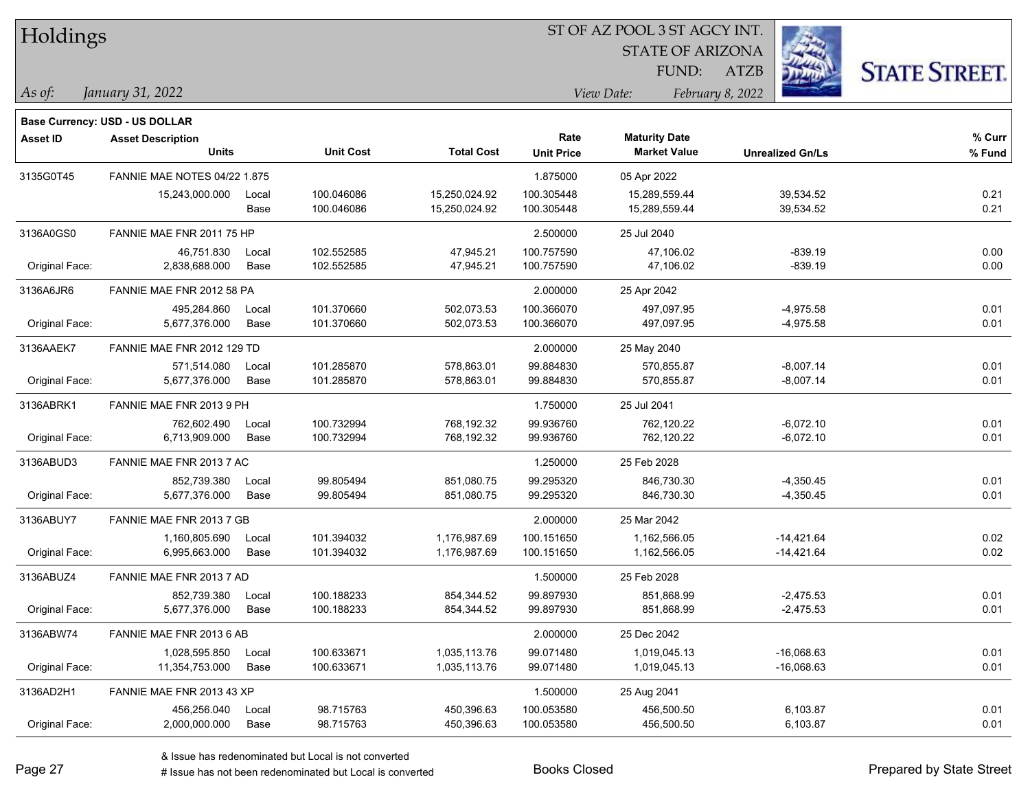| Holdings        |                                       |       |                  | ST OF AZ POOL 3 ST AGCY INT. |                   |                         |                         |                      |  |  |
|-----------------|---------------------------------------|-------|------------------|------------------------------|-------------------|-------------------------|-------------------------|----------------------|--|--|
|                 |                                       |       |                  |                              |                   | <b>STATE OF ARIZONA</b> |                         |                      |  |  |
|                 |                                       |       |                  |                              |                   | FUND:                   | <b>ATZB</b>             | <b>STATE STREET.</b> |  |  |
| $\vert$ As of:  | January 31, 2022                      |       |                  |                              |                   | View Date:              | February 8, 2022        |                      |  |  |
|                 | <b>Base Currency: USD - US DOLLAR</b> |       |                  |                              |                   |                         |                         |                      |  |  |
| <b>Asset ID</b> | <b>Asset Description</b>              |       |                  |                              | Rate              | <b>Maturity Date</b>    |                         | % Curr               |  |  |
|                 | Units                                 |       | <b>Unit Cost</b> | <b>Total Cost</b>            | <b>Unit Price</b> | <b>Market Value</b>     | <b>Unrealized Gn/Ls</b> | % Fund               |  |  |
| 3135G0T45       | <b>FANNIE MAE NOTES 04/22 1.875</b>   |       |                  |                              | 1.875000          | 05 Apr 2022             |                         |                      |  |  |
|                 | 15,243,000.000                        | Local | 100.046086       | 15,250,024.92                | 100.305448        | 15,289,559.44           | 39,534.52               | 0.21                 |  |  |
|                 |                                       | Base  | 100.046086       | 15,250,024.92                | 100.305448        | 15,289,559.44           | 39,534.52               | 0.21                 |  |  |
| 3136A0GS0       | FANNIE MAE FNR 2011 75 HP             |       |                  |                              | 2.500000          | 25 Jul 2040             |                         |                      |  |  |
|                 | 46,751.830                            | Local | 102.552585       | 47,945.21                    | 100.757590        | 47,106.02               | $-839.19$               | 0.00                 |  |  |
| Original Face:  | 2,838,688.000                         | Base  | 102.552585       | 47,945.21                    | 100.757590        | 47,106.02               | $-839.19$               | 0.00                 |  |  |
| 3136A6JR6       | FANNIE MAE FNR 2012 58 PA             |       |                  |                              | 2.000000          | 25 Apr 2042             |                         |                      |  |  |
|                 | 495,284.860                           | Local | 101.370660       | 502,073.53                   | 100.366070        | 497,097.95              | $-4,975.58$             | 0.01                 |  |  |
| Original Face:  | 5,677,376.000                         | Base  | 101.370660       | 502,073.53                   | 100.366070        | 497,097.95              | $-4,975.58$             | 0.01                 |  |  |
| 3136AAEK7       | FANNIE MAE FNR 2012 129 TD            |       |                  |                              | 2.000000          | 25 May 2040             |                         |                      |  |  |
|                 | 571.514.080                           | Local | 101.285870       | 578,863.01                   | 99.884830         | 570,855.87              | $-8,007.14$             | 0.01                 |  |  |
| Original Face:  | 5,677,376.000                         | Base  | 101.285870       | 578,863.01                   | 99.884830         | 570,855.87              | $-8,007.14$             | 0.01                 |  |  |
| 3136ABRK1       | FANNIE MAE FNR 2013 9 PH              |       |                  |                              | 1.750000          | 25 Jul 2041             |                         |                      |  |  |
|                 | 762,602.490                           | Local | 100.732994       | 768,192.32                   | 99.936760         | 762,120.22              | $-6,072.10$             | 0.01                 |  |  |
| Original Face:  | 6,713,909.000                         | Base  | 100.732994       | 768,192.32                   | 99.936760         | 762,120.22              | $-6,072.10$             | 0.01                 |  |  |
| 3136ABUD3       | FANNIE MAE FNR 2013 7 AC              |       |                  |                              | 1.250000          | 25 Feb 2028             |                         |                      |  |  |
|                 | 852,739.380                           | Local | 99.805494        | 851,080.75                   | 99.295320         | 846,730.30              | $-4,350.45$             | 0.01                 |  |  |
| Original Face:  | 5,677,376.000                         | Base  | 99.805494        | 851,080.75                   | 99.295320         | 846,730.30              | $-4,350.45$             | 0.01                 |  |  |
| 3136ABUY7       | FANNIE MAE FNR 2013 7 GB              |       |                  |                              | 2.000000          | 25 Mar 2042             |                         |                      |  |  |
|                 | 1,160,805.690                         | Local | 101.394032       | 1,176,987.69                 | 100.151650        | 1,162,566.05            | $-14,421.64$            | 0.02                 |  |  |
| Original Face:  | 6,995,663.000                         | Base  | 101.394032       | 1,176,987.69                 | 100.151650        | 1,162,566.05            | $-14,421.64$            | 0.02                 |  |  |
| 3136ABUZ4       | FANNIE MAE FNR 2013 7 AD              |       |                  |                              | 1.500000          | 25 Feb 2028             |                         |                      |  |  |
|                 | 852,739.380                           | Local | 100.188233       | 854,344.52                   | 99.897930         | 851,868.99              | $-2,475.53$             | 0.01                 |  |  |
| Original Face:  | 5,677,376.000                         | Base  | 100.188233       | 854,344.52                   | 99.897930         | 851,868.99              | $-2,475.53$             | 0.01                 |  |  |
| 3136ABW74       | FANNIE MAE FNR 2013 6 AB              |       |                  |                              | 2.000000          | 25 Dec 2042             |                         |                      |  |  |
|                 | 1,028,595.850                         | Local | 100.633671       | 1,035,113.76                 | 99.071480         | 1,019,045.13            | $-16,068.63$            | 0.01                 |  |  |
| Original Face:  | 11,354,753.000                        | Base  | 100.633671       | 1,035,113.76                 | 99.071480         | 1,019,045.13            | $-16,068.63$            | 0.01                 |  |  |
| 3136AD2H1       | FANNIE MAE FNR 2013 43 XP             |       |                  |                              | 1.500000          | 25 Aug 2041             |                         |                      |  |  |
|                 | 456,256.040                           | Local | 98.715763        | 450,396.63                   | 100.053580        | 456,500.50              | 6,103.87                | 0.01                 |  |  |
| Original Face:  | 2,000,000.000                         | Base  | 98.715763        | 450,396.63                   | 100.053580        | 456,500.50              | 6,103.87                | 0.01                 |  |  |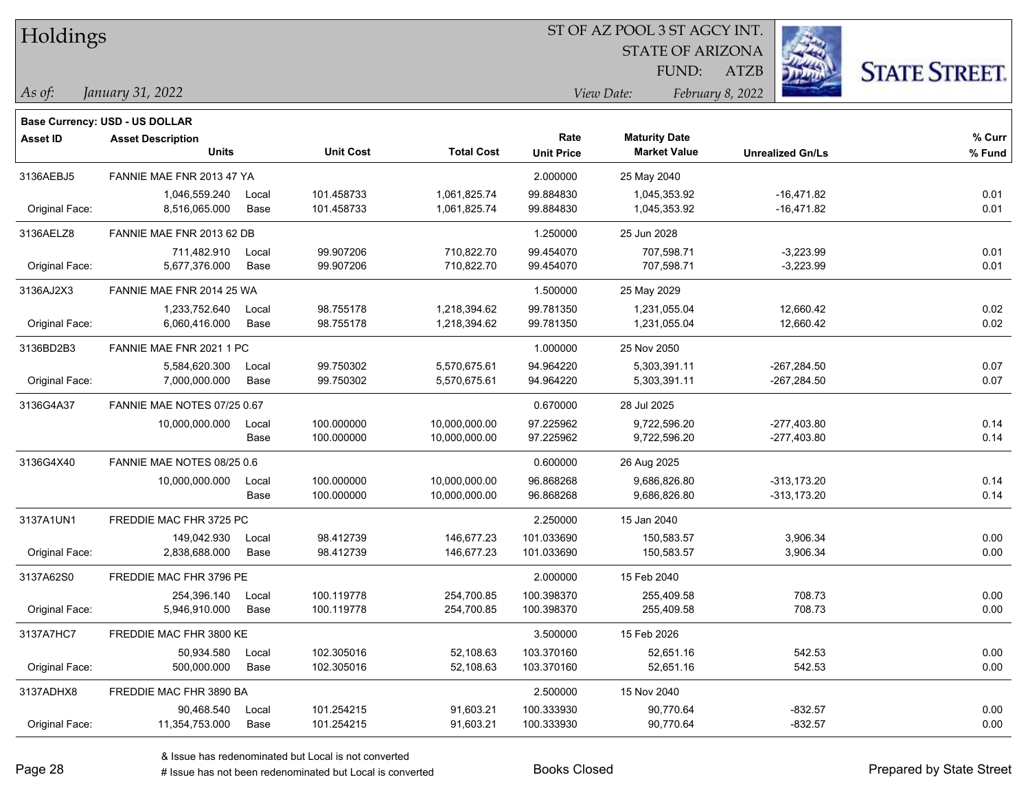| Holdings        |                                       |       |                  |                   |                   | ST OF AZ POOL 3 ST AGCY INT. |                         |                      |
|-----------------|---------------------------------------|-------|------------------|-------------------|-------------------|------------------------------|-------------------------|----------------------|
|                 |                                       |       |                  |                   |                   | <b>STATE OF ARIZONA</b>      |                         |                      |
|                 |                                       |       |                  |                   |                   | FUND:                        | <b>ATZB</b>             | <b>STATE STREET.</b> |
| $\vert$ As of:  | January 31, 2022                      |       |                  |                   |                   | View Date:                   | February 8, 2022        |                      |
|                 | <b>Base Currency: USD - US DOLLAR</b> |       |                  |                   |                   |                              |                         |                      |
| <b>Asset ID</b> | <b>Asset Description</b>              |       |                  |                   | Rate              | <b>Maturity Date</b>         |                         | % Curr               |
|                 | <b>Units</b>                          |       | <b>Unit Cost</b> | <b>Total Cost</b> | <b>Unit Price</b> | <b>Market Value</b>          | <b>Unrealized Gn/Ls</b> | % Fund               |
| 3136AEBJ5       | FANNIE MAE FNR 2013 47 YA             |       |                  |                   | 2.000000          | 25 May 2040                  |                         |                      |
|                 | 1,046,559.240                         | Local | 101.458733       | 1,061,825.74      | 99.884830         | 1,045,353.92                 | $-16,471.82$            | 0.01                 |
| Original Face:  | 8,516,065.000                         | Base  | 101.458733       | 1,061,825.74      | 99.884830         | 1,045,353.92                 | $-16,471.82$            | 0.01                 |
| 3136AELZ8       | FANNIE MAE FNR 2013 62 DB             |       |                  |                   | 1.250000          | 25 Jun 2028                  |                         |                      |
|                 | 711,482.910                           | Local | 99.907206        | 710,822.70        | 99.454070         | 707,598.71                   | $-3,223.99$             | 0.01                 |
| Original Face:  | 5,677,376.000                         | Base  | 99.907206        | 710,822.70        | 99.454070         | 707,598.71                   | $-3,223.99$             | 0.01                 |
| 3136AJ2X3       | FANNIE MAE FNR 2014 25 WA             |       |                  |                   | 1.500000          | 25 May 2029                  |                         |                      |
|                 | 1,233,752.640                         | Local | 98.755178        | 1,218,394.62      | 99.781350         | 1,231,055.04                 | 12,660.42               | 0.02                 |
| Original Face:  | 6,060,416.000                         | Base  | 98.755178        | 1,218,394.62      | 99.781350         | 1,231,055.04                 | 12,660.42               | 0.02                 |
| 3136BD2B3       | FANNIE MAE FNR 2021 1 PC              |       |                  |                   | 1.000000          | 25 Nov 2050                  |                         |                      |
|                 | 5,584,620.300                         | Local | 99.750302        | 5,570,675.61      | 94.964220         | 5,303,391.11                 | $-267,284.50$           | 0.07                 |
| Original Face:  | 7,000,000.000                         | Base  | 99.750302        | 5,570,675.61      | 94.964220         | 5,303,391.11                 | $-267,284.50$           | 0.07                 |
| 3136G4A37       | FANNIE MAE NOTES 07/25 0.67           |       |                  |                   | 0.670000          | 28 Jul 2025                  |                         |                      |
|                 | 10,000,000.000                        | Local | 100.000000       | 10,000,000.00     | 97.225962         | 9,722,596.20                 | $-277,403.80$           | 0.14                 |
|                 |                                       | Base  | 100.000000       | 10,000,000.00     | 97.225962         | 9,722,596.20                 | $-277,403.80$           | 0.14                 |
| 3136G4X40       | FANNIE MAE NOTES 08/25 0.6            |       |                  |                   | 0.600000          | 26 Aug 2025                  |                         |                      |
|                 | 10,000,000.000                        | Local | 100.000000       | 10,000,000.00     | 96.868268         | 9,686,826.80                 | $-313,173.20$           | 0.14                 |
|                 |                                       | Base  | 100.000000       | 10,000,000.00     | 96.868268         | 9,686,826.80                 | $-313,173.20$           | 0.14                 |
| 3137A1UN1       | FREDDIE MAC FHR 3725 PC               |       |                  |                   | 2.250000          | 15 Jan 2040                  |                         |                      |
|                 | 149,042.930                           | Local | 98.412739        | 146,677.23        | 101.033690        | 150,583.57                   | 3,906.34                | 0.00                 |
| Original Face:  | 2,838,688.000                         | Base  | 98.412739        | 146,677.23        | 101.033690        | 150,583.57                   | 3,906.34                | 0.00                 |
| 3137A62S0       | FREDDIE MAC FHR 3796 PE               |       |                  |                   | 2.000000          | 15 Feb 2040                  |                         |                      |
|                 | 254,396.140                           | Local | 100.119778       | 254,700.85        | 100.398370        | 255,409.58                   | 708.73                  | 0.00                 |
| Original Face:  | 5,946,910.000                         | Base  | 100.119778       | 254,700.85        | 100.398370        | 255,409.58                   | 708.73                  | 0.00                 |
| 3137A7HC7       | FREDDIE MAC FHR 3800 KE               |       |                  |                   | 3.500000          | 15 Feb 2026                  |                         |                      |
|                 | 50,934.580                            | Local | 102.305016       | 52,108.63         | 103.370160        | 52,651.16                    | 542.53                  | 0.00                 |
| Original Face:  | 500,000.000                           | Base  | 102.305016       | 52,108.63         | 103.370160        | 52,651.16                    | 542.53                  | 0.00                 |
| 3137ADHX8       | FREDDIE MAC FHR 3890 BA               |       |                  |                   | 2.500000          | 15 Nov 2040                  |                         |                      |
|                 | 90,468.540                            | Local | 101.254215       | 91,603.21         | 100.333930        | 90,770.64                    | $-832.57$               | 0.00                 |
| Original Face:  | 11,354,753.000                        | Base  | 101.254215       | 91,603.21         | 100.333930        | 90,770.64                    | $-832.57$               | 0.00                 |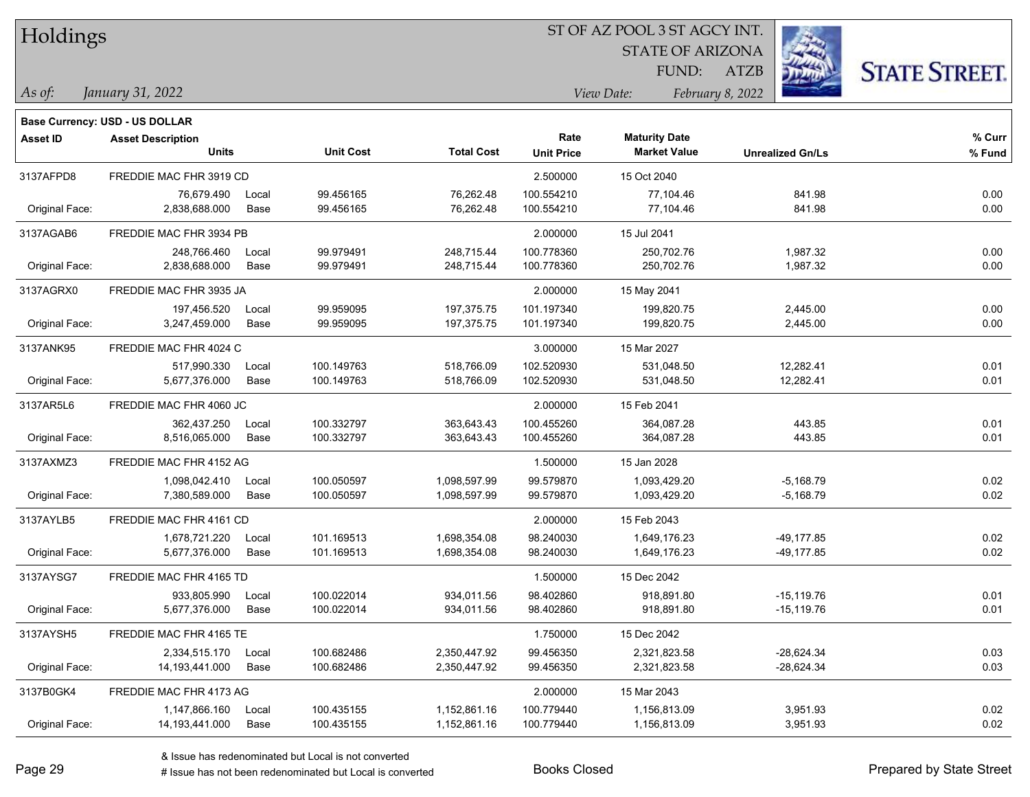|  | <b>Holdings</b> |
|--|-----------------|
|  |                 |

STATE OF ARIZONA FUND:

ATZB



*As of: View Date: February 8, 2022*

| As of: | January 31, 2022 |  |
|--------|------------------|--|
|        |                  |  |

|                 | <b>Base Currency: USD - US DOLLAR</b> |       |                                       |              |                   |                      |                         |          |
|-----------------|---------------------------------------|-------|---------------------------------------|--------------|-------------------|----------------------|-------------------------|----------|
| <b>Asset ID</b> | <b>Asset Description</b>              |       |                                       |              | Rate              | <b>Maturity Date</b> |                         | % Curr   |
|                 | <b>Units</b>                          |       | <b>Unit Cost</b><br><b>Total Cost</b> |              | <b>Unit Price</b> | <b>Market Value</b>  | <b>Unrealized Gn/Ls</b> | % Fund   |
| 3137AFPD8       | FREDDIE MAC FHR 3919 CD               |       |                                       |              | 2.500000          | 15 Oct 2040          |                         |          |
|                 | 76,679.490                            | Local | 99.456165                             | 76,262.48    | 100.554210        | 77,104.46            | 841.98                  | 0.00     |
| Original Face:  | 2,838,688.000                         | Base  | 99.456165                             | 76,262.48    | 100.554210        | 77,104.46            | 841.98                  | 0.00     |
| 3137AGAB6       | FREDDIE MAC FHR 3934 PB               |       |                                       |              | 2.000000          | 15 Jul 2041          |                         |          |
|                 | 248,766.460                           | Local | 99.979491                             | 248,715.44   | 100.778360        | 250,702.76           | 1,987.32                | 0.00     |
| Original Face:  | 2,838,688.000                         | Base  | 99.979491                             | 248,715.44   | 100.778360        | 250,702.76           | 1,987.32                | 0.00     |
| 3137AGRX0       | FREDDIE MAC FHR 3935 JA               |       |                                       |              | 2.000000          | 15 May 2041          |                         |          |
|                 | 197,456.520                           | Local | 99.959095                             | 197,375.75   | 101.197340        | 199,820.75           | 2,445.00                | 0.00     |
| Original Face:  | 3,247,459.000                         | Base  | 99.959095                             | 197,375.75   | 101.197340        | 199,820.75           | 2,445.00                | $0.00\,$ |
| 3137ANK95       | FREDDIE MAC FHR 4024 C                |       |                                       |              | 3.000000          | 15 Mar 2027          |                         |          |
|                 | 517,990.330                           | Local | 100.149763                            | 518,766.09   | 102.520930        | 531,048.50           | 12,282.41               | 0.01     |
| Original Face:  | 5,677,376.000                         | Base  | 100.149763                            | 518,766.09   | 102.520930        | 531,048.50           | 12,282.41               | 0.01     |
| 3137AR5L6       | FREDDIE MAC FHR 4060 JC               |       |                                       |              | 2.000000          | 15 Feb 2041          |                         |          |
|                 | 362,437.250                           | Local | 100.332797                            | 363,643.43   | 100.455260        | 364,087.28           | 443.85                  | 0.01     |
| Original Face:  | 8,516,065.000                         | Base  | 100.332797                            | 363,643.43   | 100.455260        | 364,087.28           | 443.85                  | 0.01     |
| 3137AXMZ3       | FREDDIE MAC FHR 4152 AG               |       |                                       |              | 1.500000          | 15 Jan 2028          |                         |          |
|                 | 1,098,042.410                         | Local | 100.050597                            | 1,098,597.99 | 99.579870         | 1,093,429.20         | $-5,168.79$             | 0.02     |
| Original Face:  | 7,380,589.000                         | Base  | 100.050597                            | 1,098,597.99 | 99.579870         | 1,093,429.20         | $-5,168.79$             | 0.02     |
| 3137AYLB5       | FREDDIE MAC FHR 4161 CD               |       |                                       |              | 2.000000          | 15 Feb 2043          |                         |          |
|                 | 1,678,721.220                         | Local | 101.169513                            | 1,698,354.08 | 98.240030         | 1,649,176.23         | -49,177.85              | 0.02     |
| Original Face:  | 5,677,376.000                         | Base  | 101.169513                            | 1,698,354.08 | 98.240030         | 1,649,176.23         | -49,177.85              | 0.02     |
| 3137AYSG7       | FREDDIE MAC FHR 4165 TD               |       |                                       |              | 1.500000          | 15 Dec 2042          |                         |          |
|                 | 933,805.990                           | Local | 100.022014                            | 934,011.56   | 98.402860         | 918,891.80           | $-15,119.76$            | 0.01     |
| Original Face:  | 5,677,376.000                         | Base  | 100.022014                            | 934,011.56   | 98.402860         | 918,891.80           | $-15,119.76$            | 0.01     |
| 3137AYSH5       | FREDDIE MAC FHR 4165 TE               |       |                                       |              | 1.750000          | 15 Dec 2042          |                         |          |
|                 | 2,334,515.170                         | Local | 100.682486                            | 2,350,447.92 | 99.456350         | 2,321,823.58         | -28,624.34              | 0.03     |
| Original Face:  | 14, 193, 441.000                      | Base  | 100.682486                            | 2,350,447.92 | 99.456350         | 2,321,823.58         | -28,624.34              | 0.03     |
| 3137B0GK4       | FREDDIE MAC FHR 4173 AG               |       |                                       |              | 2.000000          | 15 Mar 2043          |                         |          |
|                 | 1,147,866.160                         | Local | 100.435155                            | 1,152,861.16 | 100.779440        | 1,156,813.09         | 3,951.93                | 0.02     |
| Original Face:  | 14, 193, 441.000                      | Base  | 100.435155                            | 1,152,861.16 | 100.779440        | 1,156,813.09         | 3,951.93                | 0.02     |
|                 |                                       |       |                                       |              |                   |                      |                         |          |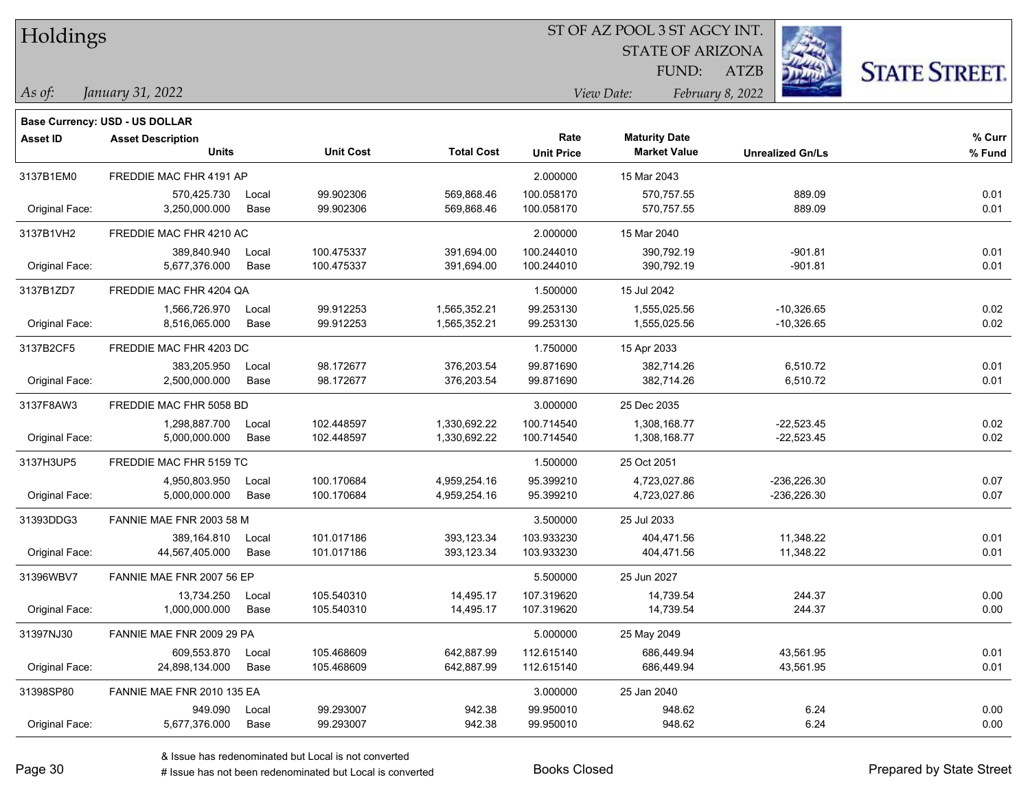| Holdings |
|----------|
|----------|

**Maturity Date**

STATE OF ARIZONA

ATZB



**% Fund**

**% Curr**

**Base Currency: USD - US DOLLAR**

*January 31, 2022 As of: View Date: February 8, 2022* FUND:

| 3137B1EM0      | FREDDIE MAC FHR 4191 AP   |       |            |              | 2.000000   | 15 Mar 2043  |               |      |
|----------------|---------------------------|-------|------------|--------------|------------|--------------|---------------|------|
|                | 570,425.730               | Local | 99.902306  | 569,868.46   | 100.058170 | 570,757.55   | 889.09        | 0.01 |
| Original Face: | 3,250,000.000             | Base  | 99.902306  | 569,868.46   | 100.058170 | 570,757.55   | 889.09        | 0.01 |
| 3137B1VH2      | FREDDIE MAC FHR 4210 AC   |       |            |              | 2.000000   | 15 Mar 2040  |               |      |
|                | 389,840.940               | Local | 100.475337 | 391,694.00   | 100.244010 | 390,792.19   | $-901.81$     | 0.01 |
| Original Face: | 5,677,376.000             | Base  | 100.475337 | 391,694.00   | 100.244010 | 390,792.19   | $-901.81$     | 0.01 |
| 3137B1ZD7      | FREDDIE MAC FHR 4204 QA   |       |            |              | 1.500000   | 15 Jul 2042  |               |      |
|                | 1,566,726.970             | Local | 99.912253  | 1,565,352.21 | 99.253130  | 1,555,025.56 | $-10,326.65$  | 0.02 |
| Original Face: | 8,516,065.000             | Base  | 99.912253  | 1,565,352.21 | 99.253130  | 1,555,025.56 | $-10,326.65$  | 0.02 |
| 3137B2CF5      | FREDDIE MAC FHR 4203 DC   |       |            |              | 1.750000   | 15 Apr 2033  |               |      |
|                | 383,205.950               | Local | 98.172677  | 376,203.54   | 99.871690  | 382,714.26   | 6,510.72      | 0.01 |
| Original Face: | 2,500,000.000             | Base  | 98.172677  | 376,203.54   | 99.871690  | 382,714.26   | 6,510.72      | 0.01 |
| 3137F8AW3      | FREDDIE MAC FHR 5058 BD   |       |            |              | 3.000000   | 25 Dec 2035  |               |      |
|                | 1.298.887.700             | Local | 102.448597 | 1,330,692.22 | 100.714540 | 1,308,168.77 | $-22.523.45$  | 0.02 |
| Original Face: | 5,000,000.000             | Base  | 102.448597 | 1,330,692.22 | 100.714540 | 1,308,168.77 | $-22,523.45$  | 0.02 |
| 3137H3UP5      | FREDDIE MAC FHR 5159 TC   |       |            |              | 1.500000   | 25 Oct 2051  |               |      |
|                | 4,950,803.950             | Local | 100.170684 | 4,959,254.16 | 95.399210  | 4,723,027.86 | $-236,226.30$ | 0.07 |
| Original Face: | 5,000,000.000             | Base  | 100.170684 | 4,959,254.16 | 95.399210  | 4,723,027.86 | $-236,226.30$ | 0.07 |
| 31393DDG3      | FANNIE MAE FNR 2003 58 M  |       |            |              | 3.500000   | 25 Jul 2033  |               |      |
|                | 389,164.810               | Local | 101.017186 | 393,123.34   | 103.933230 | 404.471.56   | 11,348.22     | 0.01 |
| Original Face: | 44,567,405.000            | Base  | 101.017186 | 393,123.34   | 103.933230 | 404,471.56   | 11,348.22     | 0.01 |
| 31396WBV7      | FANNIE MAE FNR 2007 56 EP |       |            |              | 5.500000   | 25 Jun 2027  |               |      |
|                | 13,734.250                | Local | 105.540310 | 14,495.17    | 107.319620 | 14,739.54    | 244.37        | 0.00 |
| Original Face: | 1,000,000.000             | Base  | 105.540310 | 14,495.17    | 107.319620 | 14,739.54    | 244.37        | 0.00 |
| 31397NJ30      | FANNIE MAE FNR 2009 29 PA |       |            |              | 5.000000   | 25 May 2049  |               |      |
|                | 609.553.870               | Local | 105.468609 | 642,887.99   | 112.615140 | 686,449.94   | 43,561.95     | 0.01 |
| Original Face: | 24,898,134.000            | Base  | 105.468609 | 642,887.99   | 112.615140 | 686,449.94   | 43,561.95     | 0.01 |
|                |                           |       |            |              |            |              |               |      |

**Units Unit Cost Total Cost Unit Price Market Value Unrealized Gn/Ls**

31398SP80 FANNIE MAE FNR 2010 135 EA 3.000000 25 Jan 2040

**Asset ID Asset Description Rate**

# Issue has not been redenominated but Local is converted Books Closed Prepared by State Street

Original Face: 5,677,376.000 Base 99.293007 942.38 99.950010 948.62 6.24 0.00

949.090 Local 99.293007 942.38 99.950010 948.62 6.24 0.00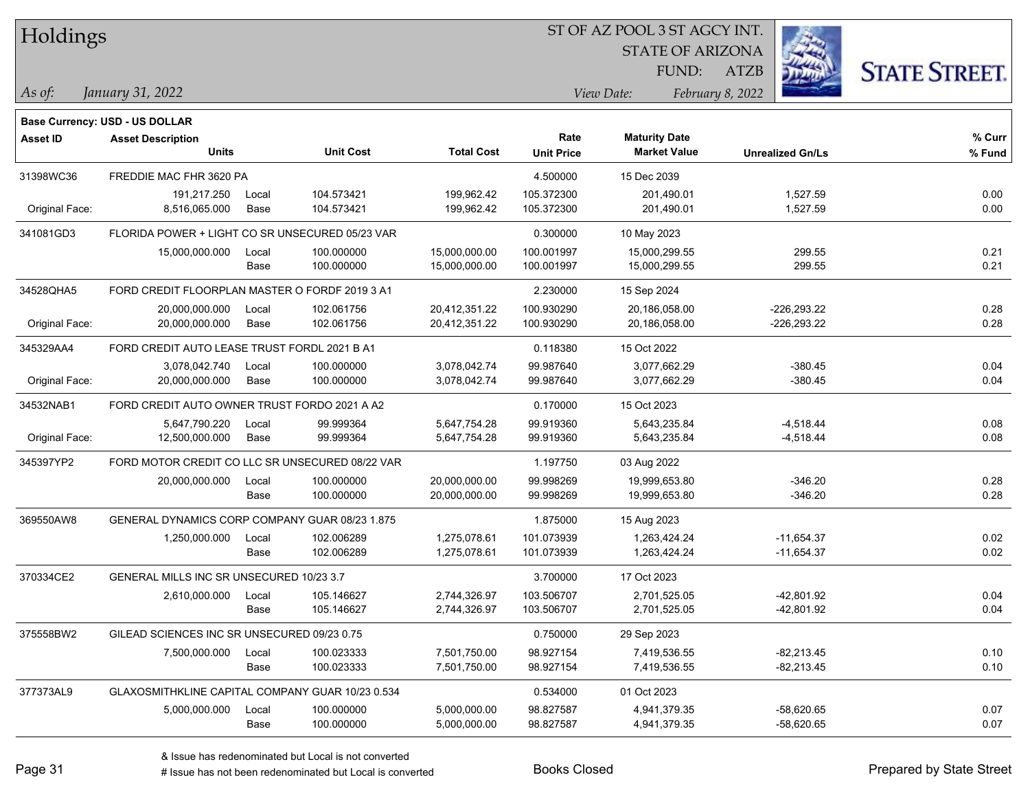|  |  | Holdings |
|--|--|----------|
|--|--|----------|

STATE OF ARIZONA FUND:

ATZB



**Base Currency: USD - US DOLLAR**

*January 31, 2022 As of: View Date: February 8, 2022*

| <b>Asset ID</b> | <b>Asset Description</b>                         |       |                  |                   | Rate              | <b>Maturity Date</b> |                         | $%$ Curr |
|-----------------|--------------------------------------------------|-------|------------------|-------------------|-------------------|----------------------|-------------------------|----------|
|                 | <b>Units</b>                                     |       | <b>Unit Cost</b> | <b>Total Cost</b> | <b>Unit Price</b> | <b>Market Value</b>  | <b>Unrealized Gn/Ls</b> | % Fund   |
| 31398WC36       | FREDDIE MAC FHR 3620 PA                          |       |                  |                   | 4.500000          | 15 Dec 2039          |                         |          |
|                 | 191,217.250                                      | Local | 104.573421       | 199,962.42        | 105.372300        | 201,490.01           | 1,527.59                | 0.00     |
| Original Face:  | 8,516,065.000                                    | Base  | 104.573421       | 199,962.42        | 105.372300        | 201,490.01           | 1,527.59                | 0.00     |
| 341081GD3       | FLORIDA POWER + LIGHT CO SR UNSECURED 05/23 VAR  |       |                  |                   | 0.300000          | 10 May 2023          |                         |          |
|                 | 15,000,000.000                                   | Local | 100.000000       | 15,000,000.00     | 100.001997        | 15,000,299.55        | 299.55                  | 0.21     |
|                 |                                                  | Base  | 100.000000       | 15,000,000.00     | 100.001997        | 15,000,299.55        | 299.55                  | 0.21     |
| 34528QHA5       | FORD CREDIT FLOORPLAN MASTER O FORDF 2019 3 A1   |       |                  |                   | 2.230000          | 15 Sep 2024          |                         |          |
|                 | 20,000,000.000                                   | Local | 102.061756       | 20,412,351.22     | 100.930290        | 20,186,058.00        | $-226,293.22$           | 0.28     |
| Original Face:  | 20,000,000.000                                   | Base  | 102.061756       | 20,412,351.22     | 100.930290        | 20,186,058.00        | $-226,293.22$           | 0.28     |
| 345329AA4       | FORD CREDIT AUTO LEASE TRUST FORDL 2021 B A1     |       |                  |                   | 0.118380          | 15 Oct 2022          |                         |          |
|                 | 3,078,042.740                                    | Local | 100.000000       | 3,078,042.74      | 99.987640         | 3,077,662.29         | $-380.45$               | 0.04     |
| Original Face:  | 20,000,000.000                                   | Base  | 100.000000       | 3,078,042.74      | 99.987640         | 3,077,662.29         | $-380.45$               | 0.04     |
| 34532NAB1       | FORD CREDIT AUTO OWNER TRUST FORDO 2021 A A2     |       |                  |                   | 0.170000          | 15 Oct 2023          |                         |          |
|                 | 5,647,790.220                                    | Local | 99.999364        | 5,647,754.28      | 99.919360         | 5,643,235.84         | $-4,518.44$             | 0.08     |
| Original Face:  | 12,500,000.000                                   | Base  | 99.999364        | 5,647,754.28      | 99.919360         | 5,643,235.84         | $-4,518.44$             | 0.08     |
| 345397YP2       | FORD MOTOR CREDIT CO LLC SR UNSECURED 08/22 VAR  |       |                  | 1.197750          | 03 Aug 2022       |                      |                         |          |
|                 | 20,000,000.000                                   | Local | 100.000000       | 20,000,000.00     | 99.998269         | 19,999,653.80        | $-346.20$               | 0.28     |
|                 |                                                  | Base  | 100.000000       | 20,000,000.00     | 99.998269         | 19,999,653.80        | $-346.20$               | 0.28     |
| 369550AW8       | GENERAL DYNAMICS CORP COMPANY GUAR 08/23 1.875   |       |                  |                   | 1.875000          | 15 Aug 2023          |                         |          |
|                 | 1,250,000.000                                    | Local | 102.006289       | 1,275,078.61      | 101.073939        | 1.263.424.24         | $-11,654.37$            | 0.02     |
|                 |                                                  | Base  | 102.006289       | 1,275,078.61      | 101.073939        | 1,263,424.24         | $-11,654.37$            | 0.02     |
| 370334CE2       | GENERAL MILLS INC SR UNSECURED 10/23 3.7         |       |                  |                   | 3.700000          | 17 Oct 2023          |                         |          |
|                 | 2,610,000.000                                    | Local | 105.146627       | 2,744,326.97      | 103.506707        | 2,701,525.05         | $-42,801.92$            | 0.04     |
|                 |                                                  | Base  | 105.146627       | 2,744,326.97      | 103.506707        | 2,701,525.05         | -42,801.92              | 0.04     |
| 375558BW2       | GILEAD SCIENCES INC SR UNSECURED 09/23 0.75      |       |                  |                   | 0.750000          | 29 Sep 2023          |                         |          |
|                 | 7,500,000.000                                    | Local | 100.023333       | 7,501,750.00      | 98.927154         | 7,419,536.55         | $-82,213.45$            | 0.10     |
|                 |                                                  | Base  | 100.023333       | 7,501,750.00      | 98.927154         | 7,419,536.55         | $-82,213.45$            | 0.10     |
| 377373AL9       | GLAXOSMITHKLINE CAPITAL COMPANY GUAR 10/23 0.534 |       |                  |                   | 0.534000          | 01 Oct 2023          |                         |          |
|                 | 5,000,000.000                                    | Local | 100.000000       | 5,000,000.00      | 98.827587         | 4,941,379.35         | $-58,620.65$            | 0.07     |
|                 |                                                  | Base  | 100.000000       | 5,000,000.00      | 98.827587         | 4,941,379.35         | $-58,620.65$            | 0.07     |

 $\sim$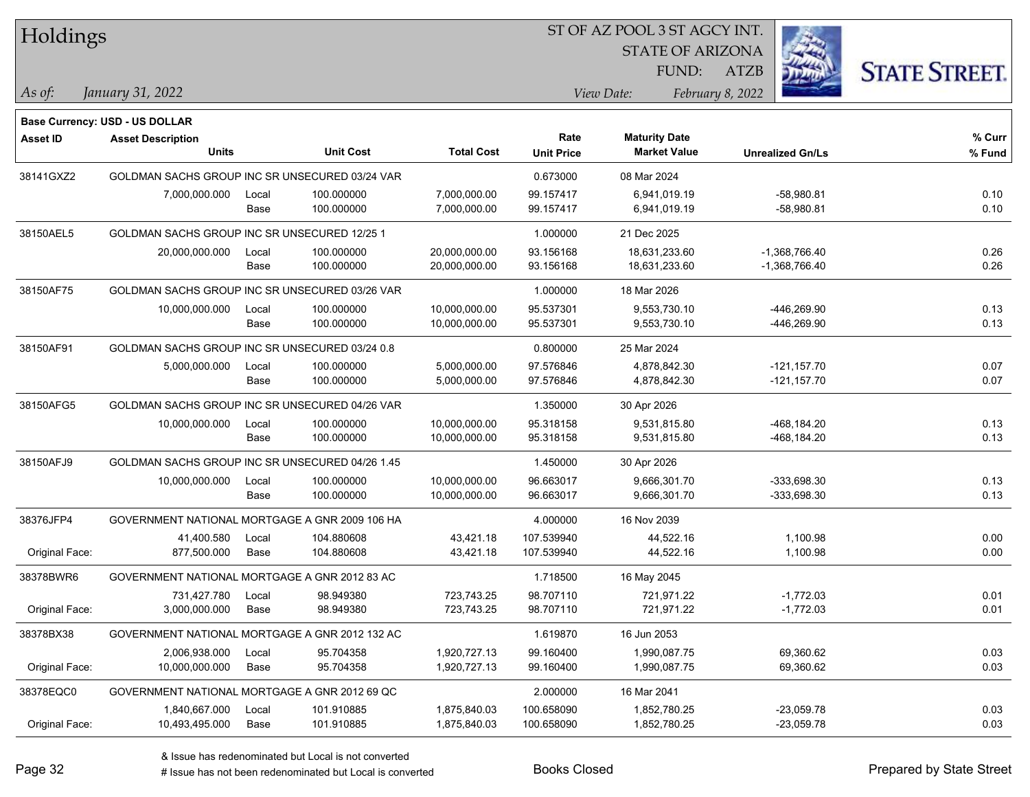| Holdings       |                                                 |       |                  |                   | SI OF AZ POOL 3 SI AGCY INI.<br>Ź. |                                  |                  |                         |                      |  |  |
|----------------|-------------------------------------------------|-------|------------------|-------------------|------------------------------------|----------------------------------|------------------|-------------------------|----------------------|--|--|
|                |                                                 |       |                  |                   |                                    |                                  |                  |                         |                      |  |  |
|                |                                                 |       |                  |                   |                                    | <b>STATE OF ARIZONA</b><br>FUND: | ATZB             |                         | <b>STATE STREET.</b> |  |  |
| As of:         | January 31, 2022                                |       |                  |                   |                                    | View Date:                       | February 8, 2022 |                         |                      |  |  |
|                |                                                 |       |                  |                   |                                    |                                  |                  |                         |                      |  |  |
|                | Base Currency: USD - US DOLLAR                  |       |                  |                   |                                    |                                  |                  |                         |                      |  |  |
| Asset ID       | <b>Asset Description</b>                        |       |                  |                   | Rate                               | <b>Maturity Date</b>             |                  |                         | % Curr               |  |  |
|                | <b>Units</b>                                    |       | <b>Unit Cost</b> | <b>Total Cost</b> | <b>Unit Price</b>                  | <b>Market Value</b>              |                  | <b>Unrealized Gn/Ls</b> | % Fund               |  |  |
| 38141GXZ2      | GOLDMAN SACHS GROUP INC SR UNSECURED 03/24 VAR  |       |                  |                   | 0.673000                           | 08 Mar 2024                      |                  |                         |                      |  |  |
|                | 7,000,000.000                                   | Local | 100.000000       | 7,000,000.00      | 99.157417                          | 6,941,019.19                     |                  | $-58,980.81$            | 0.10                 |  |  |
|                |                                                 | Base  | 100.000000       | 7,000,000.00      | 99.157417                          | 6,941,019.19                     |                  | $-58,980.81$            | 0.10                 |  |  |
| 38150AEL5      | GOLDMAN SACHS GROUP INC SR UNSECURED 12/25 1    |       |                  |                   | 1.000000                           | 21 Dec 2025                      |                  |                         |                      |  |  |
|                | 20,000,000.000                                  | Local | 100.000000       | 20,000,000.00     | 93.156168                          | 18,631,233.60                    |                  | $-1,368,766.40$         | 0.26                 |  |  |
|                |                                                 | Base  | 100.000000       | 20,000,000.00     | 93.156168                          | 18,631,233.60                    |                  | -1,368,766.40           | 0.26                 |  |  |
| 38150AF75      | GOLDMAN SACHS GROUP INC SR UNSECURED 03/26 VAR  |       |                  |                   | 1.000000                           | 18 Mar 2026                      |                  |                         |                      |  |  |
|                | 10,000,000.000                                  | Local | 100.000000       | 10,000,000.00     | 95.537301                          | 9,553,730.10                     |                  | -446,269.90             | 0.13                 |  |  |
|                |                                                 | Base  | 100.000000       | 10,000,000.00     | 95.537301                          | 9,553,730.10                     |                  | -446,269.90             | 0.13                 |  |  |
| 38150AF91      | GOLDMAN SACHS GROUP INC SR UNSECURED 03/24 0.8  |       |                  |                   | 0.800000                           | 25 Mar 2024                      |                  |                         |                      |  |  |
|                | 5,000,000.000                                   | Local | 100.000000       | 5,000,000.00      | 97.576846                          | 4,878,842.30                     |                  | $-121, 157.70$          | 0.07                 |  |  |
|                |                                                 | Base  | 100.000000       | 5,000,000.00      | 97.576846                          | 4,878,842.30                     |                  | $-121, 157.70$          | 0.07                 |  |  |
| 38150AFG5      | GOLDMAN SACHS GROUP INC SR UNSECURED 04/26 VAR  |       |                  |                   | 1.350000                           | 30 Apr 2026                      |                  |                         |                      |  |  |
|                | 10,000,000.000                                  | Local | 100.000000       | 10,000,000.00     | 95.318158                          | 9,531,815.80                     |                  | -468,184.20             | 0.13                 |  |  |
|                |                                                 | Base  | 100.000000       | 10,000,000.00     | 95.318158                          | 9,531,815.80                     |                  | -468,184.20             | 0.13                 |  |  |
| 38150AFJ9      | GOLDMAN SACHS GROUP INC SR UNSECURED 04/26 1.45 |       |                  |                   | 1.450000                           | 30 Apr 2026                      |                  |                         |                      |  |  |
|                | 10,000,000.000                                  | Local | 100.000000       | 10,000,000.00     | 96.663017                          | 9,666,301.70                     |                  | -333,698.30             | 0.13                 |  |  |
|                |                                                 | Base  | 100.000000       | 10,000,000.00     | 96.663017                          | 9,666,301.70                     |                  | -333,698.30             | 0.13                 |  |  |
| 38376JFP4      | GOVERNMENT NATIONAL MORTGAGE A GNR 2009 106 HA  |       |                  |                   | 4.000000                           | 16 Nov 2039                      |                  |                         |                      |  |  |
|                | 41,400.580                                      | Local | 104.880608       | 43,421.18         | 107.539940                         | 44,522.16                        |                  | 1,100.98                | 0.00                 |  |  |
| Original Face: | 877,500.000                                     | Base  | 104.880608       | 43,421.18         | 107.539940                         | 44,522.16                        |                  | 1,100.98                | 0.00                 |  |  |
| 38378BWR6      | GOVERNMENT NATIONAL MORTGAGE A GNR 2012 83 AC   |       |                  |                   | 1.718500                           | 16 May 2045                      |                  |                         |                      |  |  |
|                | 731,427.780                                     | Local | 98.949380        | 723.743.25        | 98.707110                          | 721,971.22                       |                  | $-1,772.03$             | 0.01                 |  |  |
| Original Face: | 3,000,000.000                                   | Base  | 98.949380        | 723,743.25        | 98.707110                          | 721,971.22                       |                  | $-1,772.03$             | 0.01                 |  |  |
| 38378BX38      | GOVERNMENT NATIONAL MORTGAGE A GNR 2012 132 AC  |       |                  |                   | 1.619870                           | 16 Jun 2053                      |                  |                         |                      |  |  |
|                | 2,006,938.000                                   | Local | 95.704358        | 1,920,727.13      | 99.160400                          | 1,990,087.75                     |                  | 69,360.62               | 0.03                 |  |  |
| Original Face: | 10,000,000.000                                  | Base  | 95.704358        | 1,920,727.13      | 99.160400                          | 1,990,087.75                     |                  | 69,360.62               | 0.03                 |  |  |
| 38378EQC0      | GOVERNMENT NATIONAL MORTGAGE A GNR 2012 69 QC   |       |                  |                   | 2.000000                           | 16 Mar 2041                      |                  |                         |                      |  |  |
|                | 1,840,667.000                                   | Local | 101.910885       | 1,875,840.03      | 100.658090                         | 1,852,780.25                     |                  | $-23,059.78$            | 0.03                 |  |  |
| Original Face: | 10,493,495.000                                  | Base  | 101.910885       | 1,875,840.03      | 100.658090                         | 1,852,780.25                     |                  | $-23,059.78$            | 0.03                 |  |  |

 $\overline{S}$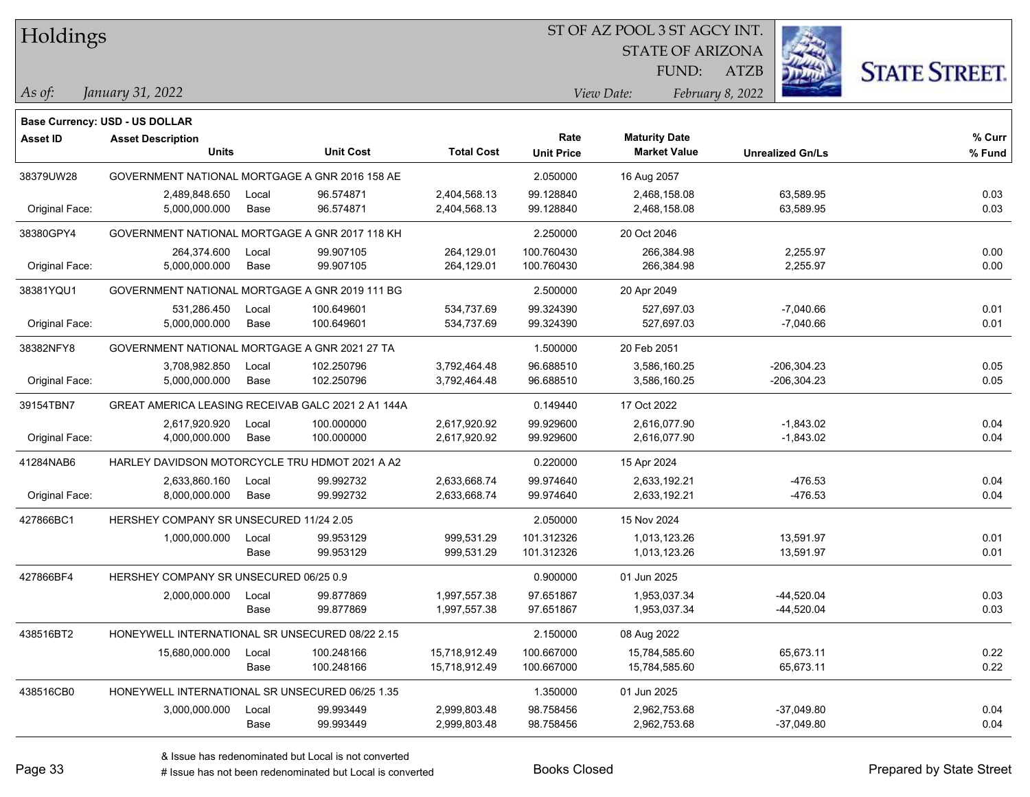Holdings

### ST OF AZ POOL 3 ST AGCY INT.

STATE OF ARIZONA

ATZB



*January 31, 2022 As of: View Date: February 8, 2022*

**Base Currency: USD - US DOLLAR**

FUND:

| <b>Asset ID</b> | <b>Asset Description</b><br><b>Units</b>           |               | <b>Unit Cost</b>         | <b>Total Cost</b>              | Rate<br><b>Unit Price</b> | <b>Maturity Date</b><br><b>Market Value</b> | <b>Unrealized Gn/Ls</b>          | $%$ Curr<br>% Fund |
|-----------------|----------------------------------------------------|---------------|--------------------------|--------------------------------|---------------------------|---------------------------------------------|----------------------------------|--------------------|
| 38379UW28       | GOVERNMENT NATIONAL MORTGAGE A GNR 2016 158 AE     |               |                          |                                | 2.050000                  | 16 Aug 2057                                 |                                  |                    |
| Original Face:  | 2,489,848.650<br>5,000,000.000                     | Local<br>Base | 96.574871<br>96.574871   | 2,404,568.13<br>2,404,568.13   | 99.128840<br>99.128840    | 2,468,158.08<br>2,468,158.08                | 63,589.95<br>63,589.95           | 0.03<br>0.03       |
| 38380GPY4       | GOVERNMENT NATIONAL MORTGAGE A GNR 2017 118 KH     |               |                          |                                | 2.250000                  | 20 Oct 2046                                 |                                  |                    |
| Original Face:  | 264,374.600<br>5,000,000.000                       | Local<br>Base | 99.907105<br>99.907105   | 264,129.01<br>264,129.01       | 100.760430<br>100.760430  | 266,384.98<br>266,384.98                    | 2,255.97<br>2,255.97             | 0.00<br>0.00       |
| 38381YQU1       | GOVERNMENT NATIONAL MORTGAGE A GNR 2019 111 BG     |               |                          |                                | 2.500000                  | 20 Apr 2049                                 |                                  |                    |
| Original Face:  | 531,286.450<br>5,000,000.000                       | Local<br>Base | 100.649601<br>100.649601 | 534,737.69<br>534,737.69       | 99.324390<br>99.324390    | 527,697.03<br>527,697.03                    | $-7,040.66$<br>$-7,040.66$       | 0.01<br>0.01       |
| 38382NFY8       | GOVERNMENT NATIONAL MORTGAGE A GNR 2021 27 TA      |               |                          |                                | 1.500000                  | 20 Feb 2051                                 |                                  |                    |
| Original Face:  | 3,708,982.850<br>5,000,000.000                     | Local<br>Base | 102.250796<br>102.250796 | 3,792,464.48<br>3,792,464.48   | 96.688510<br>96.688510    | 3,586,160.25<br>3,586,160.25                | $-206, 304.23$<br>$-206, 304.23$ | 0.05<br>0.05       |
| 39154TBN7       | GREAT AMERICA LEASING RECEIVAB GALC 2021 2 A1 144A |               |                          |                                | 0.149440                  | 17 Oct 2022                                 |                                  |                    |
| Original Face:  | 2,617,920.920<br>4,000,000.000                     | Local<br>Base | 100.000000<br>100.000000 | 2,617,920.92<br>2,617,920.92   | 99.929600<br>99.929600    | 2,616,077.90<br>2,616,077.90                | $-1,843.02$<br>$-1,843.02$       | 0.04<br>0.04       |
| 41284NAB6       | HARLEY DAVIDSON MOTORCYCLE TRU HDMOT 2021 A A2     |               |                          |                                | 0.220000                  | 15 Apr 2024                                 |                                  |                    |
| Original Face:  | 2,633,860.160<br>8,000,000.000                     | Local<br>Base | 99.992732<br>99.992732   | 2,633,668.74<br>2,633,668.74   | 99.974640<br>99.974640    | 2,633,192.21<br>2,633,192.21                | -476.53<br>$-476.53$             | 0.04<br>0.04       |
| 427866BC1       | HERSHEY COMPANY SR UNSECURED 11/24 2.05            |               |                          |                                | 2.050000                  | 15 Nov 2024                                 |                                  |                    |
|                 | 1,000,000.000                                      | Local<br>Base | 99.953129<br>99.953129   | 999,531.29<br>999,531.29       | 101.312326<br>101.312326  | 1,013,123.26<br>1,013,123.26                | 13,591.97<br>13,591.97           | 0.01<br>0.01       |
| 427866BF4       | HERSHEY COMPANY SR UNSECURED 06/25 0.9             |               |                          |                                | 0.900000                  | 01 Jun 2025                                 |                                  |                    |
|                 | 2,000,000.000                                      | Local<br>Base | 99.877869<br>99.877869   | 1,997,557.38<br>1,997,557.38   | 97.651867<br>97.651867    | 1,953,037.34<br>1,953,037.34                | $-44,520.04$<br>$-44,520.04$     | 0.03<br>0.03       |
| 438516BT2       | HONEYWELL INTERNATIONAL SR UNSECURED 08/22 2.15    |               |                          |                                | 2.150000                  | 08 Aug 2022                                 |                                  |                    |
|                 | 15,680,000.000                                     | Local<br>Base | 100.248166<br>100.248166 | 15,718,912.49<br>15,718,912.49 | 100.667000<br>100.667000  | 15,784,585.60<br>15,784,585.60              | 65,673.11<br>65,673.11           | 0.22<br>0.22       |
| 438516CB0       | HONEYWELL INTERNATIONAL SR UNSECURED 06/25 1.35    |               |                          |                                | 1.350000                  | 01 Jun 2025                                 |                                  |                    |
|                 | 3,000,000.000                                      | Local<br>Base | 99.993449<br>99.993449   | 2,999,803.48<br>2,999,803.48   | 98.758456<br>98.758456    | 2,962,753.68<br>2,962,753.68                | $-37,049.80$<br>$-37,049.80$     | 0.04<br>0.04       |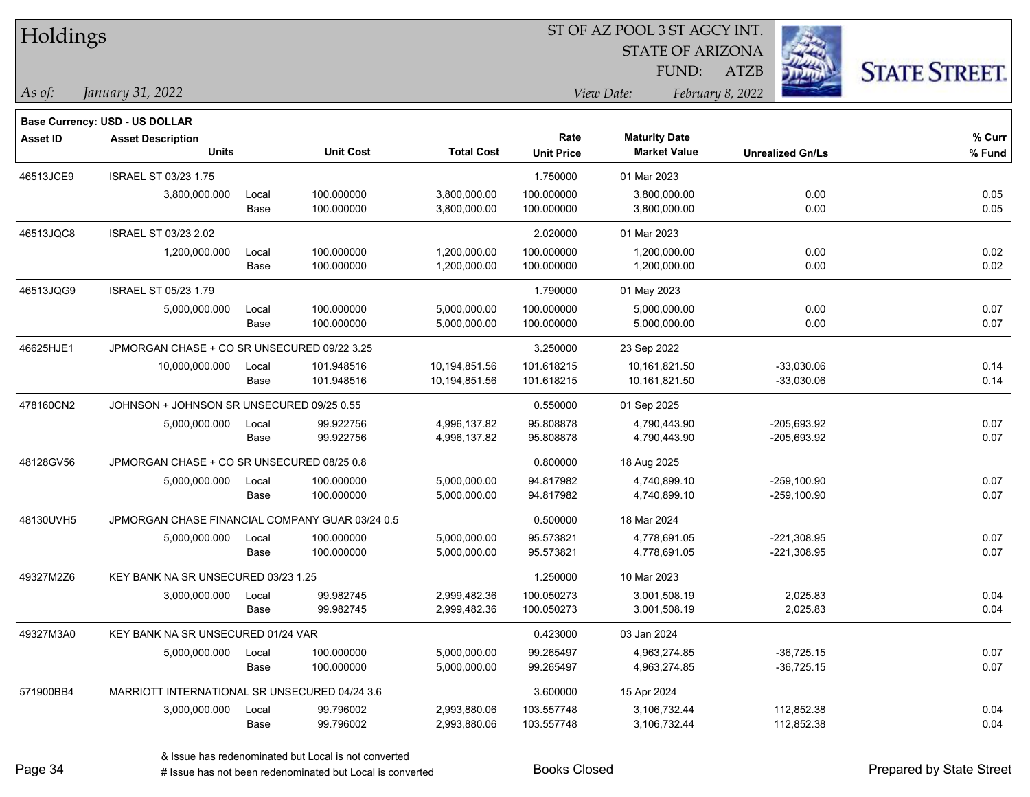| Holdings        |                                                 |       |                  |                   |                   |                         |                         |                      |
|-----------------|-------------------------------------------------|-------|------------------|-------------------|-------------------|-------------------------|-------------------------|----------------------|
|                 |                                                 |       |                  |                   |                   | <b>STATE OF ARIZONA</b> |                         |                      |
|                 |                                                 |       |                  |                   |                   | FUND:                   | <b>ATZB</b>             | <b>STATE STREET.</b> |
| As of:          | January 31, 2022                                |       |                  |                   |                   | View Date:              | February 8, 2022        |                      |
|                 | Base Currency: USD - US DOLLAR                  |       |                  |                   |                   |                         |                         |                      |
| <b>Asset ID</b> | <b>Asset Description</b>                        |       |                  |                   | Rate              | <b>Maturity Date</b>    |                         | % Curr               |
|                 | <b>Units</b>                                    |       | <b>Unit Cost</b> | <b>Total Cost</b> | <b>Unit Price</b> | <b>Market Value</b>     | <b>Unrealized Gn/Ls</b> | % Fund               |
| 46513JCE9       | <b>ISRAEL ST 03/23 1.75</b>                     |       |                  |                   | 1.750000          | 01 Mar 2023             |                         |                      |
|                 | 3,800,000.000                                   | Local | 100.000000       | 3,800,000.00      | 100.000000        | 3,800,000.00            | 0.00                    | 0.05                 |
|                 |                                                 | Base  | 100.000000       | 3,800,000.00      | 100.000000        | 3,800,000.00            | 0.00                    | 0.05                 |
| 46513JQC8       | ISRAEL ST 03/23 2.02                            |       |                  |                   | 2.020000          | 01 Mar 2023             |                         |                      |
|                 | 1,200,000.000                                   | Local | 100.000000       | 1,200,000.00      | 100.000000        | 1,200,000.00            | 0.00                    | 0.02                 |
|                 |                                                 | Base  | 100.000000       | 1,200,000.00      | 100.000000        | 1,200,000.00            | 0.00                    | 0.02                 |
| 46513JQG9       | <b>ISRAEL ST 05/23 1.79</b>                     |       |                  |                   | 1.790000          | 01 May 2023             |                         |                      |
|                 | 5,000,000.000                                   | Local | 100.000000       | 5,000,000.00      | 100.000000        | 5,000,000.00            | 0.00                    | 0.07                 |
|                 |                                                 | Base  | 100.000000       | 5,000,000.00      | 100.000000        | 5,000,000.00            | 0.00                    | 0.07                 |
| 46625HJE1       | JPMORGAN CHASE + CO SR UNSECURED 09/22 3.25     |       |                  |                   | 3.250000          | 23 Sep 2022             |                         |                      |
|                 | 10,000,000.000                                  | Local | 101.948516       | 10,194,851.56     | 101.618215        | 10,161,821.50           | $-33,030.06$            | 0.14                 |
|                 |                                                 | Base  | 101.948516       | 10,194,851.56     | 101.618215        | 10,161,821.50           | $-33,030.06$            | 0.14                 |
| 478160CN2       | JOHNSON + JOHNSON SR UNSECURED 09/25 0.55       |       |                  |                   | 0.550000          | 01 Sep 2025             |                         |                      |
|                 | 5,000,000.000                                   | Local | 99.922756        | 4,996,137.82      | 95.808878         | 4,790,443.90            | -205,693.92             | 0.07                 |
|                 |                                                 | Base  | 99.922756        | 4,996,137.82      | 95.808878         | 4,790,443.90            | $-205,693.92$           | 0.07                 |
| 48128GV56       | JPMORGAN CHASE + CO SR UNSECURED 08/25 0.8      |       |                  |                   | 0.800000          | 18 Aug 2025             |                         |                      |
|                 | 5,000,000.000                                   | Local | 100.000000       | 5,000,000.00      | 94.817982         | 4,740,899.10            | $-259,100.90$           | 0.07                 |
|                 |                                                 | Base  | 100.000000       | 5,000,000.00      | 94.817982         | 4,740,899.10            | $-259,100.90$           | 0.07                 |
| 48130UVH5       | JPMORGAN CHASE FINANCIAL COMPANY GUAR 03/24 0.5 |       |                  |                   | 0.500000          | 18 Mar 2024             |                         |                      |
|                 | 5,000,000.000                                   | Local | 100.000000       | 5,000,000.00      | 95.573821         | 4,778,691.05            | $-221,308.95$           | 0.07                 |
|                 |                                                 | Base  | 100.000000       | 5,000,000.00      | 95.573821         | 4,778,691.05            | $-221,308.95$           | 0.07                 |
| 49327M2Z6       | KEY BANK NA SR UNSECURED 03/23 1.25             |       |                  |                   | 1.250000          | 10 Mar 2023             |                         |                      |
|                 | 3,000,000.000                                   | Local | 99.982745        | 2.999.482.36      | 100.050273        | 3,001,508.19            | 2,025.83                | 0.04                 |
|                 |                                                 | Base  | 99.982745        | 2,999,482.36      | 100.050273        | 3,001,508.19            | 2,025.83                | 0.04                 |
| 49327M3A0       | KEY BANK NA SR UNSECURED 01/24 VAR              |       |                  |                   | 0.423000          | 03 Jan 2024             |                         |                      |
|                 | 5,000,000.000                                   | Local | 100.000000       | 5,000,000.00      | 99.265497         | 4,963,274.85            | $-36,725.15$            | 0.07                 |
|                 |                                                 | Base  | 100.000000       | 5,000,000.00      | 99.265497         | 4,963,274.85            | $-36,725.15$            | 0.07                 |
| 571900BB4       | MARRIOTT INTERNATIONAL SR UNSECURED 04/24 3.6   |       |                  |                   | 3.600000          | 15 Apr 2024             |                         |                      |
|                 | 3,000,000.000                                   | Local | 99.796002        | 2,993,880.06      | 103.557748        | 3,106,732.44            | 112,852.38              | 0.04                 |
|                 |                                                 | Base  | 99.796002        | 2,993,880.06      | 103.557748        | 3,106,732.44            | 112,852.38              | 0.04                 |

 $\overline{\phantom{0}}$ 

 $\overline{\phantom{0}}$ 

 $\overline{\phantom{0}}$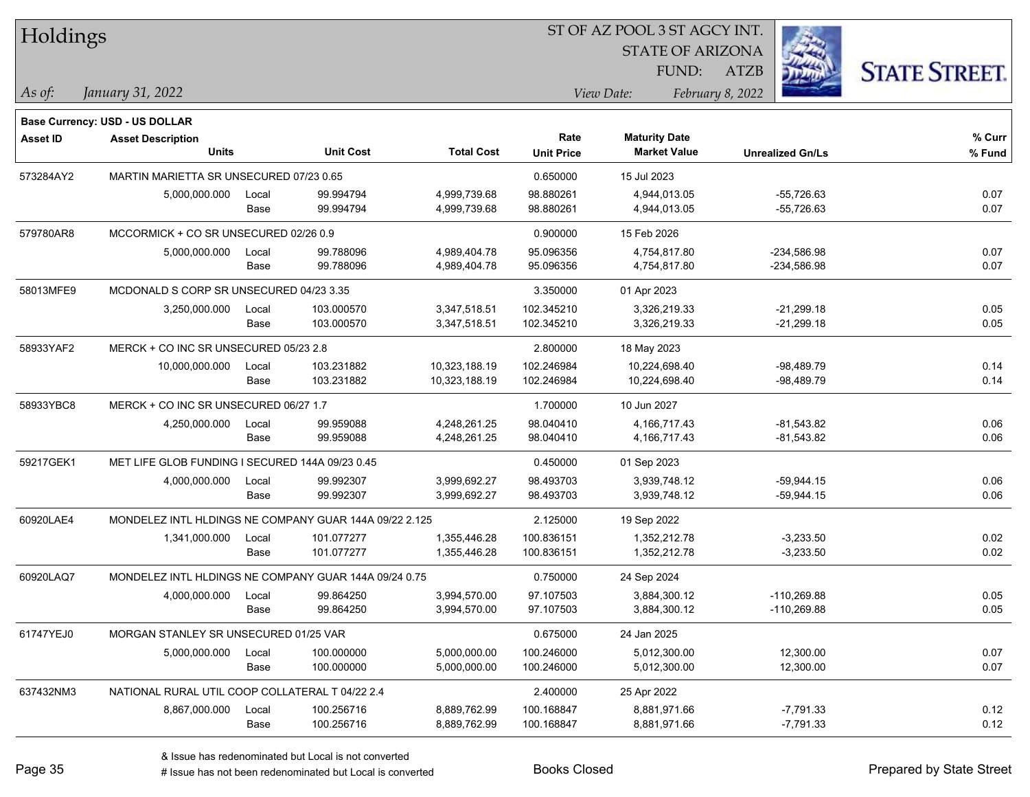| Holdings        |                                                        |       |                  |                   | ST OF AZ POOL 3 ST AGCY INT. |                         |                         |                      |  |  |
|-----------------|--------------------------------------------------------|-------|------------------|-------------------|------------------------------|-------------------------|-------------------------|----------------------|--|--|
|                 |                                                        |       |                  |                   |                              | <b>STATE OF ARIZONA</b> |                         |                      |  |  |
|                 |                                                        |       |                  |                   |                              | FUND:                   | <b>ATZB</b>             | <b>STATE STREET.</b> |  |  |
| As of:          | January 31, 2022                                       |       |                  |                   |                              | View Date:              | February 8, 2022        |                      |  |  |
|                 | Base Currency: USD - US DOLLAR                         |       |                  |                   |                              |                         |                         |                      |  |  |
| <b>Asset ID</b> | <b>Asset Description</b>                               |       |                  |                   | Rate                         | <b>Maturity Date</b>    |                         | % Curr               |  |  |
|                 | <b>Units</b>                                           |       | <b>Unit Cost</b> | <b>Total Cost</b> | <b>Unit Price</b>            | <b>Market Value</b>     | <b>Unrealized Gn/Ls</b> | % Fund               |  |  |
| 573284AY2       | MARTIN MARIETTA SR UNSECURED 07/23 0.65                |       |                  |                   | 0.650000                     | 15 Jul 2023             |                         |                      |  |  |
|                 | 5,000,000.000                                          | Local | 99.994794        | 4,999,739.68      | 98.880261                    | 4,944,013.05            | $-55,726.63$            | 0.07                 |  |  |
|                 |                                                        | Base  | 99.994794        | 4,999,739.68      | 98.880261                    | 4,944,013.05            | $-55,726.63$            | 0.07                 |  |  |
| 579780AR8       | MCCORMICK + CO SR UNSECURED 02/26 0.9                  |       |                  |                   | 0.900000                     | 15 Feb 2026             |                         |                      |  |  |
|                 | 5,000,000.000                                          | Local | 99.788096        | 4,989,404.78      | 95.096356                    | 4,754,817.80            | $-234,586.98$           | 0.07                 |  |  |
|                 |                                                        | Base  | 99.788096        | 4,989,404.78      | 95.096356                    | 4,754,817.80            | $-234,586.98$           | 0.07                 |  |  |
| 58013MFE9       | MCDONALD S CORP SR UNSECURED 04/23 3.35                |       |                  |                   | 3.350000                     | 01 Apr 2023             |                         |                      |  |  |
|                 | 3,250,000.000                                          | Local | 103.000570       | 3,347,518.51      | 102.345210                   | 3,326,219.33            | $-21,299.18$            | 0.05                 |  |  |
|                 |                                                        | Base  | 103.000570       | 3,347,518.51      | 102.345210                   | 3,326,219.33            | $-21,299.18$            | 0.05                 |  |  |
| 58933YAF2       | MERCK + CO INC SR UNSECURED 05/23 2.8                  |       |                  |                   | 2.800000                     | 18 May 2023             |                         |                      |  |  |
|                 | 10,000,000.000                                         | Local | 103.231882       | 10,323,188.19     | 102.246984                   | 10,224,698.40           | $-98,489.79$            | 0.14                 |  |  |
|                 |                                                        | Base  | 103.231882       | 10,323,188.19     | 102.246984                   | 10,224,698.40           | $-98,489.79$            | 0.14                 |  |  |
| 58933YBC8       | MERCK + CO INC SR UNSECURED 06/27 1.7                  |       |                  |                   | 1.700000                     | 10 Jun 2027             |                         |                      |  |  |
|                 | 4,250,000.000                                          | Local | 99.959088        | 4,248,261.25      | 98.040410                    | 4,166,717.43            | $-81,543.82$            | 0.06                 |  |  |
|                 |                                                        | Base  | 99.959088        | 4,248,261.25      | 98.040410                    | 4,166,717.43            | $-81,543.82$            | 0.06                 |  |  |
| 59217GEK1       | MET LIFE GLOB FUNDING I SECURED 144A 09/23 0.45        |       |                  |                   | 0.450000                     | 01 Sep 2023             |                         |                      |  |  |
|                 | 4,000,000.000                                          | Local | 99.992307        | 3,999,692.27      | 98.493703                    | 3,939,748.12            | $-59,944.15$            | 0.06                 |  |  |
|                 |                                                        | Base  | 99.992307        | 3,999,692.27      | 98.493703                    | 3,939,748.12            | $-59,944.15$            | 0.06                 |  |  |
| 60920LAE4       | MONDELEZ INTL HLDINGS NE COMPANY GUAR 144A 09/22 2.125 |       |                  |                   | 2.125000                     | 19 Sep 2022             |                         |                      |  |  |
|                 | 1,341,000.000                                          | Local | 101.077277       | 1,355,446.28      | 100.836151                   | 1,352,212.78            | $-3,233.50$             | 0.02                 |  |  |
|                 |                                                        | Base  | 101.077277       | 1,355,446.28      | 100.836151                   | 1,352,212.78            | $-3,233.50$             | 0.02                 |  |  |
| 60920LAQ7       | MONDELEZ INTL HLDINGS NE COMPANY GUAR 144A 09/24 0.75  |       |                  |                   | 0.750000                     | 24 Sep 2024             |                         |                      |  |  |
|                 | 4,000,000.000                                          | Local | 99.864250        | 3,994,570.00      | 97.107503                    | 3,884,300.12            | $-110,269.88$           | 0.05                 |  |  |
|                 |                                                        | Base  | 99.864250        | 3,994,570.00      | 97.107503                    | 3,884,300.12            | $-110,269.88$           | 0.05                 |  |  |
| 61747YEJ0       | MORGAN STANLEY SR UNSECURED 01/25 VAR                  |       |                  |                   | 0.675000                     | 24 Jan 2025             |                         |                      |  |  |
|                 | 5,000,000.000                                          | Local | 100.000000       | 5,000,000.00      | 100.246000                   | 5,012,300.00            | 12,300.00               | 0.07                 |  |  |
|                 |                                                        | Base  | 100.000000       | 5,000,000.00      | 100.246000                   | 5,012,300.00            | 12,300.00               | 0.07                 |  |  |
| 637432NM3       | NATIONAL RURAL UTIL COOP COLLATERAL T 04/22 2.4        |       |                  |                   | 2.400000                     | 25 Apr 2022             |                         |                      |  |  |
|                 | 8,867,000.000                                          | Local | 100.256716       | 8,889,762.99      | 100.168847                   | 8,881,971.66            | $-7,791.33$             | 0.12                 |  |  |
|                 |                                                        | Base  | 100.256716       | 8,889,762.99      | 100.168847                   | 8,881,971.66            | $-7,791.33$             | 0.12                 |  |  |
|                 |                                                        |       |                  |                   |                              |                         |                         |                      |  |  |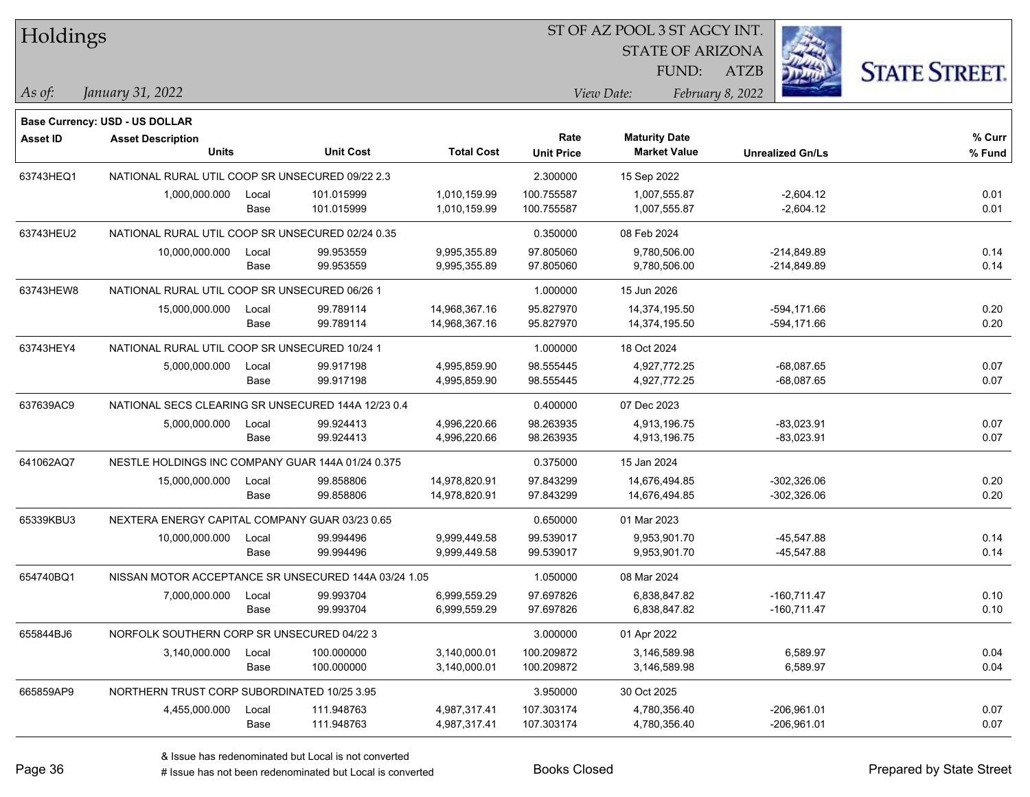| Holdings        |                                                    |       |                                                      |                   |                   | ST OF AZ POOL 3 ST AGCY INT. |                         |                      |
|-----------------|----------------------------------------------------|-------|------------------------------------------------------|-------------------|-------------------|------------------------------|-------------------------|----------------------|
|                 |                                                    |       |                                                      |                   |                   | <b>STATE OF ARIZONA</b>      |                         |                      |
|                 |                                                    |       |                                                      |                   |                   | FUND:                        | <b>ATZB</b>             | <b>STATE STREET.</b> |
| As of:          | January 31, 2022                                   |       |                                                      |                   |                   | View Date:                   | February 8, 2022        |                      |
|                 | Base Currency: USD - US DOLLAR                     |       |                                                      |                   |                   |                              |                         |                      |
| <b>Asset ID</b> | <b>Asset Description</b>                           |       |                                                      |                   | Rate              | <b>Maturity Date</b>         |                         | % Curr               |
|                 | <b>Units</b>                                       |       | <b>Unit Cost</b>                                     | <b>Total Cost</b> | <b>Unit Price</b> | <b>Market Value</b>          | <b>Unrealized Gn/Ls</b> | % Fund               |
| 63743HEQ1       | NATIONAL RURAL UTIL COOP SR UNSECURED 09/22 2.3    |       |                                                      |                   | 2.300000          | 15 Sep 2022                  |                         |                      |
|                 | 1,000,000.000                                      | Local | 101.015999                                           | 1,010,159.99      | 100.755587        | 1,007,555.87                 | $-2,604.12$             | 0.01                 |
|                 |                                                    | Base  | 101.015999                                           | 1,010,159.99      | 100.755587        | 1,007,555.87                 | $-2,604.12$             | 0.01                 |
| 63743HEU2       | NATIONAL RURAL UTIL COOP SR UNSECURED 02/24 0.35   |       |                                                      |                   | 0.350000          | 08 Feb 2024                  |                         |                      |
|                 | 10,000,000.000                                     | Local | 99.953559                                            | 9,995,355.89      | 97.805060         | 9,780,506.00                 | $-214,849.89$           | 0.14                 |
|                 |                                                    | Base  | 99.953559                                            | 9,995,355.89      | 97.805060         | 9,780,506.00                 | $-214,849.89$           | 0.14                 |
| 63743HEW8       | NATIONAL RURAL UTIL COOP SR UNSECURED 06/26 1      |       |                                                      |                   | 1.000000          | 15 Jun 2026                  |                         |                      |
|                 | 15,000,000.000                                     | Local | 99.789114                                            | 14,968,367.16     | 95.827970         | 14,374,195.50                | $-594,171.66$           | 0.20                 |
|                 |                                                    | Base  | 99.789114                                            | 14,968,367.16     | 95.827970         | 14,374,195.50                | $-594, 171.66$          | 0.20                 |
| 63743HEY4       | NATIONAL RURAL UTIL COOP SR UNSECURED 10/24 1      |       |                                                      |                   | 1.000000          | 18 Oct 2024                  |                         |                      |
|                 | 5,000,000.000                                      | Local | 99.917198                                            | 4,995,859.90      | 98.555445         | 4,927,772.25                 | $-68,087.65$            | 0.07                 |
|                 |                                                    | Base  | 99.917198                                            | 4,995,859.90      | 98.555445         | 4,927,772.25                 | $-68,087.65$            | 0.07                 |
| 637639AC9       | NATIONAL SECS CLEARING SR UNSECURED 144A 12/23 0.4 |       |                                                      |                   | 0.400000          | 07 Dec 2023                  |                         |                      |
|                 | 5,000,000.000                                      | Local | 99.924413                                            | 4,996,220.66      | 98.263935         | 4,913,196.75                 | $-83,023.91$            | 0.07                 |
|                 |                                                    | Base  | 99.924413                                            | 4,996,220.66      | 98.263935         | 4,913,196.75                 | $-83,023.91$            | 0.07                 |
| 641062AQ7       | NESTLE HOLDINGS INC COMPANY GUAR 144A 01/24 0.375  |       |                                                      |                   | 0.375000          | 15 Jan 2024                  |                         |                      |
|                 | 15,000,000.000                                     | Local | 99.858806                                            | 14,978,820.91     | 97.843299         | 14,676,494.85                | $-302,326.06$           | 0.20                 |
|                 |                                                    | Base  | 99.858806                                            | 14,978,820.91     | 97.843299         | 14,676,494.85                | $-302,326.06$           | 0.20                 |
| 65339KBU3       | NEXTERA ENERGY CAPITAL COMPANY GUAR 03/23 0.65     |       |                                                      |                   | 0.650000          | 01 Mar 2023                  |                         |                      |
|                 | 10,000,000.000                                     | Local | 99.994496                                            | 9,999,449.58      | 99.539017         | 9,953,901.70                 | $-45,547.88$            | 0.14                 |
|                 |                                                    | Base  | 99.994496                                            | 9,999,449.58      | 99.539017         | 9,953,901.70                 | -45,547.88              | 0.14                 |
| 654740BQ1       |                                                    |       | NISSAN MOTOR ACCEPTANCE SR UNSECURED 144A 03/24 1.05 |                   | 1.050000          | 08 Mar 2024                  |                         |                      |
|                 | 7,000,000.000                                      | Local | 99.993704                                            | 6,999,559.29      | 97.697826         | 6,838,847.82                 | $-160,711.47$           | 0.10                 |
|                 |                                                    | Base  | 99.993704                                            | 6,999,559.29      | 97.697826         | 6,838,847.82                 | $-160,711.47$           | 0.10                 |
| 655844BJ6       | NORFOLK SOUTHERN CORP SR UNSECURED 04/22 3         |       |                                                      |                   | 3.000000          | 01 Apr 2022                  |                         |                      |
|                 | 3,140,000.000                                      | Local | 100.000000                                           | 3,140,000.01      | 100.209872        | 3,146,589.98                 | 6,589.97                | 0.04                 |
|                 |                                                    | Base  | 100.000000                                           | 3,140,000.01      | 100.209872        | 3,146,589.98                 | 6,589.97                | 0.04                 |
| 665859AP9       | NORTHERN TRUST CORP SUBORDINATED 10/25 3.95        |       |                                                      |                   | 3.950000          | 30 Oct 2025                  |                         |                      |
|                 | 4,455,000.000                                      | Local | 111.948763                                           | 4,987,317.41      | 107.303174        | 4,780,356.40                 | $-206,961.01$           | 0.07                 |
|                 |                                                    | Base  | 111.948763                                           | 4,987,317.41      | 107.303174        | 4,780,356.40                 | $-206,961.01$           | 0.07                 |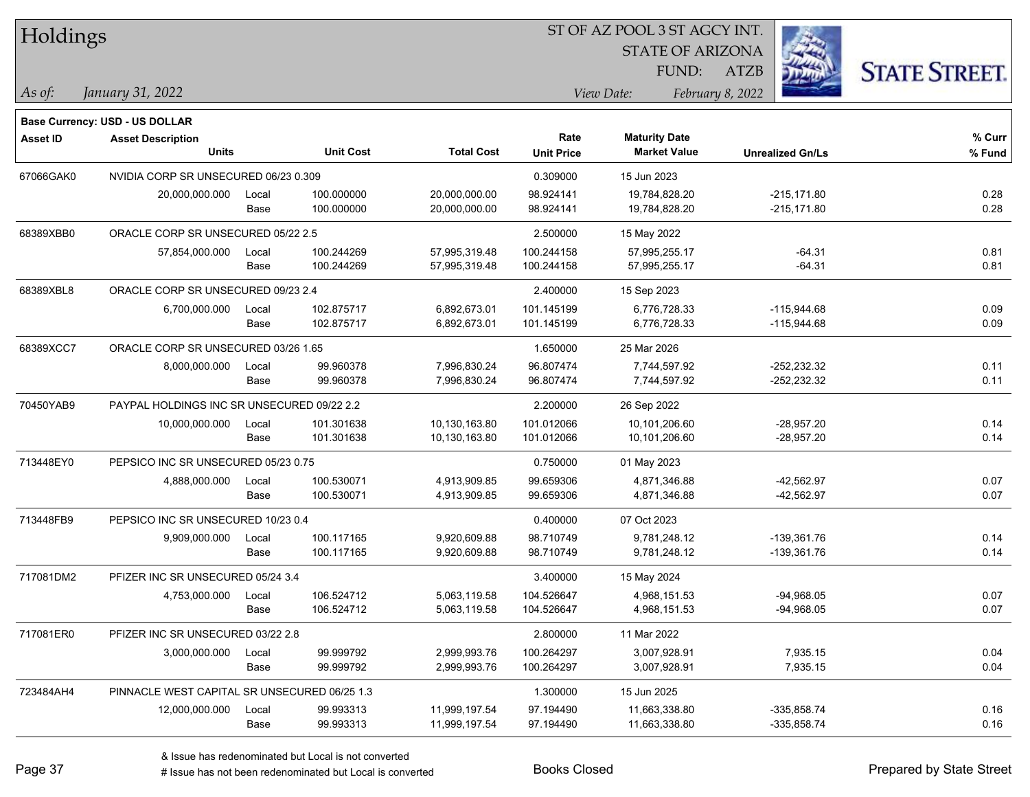| Holdings        |                                                                   |       |                  |                   | ST OF AZ POOL 3 ST AGCY INT. |                         |                         |                      |  |  |
|-----------------|-------------------------------------------------------------------|-------|------------------|-------------------|------------------------------|-------------------------|-------------------------|----------------------|--|--|
|                 |                                                                   |       |                  |                   |                              | <b>STATE OF ARIZONA</b> |                         |                      |  |  |
|                 |                                                                   |       |                  |                   |                              | FUND:                   | ATZB                    | <b>STATE STREET.</b> |  |  |
| As of:          | January 31, 2022                                                  |       |                  |                   |                              | View Date:              | February 8, 2022        |                      |  |  |
|                 |                                                                   |       |                  |                   |                              |                         |                         |                      |  |  |
| <b>Asset ID</b> | <b>Base Currency: USD - US DOLLAR</b><br><b>Asset Description</b> |       |                  |                   | Rate                         | <b>Maturity Date</b>    |                         | % Curr               |  |  |
|                 | <b>Units</b>                                                      |       | <b>Unit Cost</b> | <b>Total Cost</b> | <b>Unit Price</b>            | <b>Market Value</b>     | <b>Unrealized Gn/Ls</b> | % Fund               |  |  |
| 67066GAK0       | NVIDIA CORP SR UNSECURED 06/23 0.309                              |       |                  |                   | 0.309000                     | 15 Jun 2023             |                         |                      |  |  |
|                 | 20,000,000.000                                                    | Local | 100.000000       | 20,000,000.00     | 98.924141                    | 19,784,828.20           | $-215,171.80$           | 0.28                 |  |  |
|                 |                                                                   | Base  | 100.000000       | 20,000,000.00     | 98.924141                    | 19,784,828.20           | $-215,171.80$           | 0.28                 |  |  |
| 68389XBB0       | ORACLE CORP SR UNSECURED 05/22 2.5                                |       |                  |                   | 2.500000                     | 15 May 2022             |                         |                      |  |  |
|                 | 57,854,000.000                                                    | Local | 100.244269       | 57,995,319.48     | 100.244158                   | 57,995,255.17           | $-64.31$                | 0.81                 |  |  |
|                 |                                                                   | Base  | 100.244269       | 57,995,319.48     | 100.244158                   | 57,995,255.17           | $-64.31$                | 0.81                 |  |  |
| 68389XBL8       | ORACLE CORP SR UNSECURED 09/23 2.4                                |       |                  |                   | 2.400000                     | 15 Sep 2023             |                         |                      |  |  |
|                 | 6,700,000.000                                                     | Local | 102.875717       | 6,892,673.01      | 101.145199                   | 6,776,728.33            | $-115,944.68$           | 0.09                 |  |  |
|                 |                                                                   | Base  | 102.875717       | 6,892,673.01      | 101.145199                   | 6,776,728.33            | $-115,944.68$           | 0.09                 |  |  |
| 68389XCC7       | ORACLE CORP SR UNSECURED 03/26 1.65                               |       |                  |                   | 1.650000                     | 25 Mar 2026             |                         |                      |  |  |
|                 | 8,000,000.000                                                     | Local | 99.960378        | 7,996,830.24      | 96.807474                    | 7,744,597.92            | $-252,232.32$           | 0.11                 |  |  |
|                 |                                                                   | Base  | 99.960378        | 7,996,830.24      | 96.807474                    | 7,744,597.92            | $-252,232.32$           | 0.11                 |  |  |
| 70450YAB9       | PAYPAL HOLDINGS INC SR UNSECURED 09/22 2.2                        |       |                  |                   | 2.200000                     | 26 Sep 2022             |                         |                      |  |  |
|                 | 10,000,000.000                                                    | Local | 101.301638       | 10,130,163.80     | 101.012066                   | 10,101,206.60           | $-28,957.20$            | 0.14                 |  |  |
|                 |                                                                   | Base  | 101.301638       | 10,130,163.80     | 101.012066                   | 10,101,206.60           | -28,957.20              | 0.14                 |  |  |
| 713448EY0       | PEPSICO INC SR UNSECURED 05/23 0.75                               |       |                  |                   | 0.750000                     | 01 May 2023             |                         |                      |  |  |
|                 | 4,888,000.000                                                     | Local | 100.530071       | 4,913,909.85      | 99.659306                    | 4,871,346.88            | $-42,562.97$            | 0.07                 |  |  |
|                 |                                                                   | Base  | 100.530071       | 4,913,909.85      | 99.659306                    | 4,871,346.88            | $-42,562.97$            | 0.07                 |  |  |
| 713448FB9       | PEPSICO INC SR UNSECURED 10/23 0.4                                |       |                  |                   | 0.400000                     | 07 Oct 2023             |                         |                      |  |  |
|                 | 9,909,000.000                                                     | Local | 100.117165       | 9,920,609.88      | 98.710749                    | 9,781,248.12            | $-139,361.76$           | 0.14                 |  |  |
|                 |                                                                   | Base  | 100.117165       | 9,920,609.88      | 98.710749                    | 9,781,248.12            | $-139,361.76$           | 0.14                 |  |  |
| 717081DM2       | PFIZER INC SR UNSECURED 05/24 3.4                                 |       |                  |                   | 3.400000                     | 15 May 2024             |                         |                      |  |  |
|                 | 4,753,000.000 Local                                               |       | 106.524712       | 5,063,119.58      | 104.526647                   | 4,968,151.53            | $-94,968.05$            | 0.07                 |  |  |
|                 |                                                                   | Base  | 106.524712       | 5,063,119.58      | 104.526647                   | 4,968,151.53            | $-94,968.05$            | 0.07                 |  |  |
| 717081ER0       | PFIZER INC SR UNSECURED 03/22 2.8                                 |       |                  |                   | 2.800000                     | 11 Mar 2022             |                         |                      |  |  |
|                 | 3,000,000.000                                                     | Local | 99.999792        | 2,999,993.76      | 100.264297                   | 3,007,928.91            | 7,935.15                | 0.04                 |  |  |
|                 |                                                                   | Base  | 99.999792        | 2,999,993.76      | 100.264297                   | 3,007,928.91            | 7,935.15                | 0.04                 |  |  |
| 723484AH4       | PINNACLE WEST CAPITAL SR UNSECURED 06/25 1.3                      |       |                  |                   | 1.300000                     | 15 Jun 2025             |                         |                      |  |  |
|                 | 12,000,000.000                                                    | Local | 99.993313        | 11,999,197.54     | 97.194490                    | 11,663,338.80           | $-335,858.74$           | 0.16                 |  |  |
|                 |                                                                   | Base  | 99.993313        | 11,999,197.54     | 97.194490                    | 11,663,338.80           | $-335,858.74$           | 0.16                 |  |  |

# Issue has not been redenominated but Local is converted Books Closed Prepared by State Street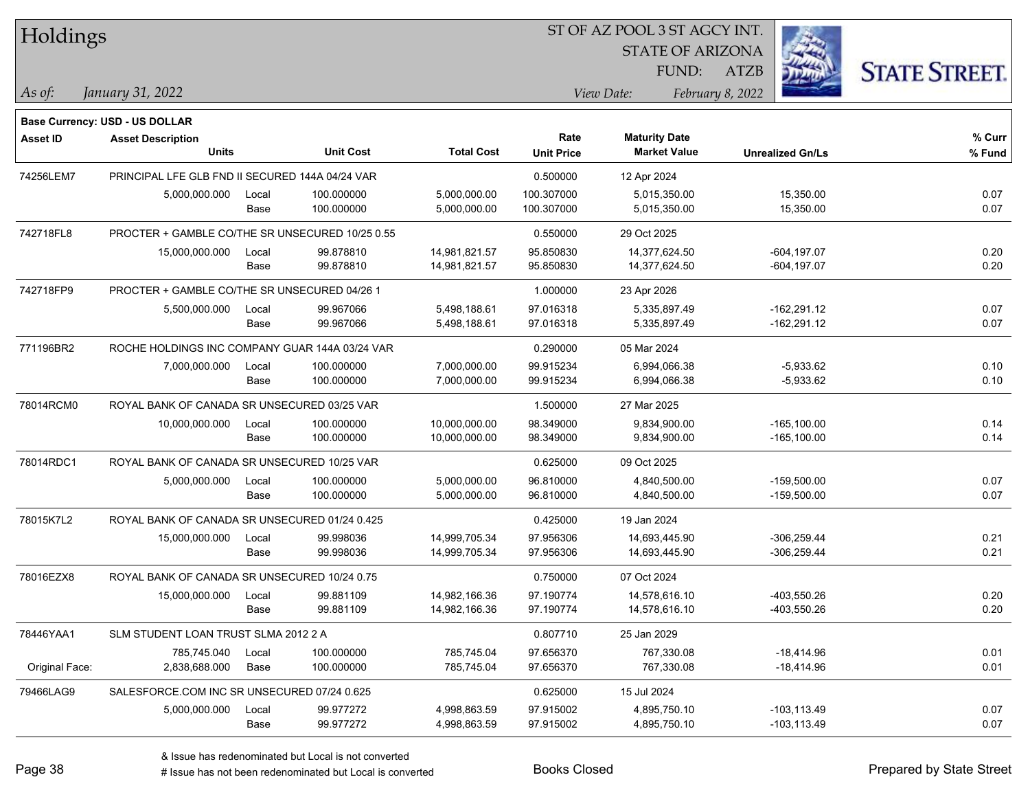| Holdings        |                                                 |       |                  |                   | ST OF AZ POOL 3 ST AGCY INT. |                         |                         |                      |
|-----------------|-------------------------------------------------|-------|------------------|-------------------|------------------------------|-------------------------|-------------------------|----------------------|
|                 |                                                 |       |                  |                   |                              | <b>STATE OF ARIZONA</b> |                         |                      |
|                 |                                                 |       |                  |                   |                              | FUND:                   | <b>ATZB</b>             | <b>STATE STREET.</b> |
| As of:          | January 31, 2022                                |       |                  |                   |                              | View Date:              | February 8, 2022        |                      |
|                 | Base Currency: USD - US DOLLAR                  |       |                  |                   |                              |                         |                         |                      |
| <b>Asset ID</b> | <b>Asset Description</b>                        |       |                  |                   | Rate                         | <b>Maturity Date</b>    |                         | % Curr               |
|                 | <b>Units</b>                                    |       | <b>Unit Cost</b> | <b>Total Cost</b> | <b>Unit Price</b>            | <b>Market Value</b>     | <b>Unrealized Gn/Ls</b> | % Fund               |
| 74256LEM7       | PRINCIPAL LFE GLB FND II SECURED 144A 04/24 VAR |       |                  |                   | 0.500000                     | 12 Apr 2024             |                         |                      |
|                 | 5,000,000.000                                   | Local | 100.000000       | 5,000,000.00      | 100.307000                   | 5,015,350.00            | 15,350.00               | 0.07                 |
|                 |                                                 | Base  | 100.000000       | 5,000,000.00      | 100.307000                   | 5,015,350.00            | 15,350.00               | 0.07                 |
| 742718FL8       | PROCTER + GAMBLE CO/THE SR UNSECURED 10/25 0.55 |       |                  |                   | 0.550000                     | 29 Oct 2025             |                         |                      |
|                 | 15,000,000.000                                  | Local | 99.878810        | 14,981,821.57     | 95.850830                    | 14,377,624.50           | $-604, 197.07$          | 0.20                 |
|                 |                                                 | Base  | 99.878810        | 14,981,821.57     | 95.850830                    | 14,377,624.50           | $-604, 197.07$          | 0.20                 |
| 742718FP9       | PROCTER + GAMBLE CO/THE SR UNSECURED 04/26 1    |       |                  |                   | 1.000000                     | 23 Apr 2026             |                         |                      |
|                 | 5,500,000.000                                   | Local | 99.967066        | 5,498,188.61      | 97.016318                    | 5,335,897.49            | $-162,291.12$           | 0.07                 |
|                 |                                                 | Base  | 99.967066        | 5,498,188.61      | 97.016318                    | 5,335,897.49            | $-162,291.12$           | 0.07                 |
| 771196BR2       | ROCHE HOLDINGS INC COMPANY GUAR 144A 03/24 VAR  |       |                  |                   | 0.290000                     | 05 Mar 2024             |                         |                      |
|                 | 7,000,000.000                                   | Local | 100.000000       | 7,000,000.00      | 99.915234                    | 6,994,066.38            | $-5,933.62$             | 0.10                 |
|                 |                                                 | Base  | 100.000000       | 7,000,000.00      | 99.915234                    | 6,994,066.38            | $-5,933.62$             | 0.10                 |
| 78014RCM0       | ROYAL BANK OF CANADA SR UNSECURED 03/25 VAR     |       |                  |                   | 1.500000                     | 27 Mar 2025             |                         |                      |
|                 | 10,000,000.000                                  | Local | 100.000000       | 10,000,000.00     | 98.349000                    | 9,834,900.00            | $-165, 100.00$          | 0.14                 |
|                 |                                                 | Base  | 100.000000       | 10,000,000.00     | 98.349000                    | 9,834,900.00            | $-165, 100.00$          | 0.14                 |
| 78014RDC1       | ROYAL BANK OF CANADA SR UNSECURED 10/25 VAR     |       |                  |                   | 0.625000                     | 09 Oct 2025             |                         |                      |
|                 | 5,000,000.000                                   | Local | 100.000000       | 5,000,000.00      | 96.810000                    | 4,840,500.00            | $-159,500.00$           | 0.07                 |
|                 |                                                 | Base  | 100.000000       | 5,000,000.00      | 96.810000                    | 4,840,500.00            | $-159,500.00$           | 0.07                 |
| 78015K7L2       | ROYAL BANK OF CANADA SR UNSECURED 01/24 0.425   |       |                  |                   | 0.425000                     | 19 Jan 2024             |                         |                      |
|                 | 15,000,000.000                                  | Local | 99.998036        | 14,999,705.34     | 97.956306                    | 14,693,445.90           | $-306.259.44$           | 0.21                 |
|                 |                                                 | Base  | 99.998036        | 14,999,705.34     | 97.956306                    | 14,693,445.90           | $-306,259.44$           | 0.21                 |
| 78016EZX8       | ROYAL BANK OF CANADA SR UNSECURED 10/24 0.75    |       |                  |                   | 0.750000                     | 07 Oct 2024             |                         |                      |
|                 | 15,000,000.000                                  | Local | 99.881109        | 14,982,166.36     | 97.190774                    | 14,578,616.10           | -403,550.26             | 0.20                 |
|                 |                                                 | Base  | 99.881109        | 14,982,166.36     | 97.190774                    | 14,578,616.10           | -403,550.26             | 0.20                 |
| 78446YAA1       | SLM STUDENT LOAN TRUST SLMA 2012 2 A            |       |                  |                   | 0.807710                     | 25 Jan 2029             |                         |                      |
|                 | 785,745.040                                     | Local | 100.000000       | 785,745.04        | 97.656370                    | 767,330.08              | $-18,414.96$            | 0.01                 |
| Original Face:  | 2,838,688.000                                   | Base  | 100.000000       | 785,745.04        | 97.656370                    | 767,330.08              | $-18,414.96$            | 0.01                 |
| 79466LAG9       | SALESFORCE.COM INC SR UNSECURED 07/24 0.625     |       |                  |                   | 0.625000                     | 15 Jul 2024             |                         |                      |
|                 | 5,000,000.000                                   | Local | 99.977272        | 4,998,863.59      | 97.915002                    | 4,895,750.10            | $-103, 113.49$          | 0.07                 |
|                 |                                                 | Base  | 99.977272        | 4,998,863.59      | 97.915002                    | 4,895,750.10            | $-103, 113.49$          | 0.07                 |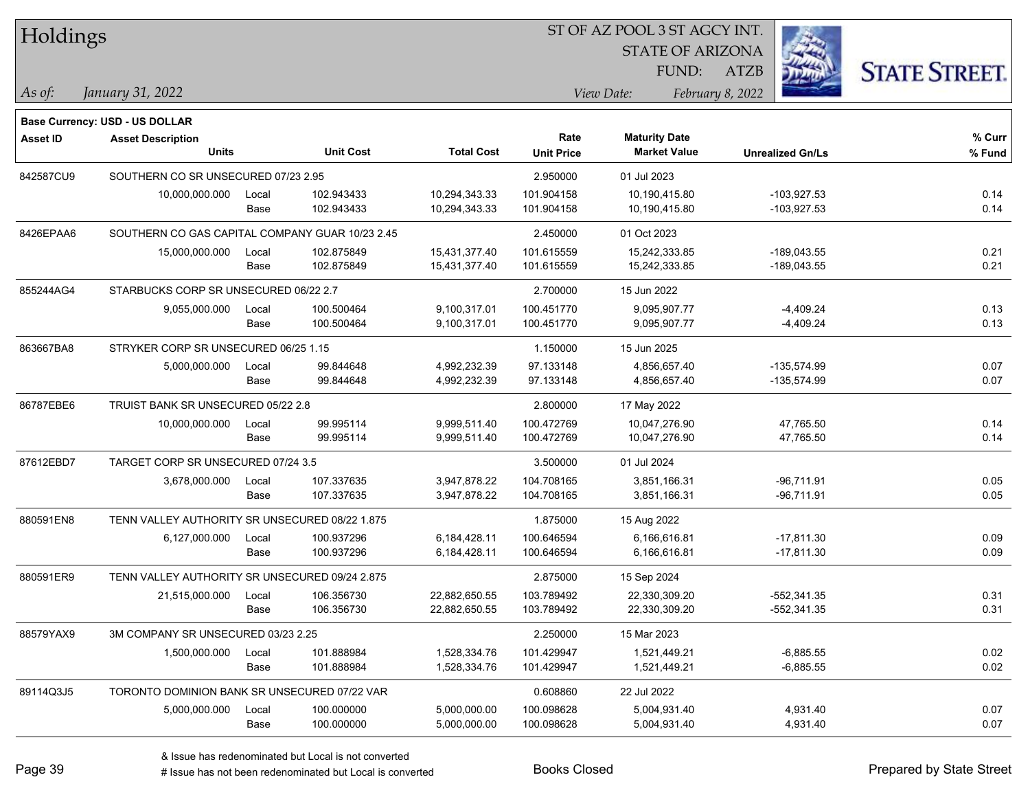| Holdings        |                                                 |       |                  |                   | ST OF AZ POOL 3 ST AGCY INT. |                         |                         |                      |  |  |
|-----------------|-------------------------------------------------|-------|------------------|-------------------|------------------------------|-------------------------|-------------------------|----------------------|--|--|
|                 |                                                 |       |                  |                   |                              | <b>STATE OF ARIZONA</b> |                         |                      |  |  |
|                 |                                                 |       |                  |                   |                              | FUND:                   | ATZB                    | <b>STATE STREET.</b> |  |  |
| As of:          | January 31, 2022                                |       |                  |                   |                              | View Date:              | February 8, 2022        |                      |  |  |
|                 | <b>Base Currency: USD - US DOLLAR</b>           |       |                  |                   |                              |                         |                         |                      |  |  |
| <b>Asset ID</b> | <b>Asset Description</b>                        |       |                  |                   | Rate                         | <b>Maturity Date</b>    |                         | % Curr               |  |  |
|                 | <b>Units</b>                                    |       | <b>Unit Cost</b> | <b>Total Cost</b> | <b>Unit Price</b>            | <b>Market Value</b>     | <b>Unrealized Gn/Ls</b> | % Fund               |  |  |
| 842587CU9       | SOUTHERN CO SR UNSECURED 07/23 2.95             |       |                  |                   | 2.950000                     | 01 Jul 2023             |                         |                      |  |  |
|                 | 10,000,000.000                                  | Local | 102.943433       | 10,294,343.33     | 101.904158                   | 10,190,415.80           | $-103,927.53$           | 0.14                 |  |  |
|                 |                                                 | Base  | 102.943433       | 10,294,343.33     | 101.904158                   | 10,190,415.80           | $-103,927.53$           | 0.14                 |  |  |
| 8426EPAA6       | SOUTHERN CO GAS CAPITAL COMPANY GUAR 10/23 2.45 |       |                  |                   | 2.450000                     | 01 Oct 2023             |                         |                      |  |  |
|                 | 15,000,000.000                                  | Local | 102.875849       | 15,431,377.40     | 101.615559                   | 15,242,333.85           | $-189,043.55$           | 0.21                 |  |  |
|                 |                                                 | Base  | 102.875849       | 15,431,377.40     | 101.615559                   | 15,242,333.85           | $-189,043.55$           | 0.21                 |  |  |
| 855244AG4       | STARBUCKS CORP SR UNSECURED 06/22 2.7           |       |                  |                   | 2.700000                     | 15 Jun 2022             |                         |                      |  |  |
|                 | 9,055,000.000                                   | Local | 100.500464       | 9,100,317.01      | 100.451770                   | 9,095,907.77            | $-4,409.24$             | 0.13                 |  |  |
|                 |                                                 | Base  | 100.500464       | 9,100,317.01      | 100.451770                   | 9,095,907.77            | $-4,409.24$             | 0.13                 |  |  |
| 863667BA8       | STRYKER CORP SR UNSECURED 06/25 1.15            |       |                  |                   | 1.150000                     | 15 Jun 2025             |                         |                      |  |  |
|                 | 5,000,000.000                                   | Local | 99.844648        | 4,992,232.39      | 97.133148                    | 4,856,657.40            | $-135,574.99$           | 0.07                 |  |  |
|                 |                                                 | Base  | 99.844648        | 4,992,232.39      | 97.133148                    | 4,856,657.40            | -135,574.99             | 0.07                 |  |  |
| 86787EBE6       | TRUIST BANK SR UNSECURED 05/22 2.8              |       |                  |                   | 2.800000                     | 17 May 2022             |                         |                      |  |  |
|                 | 10,000,000.000                                  | Local | 99.995114        | 9,999,511.40      | 100.472769                   | 10,047,276.90           | 47,765.50               | 0.14                 |  |  |
|                 |                                                 | Base  | 99.995114        | 9,999,511.40      | 100.472769                   | 10,047,276.90           | 47,765.50               | 0.14                 |  |  |
| 87612EBD7       | TARGET CORP SR UNSECURED 07/24 3.5              |       |                  |                   | 3.500000                     | 01 Jul 2024             |                         |                      |  |  |
|                 | 3,678,000.000                                   | Local | 107.337635       | 3,947,878.22      | 104.708165                   | 3,851,166.31            | $-96,711.91$            | 0.05                 |  |  |
|                 |                                                 | Base  | 107.337635       | 3,947,878.22      | 104.708165                   | 3,851,166.31            | $-96,711.91$            | 0.05                 |  |  |
| 880591EN8       | TENN VALLEY AUTHORITY SR UNSECURED 08/22 1.875  |       |                  |                   | 1.875000                     | 15 Aug 2022             |                         |                      |  |  |
|                 | 6,127,000.000                                   | Local | 100.937296       | 6,184,428.11      | 100.646594                   | 6,166,616.81            | $-17,811.30$            | 0.09                 |  |  |
|                 |                                                 | Base  | 100.937296       | 6,184,428.11      | 100.646594                   | 6,166,616.81            | $-17,811.30$            | 0.09                 |  |  |
| 880591ER9       | TENN VALLEY AUTHORITY SR UNSECURED 09/24 2.875  |       |                  |                   | 2.875000                     | 15 Sep 2024             |                         |                      |  |  |
|                 | 21,515,000.000                                  | Local | 106.356730       | 22,882,650.55     | 103.789492                   | 22,330,309.20           | $-552,341.35$           | 0.31                 |  |  |
|                 |                                                 | Base  | 106.356730       | 22,882,650.55     | 103.789492                   | 22,330,309.20           | -552,341.35             | 0.31                 |  |  |
| 88579YAX9       | 3M COMPANY SR UNSECURED 03/23 2.25              |       |                  |                   | 2.250000                     | 15 Mar 2023             |                         |                      |  |  |
|                 | 1,500,000.000                                   | Local | 101.888984       | 1,528,334.76      | 101.429947                   | 1,521,449.21            | $-6,885.55$             | 0.02                 |  |  |
|                 |                                                 | Base  | 101.888984       | 1,528,334.76      | 101.429947                   | 1,521,449.21            | $-6,885.55$             | 0.02                 |  |  |
| 89114Q3J5       | TORONTO DOMINION BANK SR UNSECURED 07/22 VAR    |       |                  |                   | 0.608860                     | 22 Jul 2022             |                         |                      |  |  |
|                 | 5,000,000.000                                   | Local | 100.000000       | 5,000,000.00      | 100.098628                   | 5,004,931.40            | 4,931.40                | 0.07                 |  |  |
|                 |                                                 | Base  | 100.000000       | 5,000,000.00      | 100.098628                   | 5,004,931.40            | 4,931.40                | 0.07                 |  |  |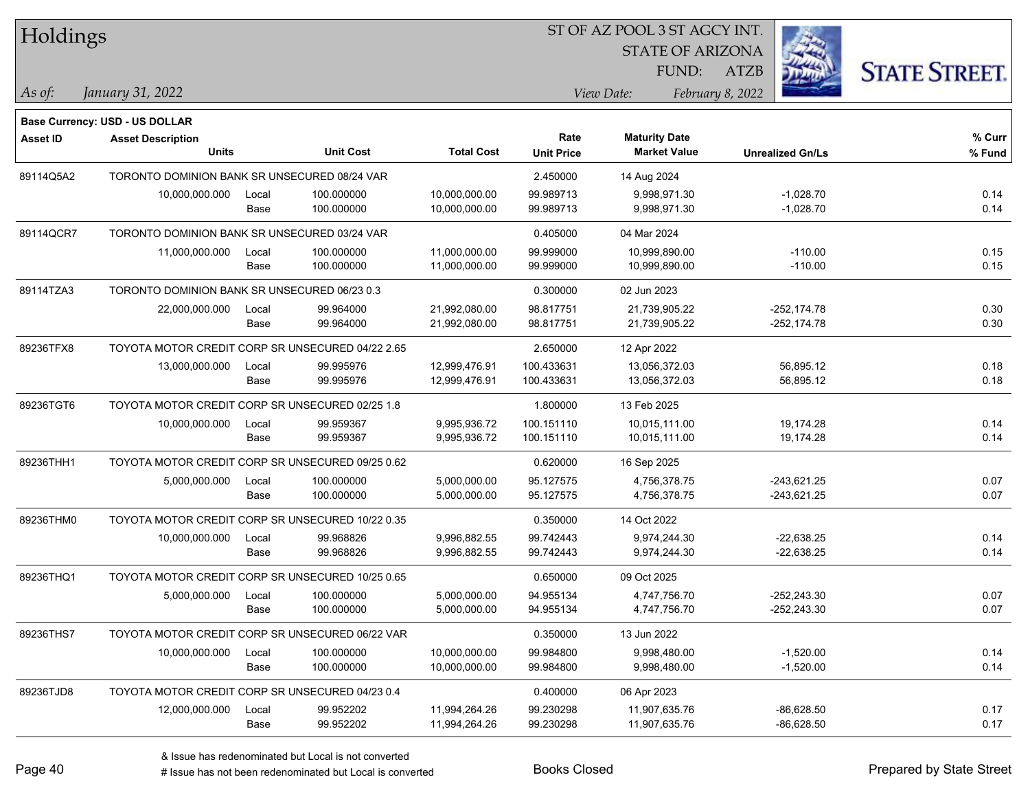| <b>Holdings</b> |                                                  |                                                  |                  |                   | 51 OF AZ POOL 3 51 AGCY INT. |                                |      |                         |                      |  |
|-----------------|--------------------------------------------------|--------------------------------------------------|------------------|-------------------|------------------------------|--------------------------------|------|-------------------------|----------------------|--|
|                 |                                                  |                                                  |                  |                   |                              | <b>STATE OF ARIZONA</b>        |      |                         |                      |  |
|                 |                                                  |                                                  |                  |                   |                              | FUND:                          | ATZB |                         | <b>STATE STREET.</b> |  |
| As of:          | January 31, 2022                                 |                                                  |                  |                   |                              | View Date:<br>February 8, 2022 |      |                         |                      |  |
|                 | Base Currency: USD - US DOLLAR                   |                                                  |                  |                   |                              |                                |      |                         |                      |  |
| <b>Asset ID</b> | <b>Asset Description</b>                         |                                                  |                  |                   | Rate                         | <b>Maturity Date</b>           |      |                         | % Curr               |  |
|                 | <b>Units</b>                                     |                                                  | <b>Unit Cost</b> | <b>Total Cost</b> | <b>Unit Price</b>            | <b>Market Value</b>            |      | <b>Unrealized Gn/Ls</b> | % Fund               |  |
| 89114Q5A2       | TORONTO DOMINION BANK SR UNSECURED 08/24 VAR     |                                                  |                  |                   | 2.450000                     | 14 Aug 2024                    |      |                         |                      |  |
|                 | 10,000,000.000                                   | Local                                            | 100.000000       | 10,000,000.00     | 99.989713                    | 9,998,971.30                   |      | $-1,028.70$             | 0.14                 |  |
|                 |                                                  | Base                                             | 100.000000       | 10,000,000.00     | 99.989713                    | 9,998,971.30                   |      | $-1,028.70$             | 0.14                 |  |
| 89114QCR7       |                                                  | TORONTO DOMINION BANK SR UNSECURED 03/24 VAR     |                  |                   |                              | 04 Mar 2024                    |      |                         |                      |  |
|                 | 11,000,000.000                                   | Local                                            | 100.000000       | 11,000,000.00     | 99.999000                    | 10,999,890.00                  |      | $-110.00$               | 0.15                 |  |
|                 |                                                  | Base                                             | 100.000000       | 11,000,000.00     | 99.999000                    | 10,999,890.00                  |      | $-110.00$               | 0.15                 |  |
| 89114TZA3       | TORONTO DOMINION BANK SR UNSECURED 06/23 0.3     |                                                  |                  |                   | 0.300000                     | 02 Jun 2023                    |      |                         |                      |  |
|                 | 22,000,000.000                                   | Local                                            | 99.964000        | 21,992,080.00     | 98.817751                    | 21,739,905.22                  |      | $-252,174.78$           | 0.30                 |  |
|                 |                                                  | Base                                             | 99.964000        | 21,992,080.00     | 98.817751                    | 21,739,905.22                  |      | $-252, 174.78$          | 0.30                 |  |
| 89236TFX8       | TOYOTA MOTOR CREDIT CORP SR UNSECURED 04/22 2.65 |                                                  |                  |                   | 2.650000                     | 12 Apr 2022                    |      |                         |                      |  |
|                 | 13,000,000.000                                   | Local                                            | 99.995976        | 12,999,476.91     | 100.433631                   | 13,056,372.03                  |      | 56,895.12               | 0.18                 |  |
|                 |                                                  | Base                                             | 99.995976        | 12,999,476.91     | 100.433631                   | 13,056,372.03                  |      | 56,895.12               | 0.18                 |  |
| 89236TGT6       | TOYOTA MOTOR CREDIT CORP SR UNSECURED 02/25 1.8  |                                                  |                  |                   | 1.800000                     | 13 Feb 2025                    |      |                         |                      |  |
|                 | 10,000,000.000                                   | Local                                            | 99.959367        | 9,995,936.72      | 100.151110                   | 10,015,111.00                  |      | 19,174.28               | 0.14                 |  |
|                 |                                                  | Base                                             | 99.959367        | 9,995,936.72      | 100.151110                   | 10,015,111.00                  |      | 19,174.28               | 0.14                 |  |
| 89236THH1       |                                                  | TOYOTA MOTOR CREDIT CORP SR UNSECURED 09/25 0.62 |                  |                   |                              | 16 Sep 2025                    |      |                         |                      |  |
|                 | 5,000,000.000                                    | Local                                            | 100.000000       | 5,000,000.00      | 95.127575                    | 4,756,378.75                   |      | $-243,621.25$           | 0.07                 |  |
|                 |                                                  | Base                                             | 100.000000       | 5,000,000.00      | 95.127575                    | 4,756,378.75                   |      | $-243,621.25$           | 0.07                 |  |
| 89236THM0       | TOYOTA MOTOR CREDIT CORP SR UNSECURED 10/22 0.35 |                                                  |                  |                   | 0.350000                     | 14 Oct 2022                    |      |                         |                      |  |
|                 | 10,000,000.000                                   | Local                                            | 99.968826        | 9,996,882.55      | 99.742443                    | 9,974,244.30                   |      | $-22,638.25$            | 0.14                 |  |
|                 |                                                  | Base                                             | 99.968826        | 9,996,882.55      | 99.742443                    | 9,974,244.30                   |      | $-22,638.25$            | 0.14                 |  |
| 89236THQ1       | TOYOTA MOTOR CREDIT CORP SR UNSECURED 10/25 0.65 |                                                  |                  |                   | 0.650000                     | 09 Oct 2025                    |      |                         |                      |  |
|                 | 5,000,000.000                                    | Local                                            | 100.000000       | 5,000,000.00      | 94.955134                    | 4,747,756.70                   |      | -252,243.30             | 0.07                 |  |
|                 |                                                  | Base                                             | 100.000000       | 5,000,000.00      | 94.955134                    | 4,747,756.70                   |      | -252,243.30             | 0.07                 |  |
| 89236THS7       | TOYOTA MOTOR CREDIT CORP SR UNSECURED 06/22 VAR  |                                                  |                  |                   | 0.350000                     | 13 Jun 2022                    |      |                         |                      |  |
|                 | 10,000,000.000                                   | Local                                            | 100.000000       | 10,000,000.00     | 99.984800                    | 9,998,480.00                   |      | $-1,520.00$             | 0.14                 |  |
|                 |                                                  | Base                                             | 100.000000       | 10,000,000.00     | 99.984800                    | 9,998,480.00                   |      | $-1,520.00$             | 0.14                 |  |
| 89236TJD8       | TOYOTA MOTOR CREDIT CORP SR UNSECURED 04/23 0.4  |                                                  |                  |                   | 0.400000                     | 06 Apr 2023                    |      |                         |                      |  |
|                 | 12,000,000.000                                   | Local                                            | 99.952202        | 11,994,264.26     | 99.230298                    | 11,907,635.76                  |      | $-86,628.50$            | 0.17                 |  |
|                 |                                                  | Base                                             | 99.952202        | 11,994,264.26     | 99.230298                    | 11,907,635.76                  |      | $-86,628.50$            | 0.17                 |  |
|                 |                                                  |                                                  |                  |                   |                              |                                |      |                         |                      |  |

 $\overline{S}$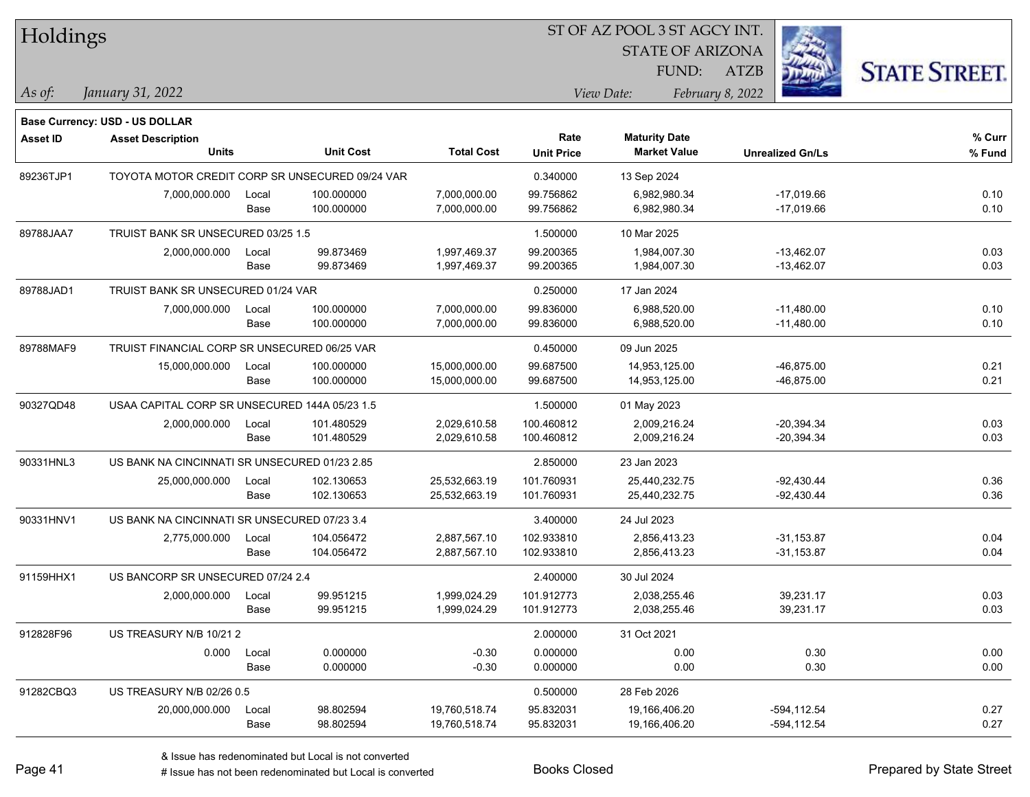| Holdings        |                                                 |       |                  |                   | ST OF AZ POOL 3 ST AGCY INT. |                         |                         |                      |
|-----------------|-------------------------------------------------|-------|------------------|-------------------|------------------------------|-------------------------|-------------------------|----------------------|
|                 |                                                 |       |                  |                   |                              | <b>STATE OF ARIZONA</b> |                         |                      |
|                 |                                                 |       |                  |                   |                              | FUND:                   | <b>ATZB</b>             | <b>STATE STREET.</b> |
| As of:          | January 31, 2022                                |       |                  |                   |                              | View Date:              | February 8, 2022        |                      |
|                 | <b>Base Currency: USD - US DOLLAR</b>           |       |                  |                   |                              |                         |                         |                      |
| <b>Asset ID</b> | <b>Asset Description</b>                        |       |                  |                   | Rate                         | <b>Maturity Date</b>    |                         | % Curr               |
|                 | <b>Units</b>                                    |       | <b>Unit Cost</b> | <b>Total Cost</b> | <b>Unit Price</b>            | <b>Market Value</b>     | <b>Unrealized Gn/Ls</b> | % Fund               |
| 89236TJP1       | TOYOTA MOTOR CREDIT CORP SR UNSECURED 09/24 VAR |       |                  |                   | 0.340000                     | 13 Sep 2024             |                         |                      |
|                 | 7,000,000.000                                   | Local | 100.000000       | 7,000,000.00      | 99.756862                    | 6,982,980.34            | $-17,019.66$            | 0.10                 |
|                 |                                                 | Base  | 100.000000       | 7,000,000.00      | 99.756862                    | 6,982,980.34            | $-17,019.66$            | 0.10                 |
| 89788JAA7       | TRUIST BANK SR UNSECURED 03/25 1.5              |       |                  |                   | 1.500000                     | 10 Mar 2025             |                         |                      |
|                 | 2,000,000.000                                   | Local | 99.873469        | 1,997,469.37      | 99.200365                    | 1,984,007.30            | $-13,462.07$            | 0.03                 |
|                 |                                                 | Base  | 99.873469        | 1,997,469.37      | 99.200365                    | 1,984,007.30            | $-13,462.07$            | 0.03                 |
| 89788JAD1       | TRUIST BANK SR UNSECURED 01/24 VAR              |       |                  |                   | 0.250000                     | 17 Jan 2024             |                         |                      |
|                 | 7,000,000.000                                   | Local | 100.000000       | 7,000,000.00      | 99.836000                    | 6,988,520.00            | $-11,480.00$            | 0.10                 |
|                 |                                                 | Base  | 100.000000       | 7,000,000.00      | 99.836000                    | 6,988,520.00            | $-11,480.00$            | 0.10                 |
| 89788MAF9       | TRUIST FINANCIAL CORP SR UNSECURED 06/25 VAR    |       |                  |                   | 0.450000                     | 09 Jun 2025             |                         |                      |
|                 | 15,000,000.000                                  | Local | 100.000000       | 15,000,000.00     | 99.687500                    | 14,953,125.00           | $-46,875.00$            | 0.21                 |
|                 |                                                 | Base  | 100.000000       | 15,000,000.00     | 99.687500                    | 14,953,125.00           | $-46,875.00$            | 0.21                 |
| 90327QD48       | USAA CAPITAL CORP SR UNSECURED 144A 05/23 1.5   |       |                  |                   | 1.500000                     | 01 May 2023             |                         |                      |
|                 | 2,000,000.000                                   | Local | 101.480529       | 2,029,610.58      | 100.460812                   | 2,009,216.24            | $-20,394.34$            | 0.03                 |
|                 |                                                 | Base  | 101.480529       | 2,029,610.58      | 100.460812                   | 2,009,216.24            | $-20,394.34$            | 0.03                 |
| 90331HNL3       | US BANK NA CINCINNATI SR UNSECURED 01/23 2.85   |       |                  |                   | 2.850000                     | 23 Jan 2023             |                         |                      |
|                 | 25,000,000.000                                  | Local | 102.130653       | 25,532,663.19     | 101.760931                   | 25,440,232.75           | $-92,430.44$            | 0.36                 |
|                 |                                                 | Base  | 102.130653       | 25,532,663.19     | 101.760931                   | 25,440,232.75           | $-92,430.44$            | 0.36                 |
| 90331HNV1       | US BANK NA CINCINNATI SR UNSECURED 07/23 3.4    |       |                  |                   | 3.400000                     | 24 Jul 2023             |                         |                      |
|                 | 2,775,000.000                                   | Local | 104.056472       | 2,887,567.10      | 102.933810                   | 2,856,413.23            | $-31,153.87$            | 0.04                 |
|                 |                                                 | Base  | 104.056472       | 2,887,567.10      | 102.933810                   | 2,856,413.23            | $-31,153.87$            | 0.04                 |
| 91159HHX1       | US BANCORP SR UNSECURED 07/24 2.4               |       |                  |                   | 2.400000                     | 30 Jul 2024             |                         |                      |
|                 | 2,000,000.000                                   | Local | 99.951215        | 1,999,024.29      | 101.912773                   | 2,038,255.46            | 39,231.17               | 0.03                 |
|                 |                                                 | Base  | 99.951215        | 1,999,024.29      | 101.912773                   | 2,038,255.46            | 39,231.17               | 0.03                 |
| 912828F96       | US TREASURY N/B 10/212                          |       |                  |                   | 2.000000                     | 31 Oct 2021             |                         |                      |
|                 | 0.000                                           | Local | 0.000000         | $-0.30$           | 0.000000                     | 0.00                    | 0.30                    | 0.00                 |
|                 |                                                 | Base  | 0.000000         | $-0.30$           | 0.000000                     | 0.00                    | 0.30                    | 0.00                 |
| 91282CBQ3       | US TREASURY N/B 02/26 0.5                       |       |                  |                   | 0.500000                     | 28 Feb 2026             |                         |                      |
|                 | 20,000,000.000                                  | Local | 98.802594        | 19,760,518.74     | 95.832031                    | 19,166,406.20           | $-594, 112.54$          | 0.27                 |
|                 |                                                 | Base  | 98.802594        | 19,760,518.74     | 95.832031                    | 19,166,406.20           | $-594, 112.54$          | 0.27                 |

 $\overline{\phantom{0}}$ 

 $\overline{\phantom{a}}$ 

 $\overline{\phantom{0}}$ 

 $\overline{\phantom{a}}$ 

 $\overline{\phantom{a}}$ 

 $\overline{\phantom{0}}$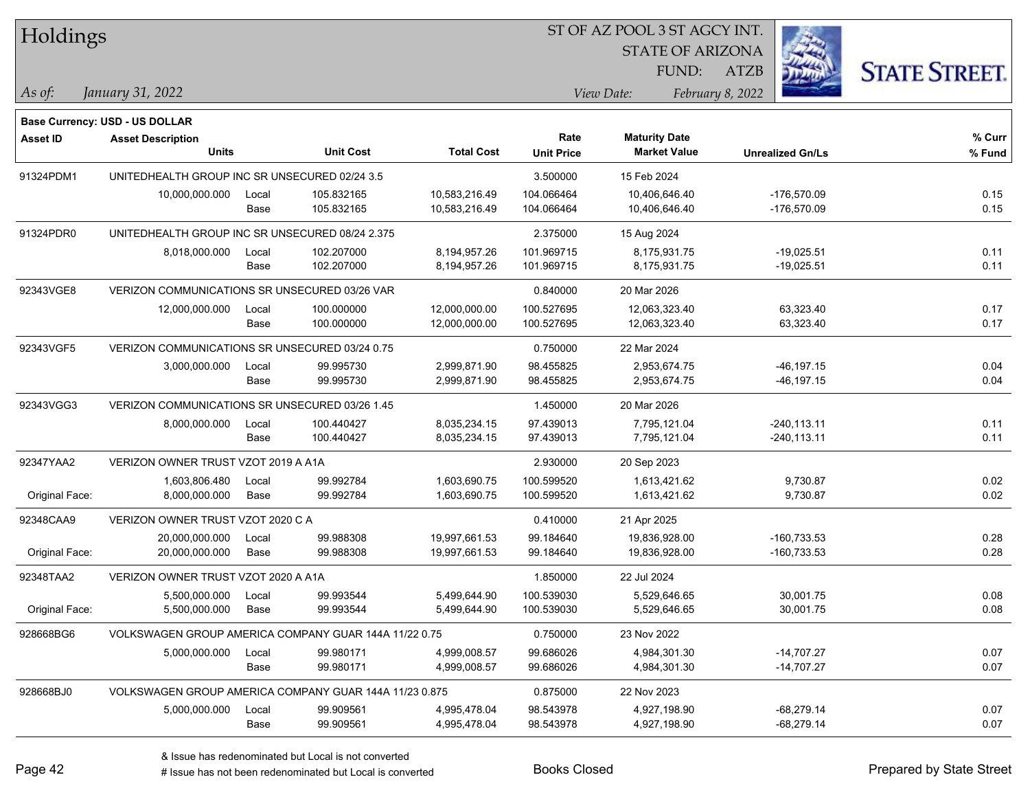| Holdings        |                                                        |       |                  |                   | 51 OF AZ POOL 351 AGCY INT. |                         |                         |                      |  |  |  |
|-----------------|--------------------------------------------------------|-------|------------------|-------------------|-----------------------------|-------------------------|-------------------------|----------------------|--|--|--|
|                 |                                                        |       |                  |                   |                             | <b>STATE OF ARIZONA</b> |                         |                      |  |  |  |
|                 |                                                        |       |                  |                   |                             | FUND:                   | ATZB                    | <b>STATE STREET.</b> |  |  |  |
| As of:          | January 31, 2022                                       |       |                  |                   |                             | View Date:              | February 8, 2022        |                      |  |  |  |
|                 |                                                        |       |                  |                   |                             |                         |                         |                      |  |  |  |
|                 | <b>Base Currency: USD - US DOLLAR</b>                  |       |                  |                   |                             |                         |                         |                      |  |  |  |
| <b>Asset ID</b> | <b>Asset Description</b>                               |       |                  |                   | Rate                        | <b>Maturity Date</b>    |                         | $%$ Curr             |  |  |  |
|                 | <b>Units</b>                                           |       | <b>Unit Cost</b> | <b>Total Cost</b> | <b>Unit Price</b>           | <b>Market Value</b>     | <b>Unrealized Gn/Ls</b> | % Fund               |  |  |  |
| 91324PDM1       | UNITEDHEALTH GROUP INC SR UNSECURED 02/24 3.5          |       |                  |                   | 3.500000                    | 15 Feb 2024             |                         |                      |  |  |  |
|                 | 10,000,000.000                                         | Local | 105.832165       | 10,583,216.49     | 104.066464                  | 10,406,646.40           | -176,570.09             | 0.15                 |  |  |  |
|                 |                                                        | Base  | 105.832165       | 10,583,216.49     | 104.066464                  | 10,406,646.40           | -176,570.09             | 0.15                 |  |  |  |
| 91324PDR0       | UNITEDHEALTH GROUP INC SR UNSECURED 08/24 2.375        |       |                  |                   | 2.375000                    | 15 Aug 2024             |                         |                      |  |  |  |
|                 | 8,018,000.000                                          | Local | 102.207000       | 8,194,957.26      | 101.969715                  | 8,175,931.75            | $-19,025.51$            | 0.11                 |  |  |  |
|                 |                                                        | Base  | 102.207000       | 8,194,957.26      | 101.969715                  | 8,175,931.75            | $-19,025.51$            | 0.11                 |  |  |  |
| 92343VGE8       | VERIZON COMMUNICATIONS SR UNSECURED 03/26 VAR          |       |                  |                   | 0.840000                    | 20 Mar 2026             |                         |                      |  |  |  |
|                 | 12,000,000.000                                         | Local | 100.000000       | 12,000,000.00     | 100.527695                  | 12,063,323.40           | 63,323.40               | 0.17                 |  |  |  |
|                 |                                                        | Base  | 100.000000       | 12,000,000.00     | 100.527695                  | 12,063,323.40           | 63,323.40               | 0.17                 |  |  |  |
| 92343VGF5       | VERIZON COMMUNICATIONS SR UNSECURED 03/24 0.75         |       |                  |                   | 0.750000                    | 22 Mar 2024             |                         |                      |  |  |  |
|                 | 3,000,000.000                                          | Local | 99.995730        | 2,999,871.90      | 98.455825                   | 2,953,674.75            | $-46, 197.15$           | 0.04                 |  |  |  |
|                 |                                                        | Base  | 99.995730        | 2,999,871.90      | 98.455825                   | 2,953,674.75            | $-46, 197.15$           | 0.04                 |  |  |  |
| 92343VGG3       | VERIZON COMMUNICATIONS SR UNSECURED 03/26 1.45         |       |                  |                   | 1.450000                    | 20 Mar 2026             |                         |                      |  |  |  |
|                 | 8,000,000.000                                          | Local | 100.440427       | 8,035,234.15      | 97.439013                   | 7,795,121.04            | $-240, 113.11$          | 0.11                 |  |  |  |
|                 |                                                        | Base  | 100.440427       | 8,035,234.15      | 97.439013                   | 7,795,121.04            | $-240, 113.11$          | 0.11                 |  |  |  |
| 92347YAA2       | VERIZON OWNER TRUST VZOT 2019 A A1A                    |       |                  |                   | 2.930000                    | 20 Sep 2023             |                         |                      |  |  |  |
|                 | 1,603,806.480                                          | Local | 99.992784        | 1,603,690.75      | 100.599520                  | 1,613,421.62            | 9,730.87                | 0.02                 |  |  |  |
| Original Face:  | 8,000,000.000                                          | Base  | 99.992784        | 1,603,690.75      | 100.599520                  | 1,613,421.62            | 9,730.87                | 0.02                 |  |  |  |
| 92348CAA9       | VERIZON OWNER TRUST VZOT 2020 C A                      |       |                  |                   | 0.410000                    | 21 Apr 2025             |                         |                      |  |  |  |
|                 | 20,000,000.000                                         | Local | 99.988308        | 19,997,661.53     | 99.184640                   | 19,836,928.00           | $-160,733.53$           | 0.28                 |  |  |  |
| Original Face:  | 20,000,000.000                                         | Base  | 99.988308        | 19,997,661.53     | 99.184640                   | 19,836,928.00           | -160,733.53             | 0.28                 |  |  |  |
| 92348TAA2       | VERIZON OWNER TRUST VZOT 2020 A A1A                    |       |                  |                   | 1.850000                    | 22 Jul 2024             |                         |                      |  |  |  |
|                 | 5,500,000.000                                          | Local | 99.993544        | 5,499,644.90      | 100.539030                  | 5,529,646.65            | 30,001.75               | 0.08                 |  |  |  |
| Original Face:  | 5,500,000.000                                          | Base  | 99.993544        | 5.499.644.90      | 100.539030                  | 5,529,646.65            | 30,001.75               | 0.08                 |  |  |  |
| 928668BG6       | VOLKSWAGEN GROUP AMERICA COMPANY GUAR 144A 11/22 0.75  |       |                  |                   | 0.750000                    | 23 Nov 2022             |                         |                      |  |  |  |
|                 | 5,000,000.000                                          | Local | 99.980171        | 4,999,008.57      | 99.686026                   | 4,984,301.30            | $-14,707.27$            | 0.07                 |  |  |  |
|                 |                                                        | Base  | 99.980171        | 4,999,008.57      | 99.686026                   | 4,984,301.30            | -14,707.27              | 0.07                 |  |  |  |
| 928668BJ0       | VOLKSWAGEN GROUP AMERICA COMPANY GUAR 144A 11/23 0.875 |       |                  |                   | 0.875000                    | 22 Nov 2023             |                         |                      |  |  |  |
|                 | 5,000,000.000                                          | Local | 99.909561        | 4,995,478.04      | 98.543978                   | 4,927,198.90            | $-68,279.14$            | 0.07                 |  |  |  |
|                 |                                                        | Base  | 99.909561        | 4,995,478.04      | 98.543978                   | 4,927,198.90            | $-68,279.14$            | 0.07                 |  |  |  |

ST OF A Z POOL 2 ST ACCV INT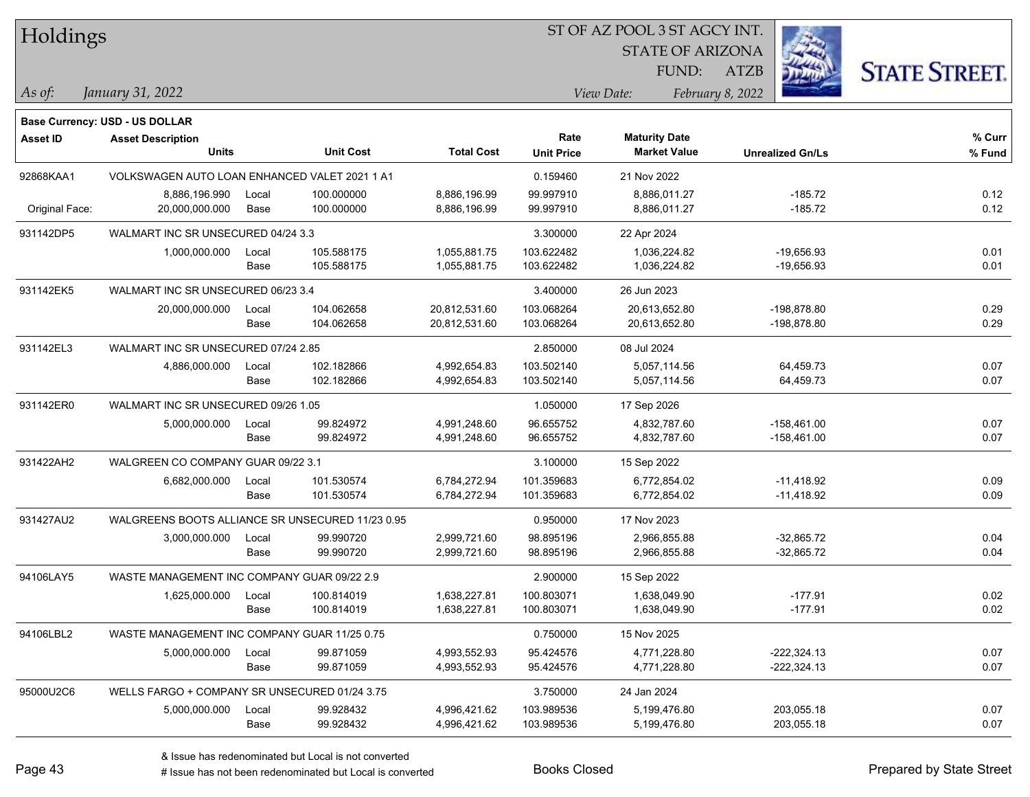| Holdings        |                                                  |       |                  |                   | 51 OF AZ POOL 351 AGCY INT. |                         |                         |                      |  |  |
|-----------------|--------------------------------------------------|-------|------------------|-------------------|-----------------------------|-------------------------|-------------------------|----------------------|--|--|
|                 |                                                  |       |                  |                   |                             | <b>STATE OF ARIZONA</b> |                         |                      |  |  |
|                 |                                                  |       |                  |                   |                             | FUND:                   | <b>ATZB</b>             | <b>STATE STREET.</b> |  |  |
| $ $ As of:      | January 31, 2022                                 |       |                  |                   |                             | View Date:              | February 8, 2022        |                      |  |  |
|                 | <b>Base Currency: USD - US DOLLAR</b>            |       |                  |                   |                             |                         |                         |                      |  |  |
| <b>Asset ID</b> | <b>Asset Description</b>                         |       |                  |                   | Rate                        | <b>Maturity Date</b>    |                         | $%$ Curr             |  |  |
|                 | <b>Units</b>                                     |       | <b>Unit Cost</b> | <b>Total Cost</b> | <b>Unit Price</b>           | <b>Market Value</b>     | <b>Unrealized Gn/Ls</b> | % Fund               |  |  |
| 92868KAA1       | VOLKSWAGEN AUTO LOAN ENHANCED VALET 2021 1 A1    |       |                  |                   | 0.159460                    | 21 Nov 2022             |                         |                      |  |  |
|                 | 8,886,196.990                                    | Local | 100.000000       | 8,886,196.99      | 99.997910                   | 8,886,011.27            | $-185.72$               | 0.12                 |  |  |
| Original Face:  | 20,000,000.000                                   | Base  | 100.000000       | 8,886,196.99      | 99.997910                   | 8,886,011.27            | $-185.72$               | 0.12                 |  |  |
| 931142DP5       | WALMART INC SR UNSECURED 04/24 3.3               |       |                  |                   | 3.300000                    | 22 Apr 2024             |                         |                      |  |  |
|                 | 1,000,000.000                                    | Local | 105.588175       | 1,055,881.75      | 103.622482                  | 1,036,224.82            | $-19,656.93$            | 0.01                 |  |  |
|                 |                                                  | Base  | 105.588175       | 1,055,881.75      | 103.622482                  | 1,036,224.82            | $-19,656.93$            | 0.01                 |  |  |
| 931142EK5       | WALMART INC SR UNSECURED 06/23 3.4               |       |                  |                   | 3.400000                    | 26 Jun 2023             |                         |                      |  |  |
|                 | 20,000,000.000                                   | Local | 104.062658       | 20,812,531.60     | 103.068264                  | 20,613,652.80           | -198,878.80             | 0.29                 |  |  |
|                 |                                                  | Base  | 104.062658       | 20,812,531.60     | 103.068264                  | 20,613,652.80           | -198,878.80             | 0.29                 |  |  |
| 931142EL3       | WALMART INC SR UNSECURED 07/24 2.85              |       |                  |                   | 2.850000                    | 08 Jul 2024             |                         |                      |  |  |
|                 | 4,886,000.000                                    | Local | 102.182866       | 4,992,654.83      | 103.502140                  | 5,057,114.56            | 64,459.73               | 0.07                 |  |  |
|                 |                                                  | Base  | 102.182866       | 4,992,654.83      | 103.502140                  | 5,057,114.56            | 64,459.73               | 0.07                 |  |  |
| 931142ER0       | WALMART INC SR UNSECURED 09/26 1.05              |       |                  | 1.050000          | 17 Sep 2026                 |                         |                         |                      |  |  |
|                 | 5,000,000.000                                    | Local | 99.824972        | 4,991,248.60      | 96.655752                   | 4,832,787.60            | $-158,461.00$           | 0.07                 |  |  |
|                 |                                                  | Base  | 99.824972        | 4,991,248.60      | 96.655752                   | 4,832,787.60            | $-158,461.00$           | 0.07                 |  |  |
| 931422AH2       | WALGREEN CO COMPANY GUAR 09/22 3.1               |       |                  |                   | 3.100000                    | 15 Sep 2022             |                         |                      |  |  |
|                 | 6,682,000.000                                    | Local | 101.530574       | 6,784,272.94      | 101.359683                  | 6,772,854.02            | $-11,418.92$            | 0.09                 |  |  |
|                 |                                                  | Base  | 101.530574       | 6,784,272.94      | 101.359683                  | 6,772,854.02            | $-11,418.92$            | 0.09                 |  |  |
| 931427AU2       | WALGREENS BOOTS ALLIANCE SR UNSECURED 11/23 0.95 |       |                  |                   | 0.950000                    | 17 Nov 2023             |                         |                      |  |  |
|                 | 3,000,000.000                                    | Local | 99.990720        | 2,999,721.60      | 98.895196                   | 2,966,855.88            | $-32,865.72$            | 0.04                 |  |  |
|                 |                                                  | Base  | 99.990720        | 2,999,721.60      | 98.895196                   | 2,966,855.88            | $-32,865.72$            | 0.04                 |  |  |
| 94106LAY5       | WASTE MANAGEMENT INC COMPANY GUAR 09/22 2.9      |       |                  |                   | 2.900000                    | 15 Sep 2022             |                         |                      |  |  |
|                 | 1,625,000.000                                    | Local | 100.814019       | 1,638,227.81      | 100.803071                  | 1,638,049.90            | $-177.91$               | 0.02                 |  |  |
|                 |                                                  | Base  | 100.814019       | 1,638,227.81      | 100.803071                  | 1,638,049.90            | $-177.91$               | 0.02                 |  |  |
| 94106LBL2       | WASTE MANAGEMENT INC COMPANY GUAR 11/25 0.75     |       |                  |                   | 0.750000                    | 15 Nov 2025             |                         |                      |  |  |
|                 | 5,000,000.000                                    | Local | 99.871059        | 4,993,552.93      | 95.424576                   | 4,771,228.80            | $-222,324.13$           | 0.07                 |  |  |
|                 |                                                  | Base  | 99.871059        | 4,993,552.93      | 95.424576                   | 4,771,228.80            | $-222,324.13$           | 0.07                 |  |  |
| 95000U2C6       | WELLS FARGO + COMPANY SR UNSECURED 01/24 3.75    |       |                  |                   | 3.750000                    | 24 Jan 2024             |                         |                      |  |  |
|                 | 5,000,000.000                                    | Local | 99.928432        | 4,996,421.62      | 103.989536                  | 5,199,476.80            | 203,055.18              | 0.07                 |  |  |
|                 |                                                  | Base  | 99.928432        | 4,996,421.62      | 103.989536                  | 5,199,476.80            | 203,055.18              | 0.07                 |  |  |

ST OF A Z POOL 2 ST ACCV INT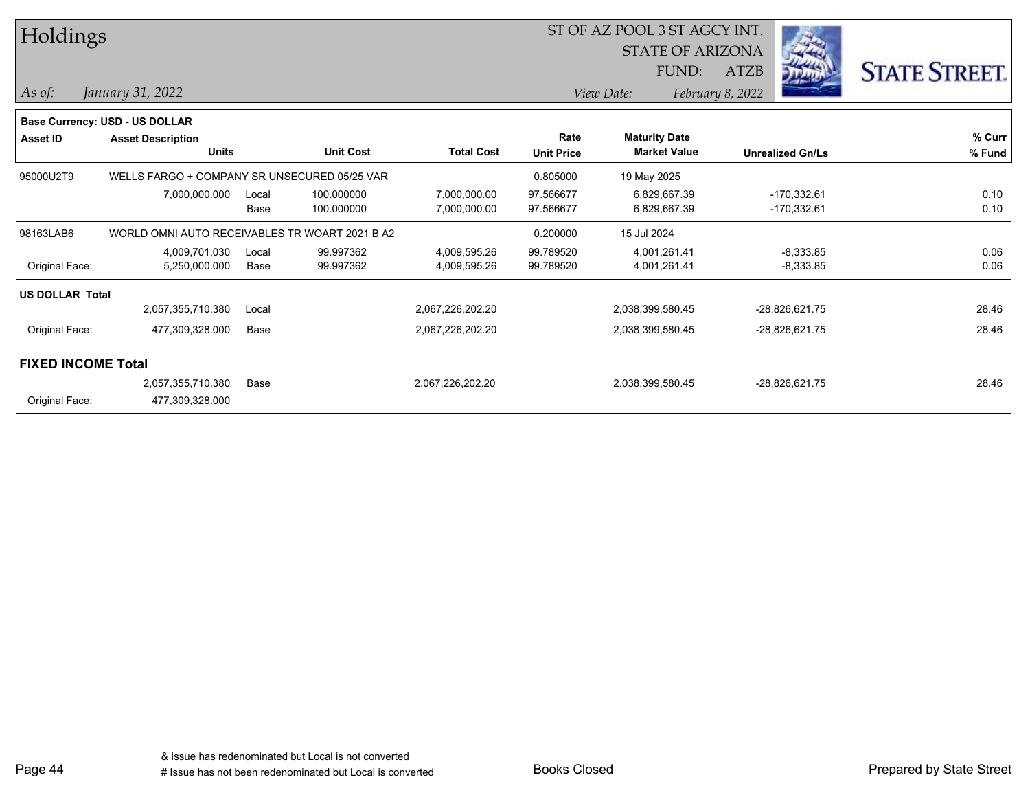| <b>STATE OF ARIZONA</b><br><b>STATE STREET.</b><br>FUND:<br>ATZB<br>As of:<br>January 31, 2022<br>View Date:<br>February 8, 2022<br><b>Base Currency: USD - US DOLLAR</b><br>Rate<br><b>Maturity Date</b><br><b>Asset ID</b><br><b>Asset Description</b><br><b>Market Value</b> | Holdings |              |                  |                   |                   | ST OF AZ POOL 3 ST AGCY INT. |                         |        |
|---------------------------------------------------------------------------------------------------------------------------------------------------------------------------------------------------------------------------------------------------------------------------------|----------|--------------|------------------|-------------------|-------------------|------------------------------|-------------------------|--------|
|                                                                                                                                                                                                                                                                                 |          |              |                  |                   |                   |                              |                         |        |
|                                                                                                                                                                                                                                                                                 |          |              |                  |                   |                   |                              |                         |        |
|                                                                                                                                                                                                                                                                                 |          |              |                  |                   |                   |                              |                         |        |
|                                                                                                                                                                                                                                                                                 |          |              |                  |                   |                   |                              |                         |        |
|                                                                                                                                                                                                                                                                                 |          |              |                  |                   |                   |                              |                         | % Curr |
|                                                                                                                                                                                                                                                                                 |          | <b>Units</b> | <b>Unit Cost</b> | <b>Total Cost</b> | <b>Unit Price</b> |                              | <b>Unrealized Gn/Ls</b> | % Fund |
| 95000U2T9<br>WELLS FARGO + COMPANY SR UNSECURED 05/25 VAR<br>0.805000<br>19 May 2025                                                                                                                                                                                            |          |              |                  |                   |                   |                              |                         |        |
| $-170,332.61$<br>7,000,000.000<br>100.000000<br>7,000,000.00<br>97.566677<br>6,829,667.39<br>Local                                                                                                                                                                              |          |              |                  |                   |                   |                              |                         | 0.10   |
| Base<br>100.000000<br>7,000,000.00<br>97.566677<br>6,829,667.39<br>-170,332.61                                                                                                                                                                                                  |          |              |                  |                   |                   |                              |                         | 0.10   |
| WORLD OMNI AUTO RECEIVABLES TR WOART 2021 B A2<br>98163LAB6<br>0.200000<br>15 Jul 2024                                                                                                                                                                                          |          |              |                  |                   |                   |                              |                         |        |
| 4.009.701.030<br>99.997362<br>4,009,595.26<br>99.789520<br>4,001,261.41<br>$-8,333.85$<br>Local                                                                                                                                                                                 |          |              |                  |                   |                   |                              |                         | 0.06   |
| 4,001,261.41<br>Original Face:<br>5,250,000.000<br>99.997362<br>4,009,595.26<br>99.789520<br>$-8,333.85$<br>Base                                                                                                                                                                |          |              |                  |                   |                   |                              |                         | 0.06   |
| <b>US DOLLAR Total</b>                                                                                                                                                                                                                                                          |          |              |                  |                   |                   |                              |                         |        |
| 2,057,355,710.380<br>2,067,226,202.20<br>2,038,399,580.45<br>-28,826,621.75<br>Local                                                                                                                                                                                            |          |              |                  |                   |                   |                              |                         | 28.46  |
| Original Face:<br>477,309,328.000<br>Base<br>2,067,226,202.20<br>2,038,399,580.45<br>-28,826,621.75                                                                                                                                                                             |          |              |                  |                   |                   |                              |                         | 28.46  |
| <b>FIXED INCOME Total</b>                                                                                                                                                                                                                                                       |          |              |                  |                   |                   |                              |                         |        |
| 2,057,355,710.380<br>2,038,399,580.45<br>2,067,226,202.20<br>-28,826,621.75<br>Base                                                                                                                                                                                             |          |              |                  |                   |                   |                              |                         | 28.46  |
| Original Face:<br>477,309,328.000                                                                                                                                                                                                                                               |          |              |                  |                   |                   |                              |                         |        |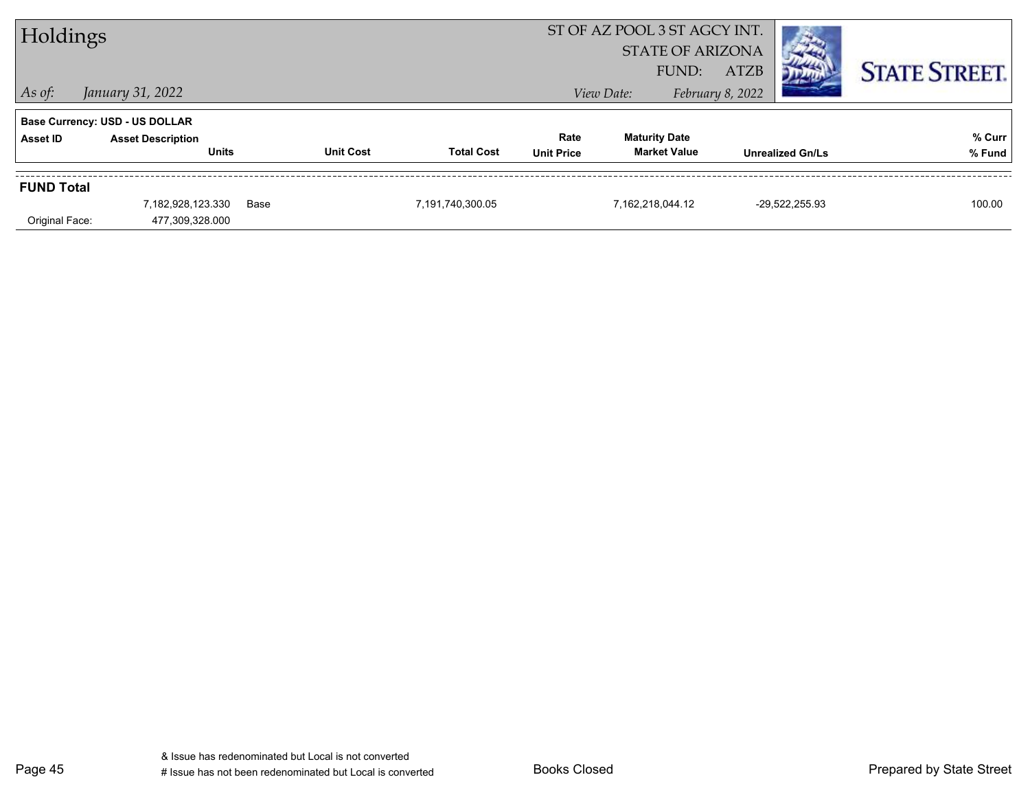| Holdings          |                                                                            |      |                  |                   | ST OF AZ POOL 3 ST AGCY INT.<br><b>STATE OF ARIZONA</b> |                                             |                           |             |                         |                      |
|-------------------|----------------------------------------------------------------------------|------|------------------|-------------------|---------------------------------------------------------|---------------------------------------------|---------------------------|-------------|-------------------------|----------------------|
| $\vert$ As of:    | January 31, 2022                                                           |      |                  |                   |                                                         | View Date:                                  | FUND:<br>February 8, 2022 | <b>ATZB</b> |                         | <b>STATE STREET.</b> |
| <b>Asset ID</b>   | Base Currency: USD - US DOLLAR<br><b>Asset Description</b><br><b>Units</b> |      | <b>Unit Cost</b> | <b>Total Cost</b> | Rate<br><b>Unit Price</b>                               | <b>Maturity Date</b><br><b>Market Value</b> |                           |             | <b>Unrealized Gn/Ls</b> | % Curr<br>% Fund     |
| <b>FUND Total</b> | 7,182,928,123.330                                                          | Base |                  | 7,191,740,300.05  |                                                         | 7,162,218,044.12                            |                           |             | -29.522.255.93          | 100.00               |
| Original Face:    | 477,309,328.000                                                            |      |                  |                   |                                                         |                                             |                           |             |                         |                      |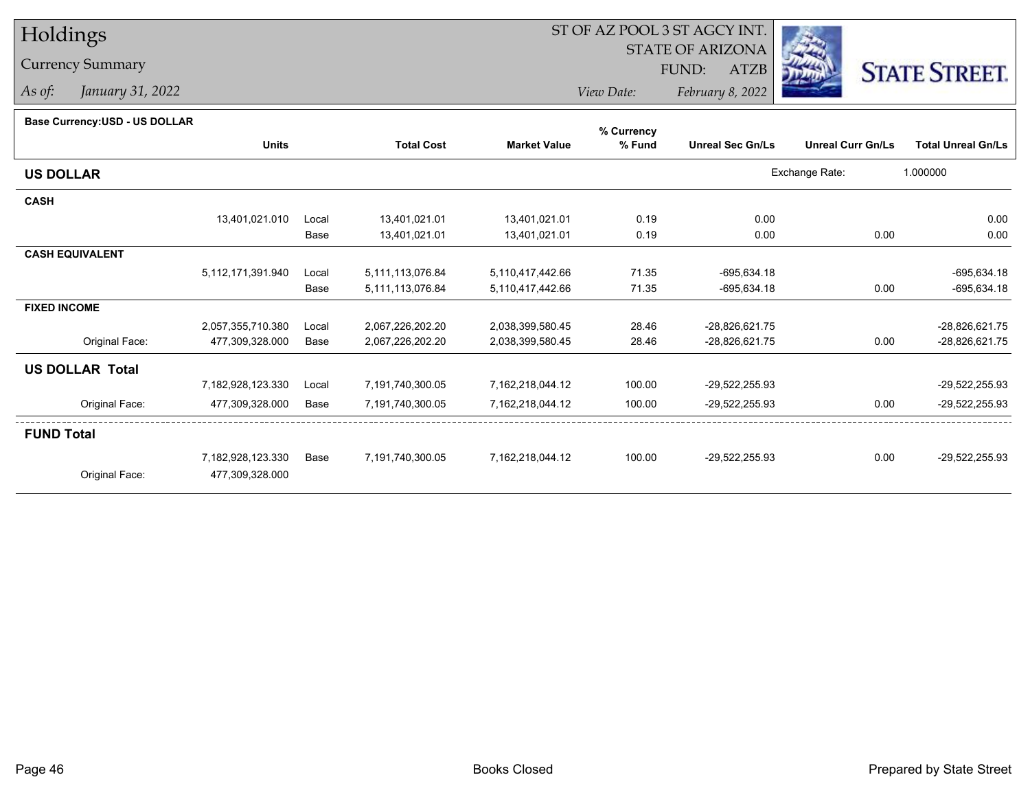# Holdings

## Currency Summary

*As of: January 31, 2022*

# ST OF AZ POOL 3 ST AGCY INT.

STATE OF ARIZONA

FUND: ATZB



*View Date:February 8, 2022*

#### **Base Currency:USD - US DOLLAR**

|                        |                   |       |                   |                     | % Currency |                         |                          |                           |
|------------------------|-------------------|-------|-------------------|---------------------|------------|-------------------------|--------------------------|---------------------------|
|                        | <b>Units</b>      |       | <b>Total Cost</b> | <b>Market Value</b> | % Fund     | <b>Unreal Sec Gn/Ls</b> | <b>Unreal Curr Gn/Ls</b> | <b>Total Unreal Gn/Ls</b> |
| <b>US DOLLAR</b>       |                   |       |                   |                     |            |                         | Exchange Rate:           | 1.000000                  |
| <b>CASH</b>            |                   |       |                   |                     |            |                         |                          |                           |
|                        | 13,401,021.010    | Local | 13,401,021.01     | 13,401,021.01       | 0.19       | 0.00                    |                          | 0.00                      |
|                        |                   | Base  | 13,401,021.01     | 13,401,021.01       | 0.19       | 0.00                    | 0.00                     | 0.00                      |
| <b>CASH EQUIVALENT</b> |                   |       |                   |                     |            |                         |                          |                           |
|                        | 5,112,171,391.940 | Local | 5,111,113,076.84  | 5,110,417,442.66    | 71.35      | $-695,634.18$           |                          | $-695,634.18$             |
|                        |                   | Base  | 5,111,113,076.84  | 5,110,417,442.66    | 71.35      | $-695,634.18$           | 0.00                     | $-695,634.18$             |
| <b>FIXED INCOME</b>    |                   |       |                   |                     |            |                         |                          |                           |
|                        | 2,057,355,710.380 | Local | 2,067,226,202.20  | 2,038,399,580.45    | 28.46      | -28,826,621.75          |                          | -28,826,621.75            |
| Original Face:         | 477,309,328.000   | Base  | 2,067,226,202.20  | 2,038,399,580.45    | 28.46      | -28,826,621.75          | 0.00                     | -28,826,621.75            |
| <b>US DOLLAR Total</b> |                   |       |                   |                     |            |                         |                          |                           |
|                        | 7,182,928,123.330 | Local | 7,191,740,300.05  | 7,162,218,044.12    | 100.00     | -29,522,255.93          |                          | -29,522,255.93            |
| Original Face:         | 477,309,328.000   | Base  | 7,191,740,300.05  | 7,162,218,044.12    | 100.00     | -29,522,255.93          | 0.00                     | -29,522,255.93            |
| <b>FUND Total</b>      |                   |       |                   |                     |            |                         |                          |                           |
|                        | 7,182,928,123.330 | Base  | 7,191,740,300.05  | 7,162,218,044.12    | 100.00     | -29,522,255.93          | 0.00                     | -29,522,255.93            |
| Original Face:         | 477,309,328.000   |       |                   |                     |            |                         |                          |                           |
|                        |                   |       |                   |                     |            |                         |                          |                           |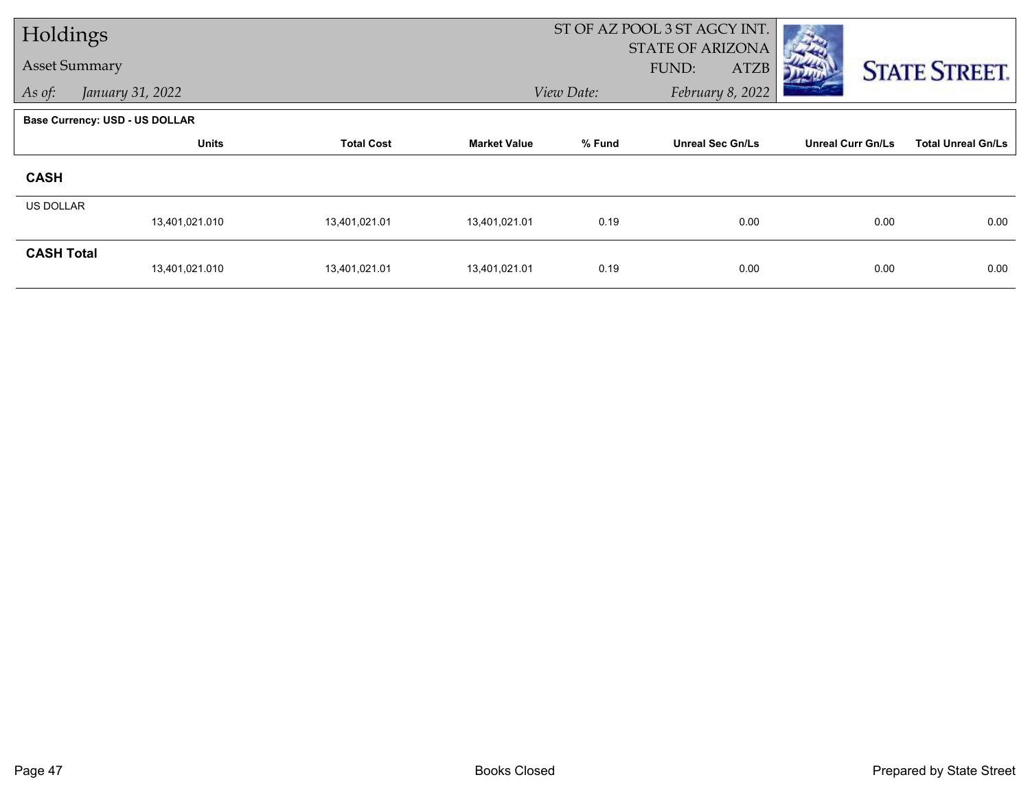| Holdings             |                                       |                   |                     |            | ST OF AZ POOL 3 ST AGCY INT. |                          |                           |
|----------------------|---------------------------------------|-------------------|---------------------|------------|------------------------------|--------------------------|---------------------------|
| <b>Asset Summary</b> |                                       |                   |                     |            | STATE OF ARIZONA             |                          |                           |
|                      |                                       |                   |                     |            | <b>ATZB</b><br>FUND:         |                          | <b>STATE STREET.</b>      |
| As of:               | January 31, 2022                      |                   |                     | View Date: | February 8, 2022             |                          |                           |
|                      | <b>Base Currency: USD - US DOLLAR</b> |                   |                     |            |                              |                          |                           |
|                      | <b>Units</b>                          | <b>Total Cost</b> | <b>Market Value</b> | % Fund     | <b>Unreal Sec Gn/Ls</b>      | <b>Unreal Curr Gn/Ls</b> | <b>Total Unreal Gn/Ls</b> |
| <b>CASH</b>          |                                       |                   |                     |            |                              |                          |                           |
| <b>US DOLLAR</b>     |                                       |                   |                     |            |                              |                          |                           |
|                      | 13,401,021.010                        | 13,401,021.01     | 13,401,021.01       | 0.19       | 0.00                         | 0.00                     | 0.00                      |
| <b>CASH Total</b>    |                                       |                   |                     |            |                              |                          |                           |
|                      | 13,401,021.010                        | 13,401,021.01     | 13,401,021.01       | 0.19       | 0.00                         | 0.00                     | 0.00                      |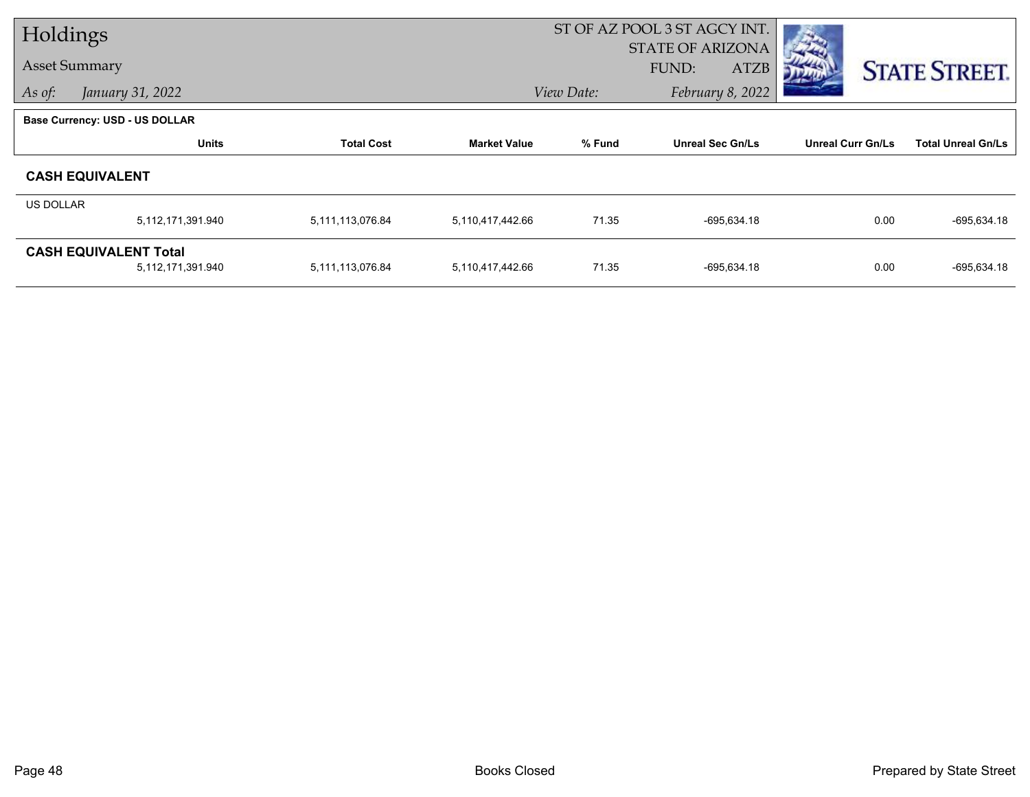| Holdings             |                                       |                   |                     |            | ST OF AZ POOL 3 ST AGCY INT. |                          |                           |
|----------------------|---------------------------------------|-------------------|---------------------|------------|------------------------------|--------------------------|---------------------------|
|                      |                                       |                   |                     |            | <b>STATE OF ARIZONA</b>      |                          |                           |
| <b>Asset Summary</b> |                                       |                   |                     |            | FUND:<br><b>ATZB</b>         |                          | <b>STATE STREET.</b>      |
| As of:               | January 31, 2022                      |                   |                     | View Date: | February 8, 2022             |                          |                           |
|                      | <b>Base Currency: USD - US DOLLAR</b> |                   |                     |            |                              |                          |                           |
|                      | <b>Units</b>                          | <b>Total Cost</b> | <b>Market Value</b> | % Fund     | <b>Unreal Sec Gn/Ls</b>      | <b>Unreal Curr Gn/Ls</b> | <b>Total Unreal Gn/Ls</b> |
|                      | <b>CASH EQUIVALENT</b>                |                   |                     |            |                              |                          |                           |
| <b>US DOLLAR</b>     |                                       |                   |                     |            |                              |                          |                           |
|                      | 5,112,171,391.940                     | 5,111,113,076.84  | 5,110,417,442.66    | 71.35      | $-695,634.18$                | 0.00                     | -695,634.18               |
|                      | <b>CASH EQUIVALENT Total</b>          |                   |                     |            |                              |                          |                           |
|                      | 5,112,171,391.940                     | 5,111,113,076.84  | 5,110,417,442.66    | 71.35      | $-695,634.18$                | 0.00                     | $-695,634.18$             |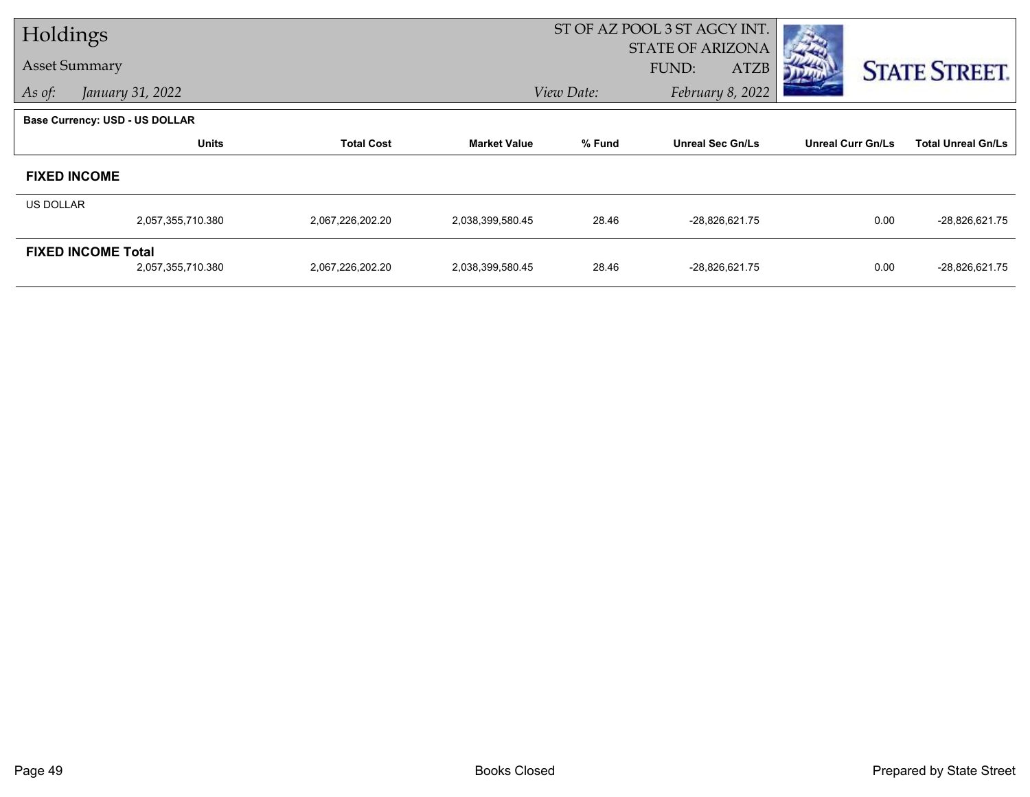| Holdings  |                                |                   |                     |            | ST OF AZ POOL 3 ST AGCY INT. |                          |                           |
|-----------|--------------------------------|-------------------|---------------------|------------|------------------------------|--------------------------|---------------------------|
|           |                                |                   |                     |            | <b>STATE OF ARIZONA</b>      |                          |                           |
|           | <b>Asset Summary</b>           |                   |                     |            | <b>ATZB</b><br>FUND:         |                          | <b>STATE STREET.</b>      |
| As of:    | January 31, 2022               |                   |                     | View Date: | February 8, 2022             |                          |                           |
|           | Base Currency: USD - US DOLLAR |                   |                     |            |                              |                          |                           |
|           | <b>Units</b>                   | <b>Total Cost</b> | <b>Market Value</b> | % Fund     | <b>Unreal Sec Gn/Ls</b>      | <b>Unreal Curr Gn/Ls</b> | <b>Total Unreal Gn/Ls</b> |
|           | <b>FIXED INCOME</b>            |                   |                     |            |                              |                          |                           |
| US DOLLAR |                                |                   |                     |            |                              |                          |                           |
|           | 2,057,355,710.380              | 2,067,226,202.20  | 2,038,399,580.45    | 28.46      | -28,826,621.75               | 0.00                     | -28,826,621.75            |
|           | <b>FIXED INCOME Total</b>      |                   |                     |            |                              |                          |                           |
|           | 2,057,355,710.380              | 2,067,226,202.20  | 2,038,399,580.45    | 28.46      | -28,826,621.75               | 0.00                     | -28,826,621.75            |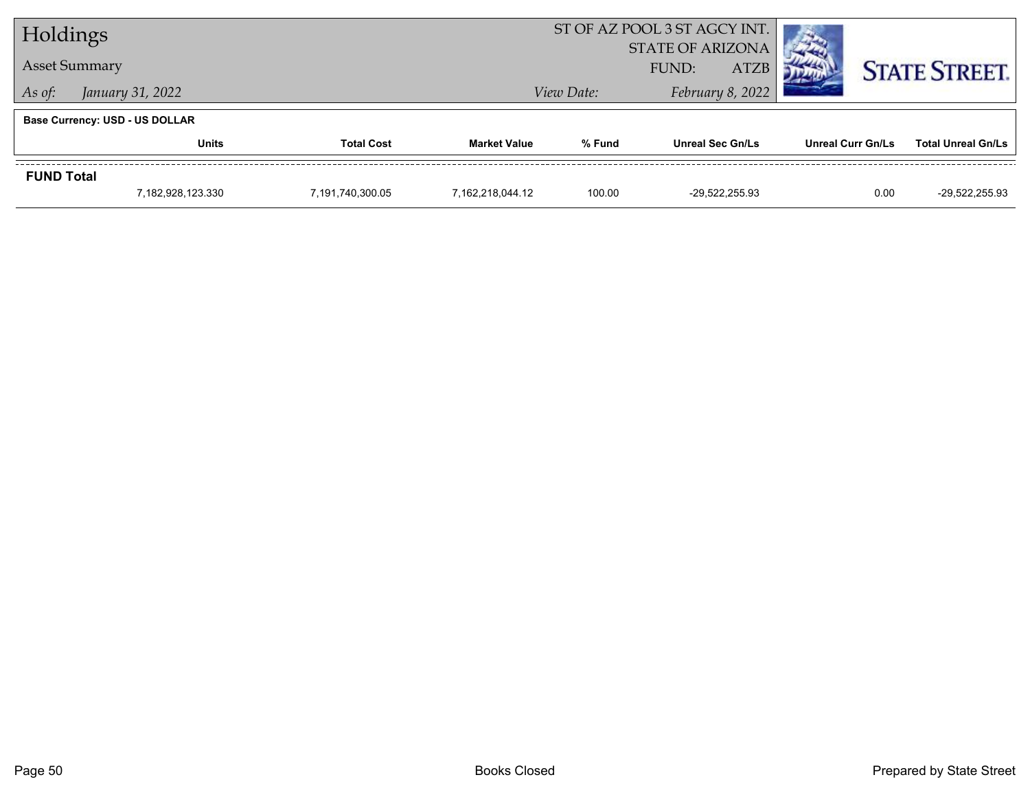|                   | Holdings                              |                   |                     | ST OF AZ POOL 3 ST AGCY INT. |                                                 |                          |                           |
|-------------------|---------------------------------------|-------------------|---------------------|------------------------------|-------------------------------------------------|--------------------------|---------------------------|
|                   | <b>Asset Summary</b>                  |                   |                     |                              | <b>STATE OF ARIZONA</b><br><b>ATZB</b><br>FUND: |                          | <b>STATE STREET.</b>      |
| As of:            | January 31, 2022                      |                   |                     | View Date:                   | February 8, 2022                                |                          |                           |
|                   | <b>Base Currency: USD - US DOLLAR</b> |                   |                     |                              |                                                 |                          |                           |
|                   | Units                                 | <b>Total Cost</b> | <b>Market Value</b> | % Fund                       | <b>Unreal Sec Gn/Ls</b>                         | <b>Unreal Curr Gn/Ls</b> | <b>Total Unreal Gn/Ls</b> |
| <b>FUND Total</b> |                                       |                   |                     |                              |                                                 |                          |                           |
|                   | 7,182,928,123.330                     | 7,191,740,300.05  | 7.162.218.044.12    | 100.00                       | -29.522.255.93                                  | 0.00                     | -29,522,255.93            |